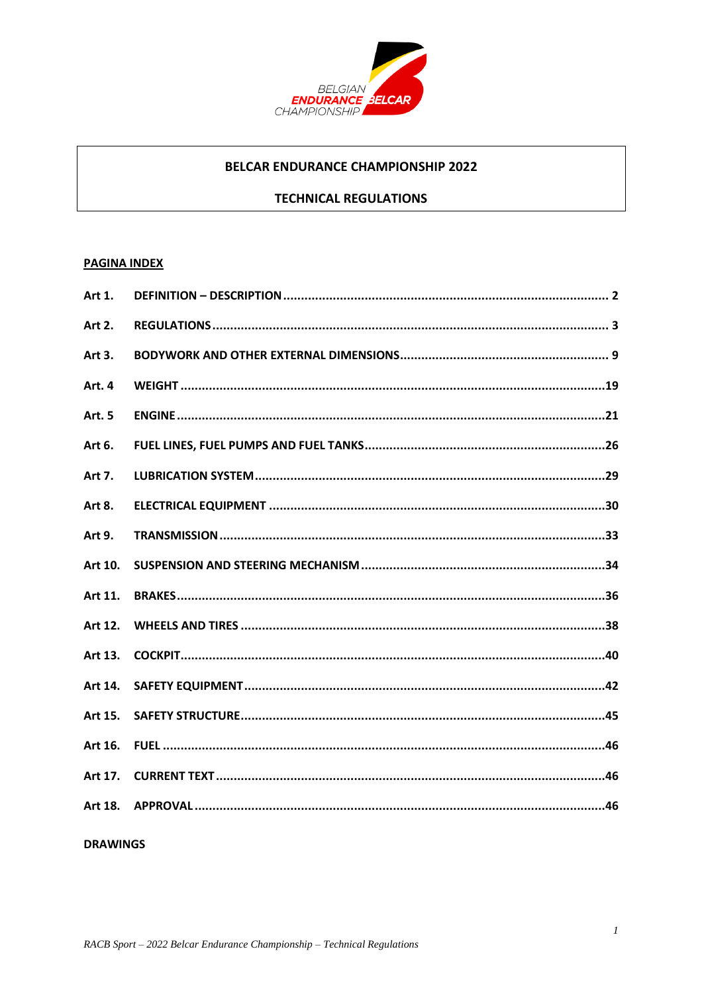

## **BELCAR ENDURANCE CHAMPIONSHIP 2022**

## **TECHNICAL REGULATIONS**

### **PAGINA INDEX**

| Art 1.        |  |
|---------------|--|
| Art 2.        |  |
| Art 3.        |  |
| Art. 4        |  |
| <b>Art. 5</b> |  |
| Art 6.        |  |
| Art 7.        |  |
| Art 8.        |  |
| Art 9.        |  |
| Art 10.       |  |
| Art 11.       |  |
| Art 12.       |  |
| Art 13.       |  |
| Art 14.       |  |
| Art 15.       |  |
| Art 16.       |  |
| Art 17.       |  |
| Art 18.       |  |
|               |  |

**DRAWINGS**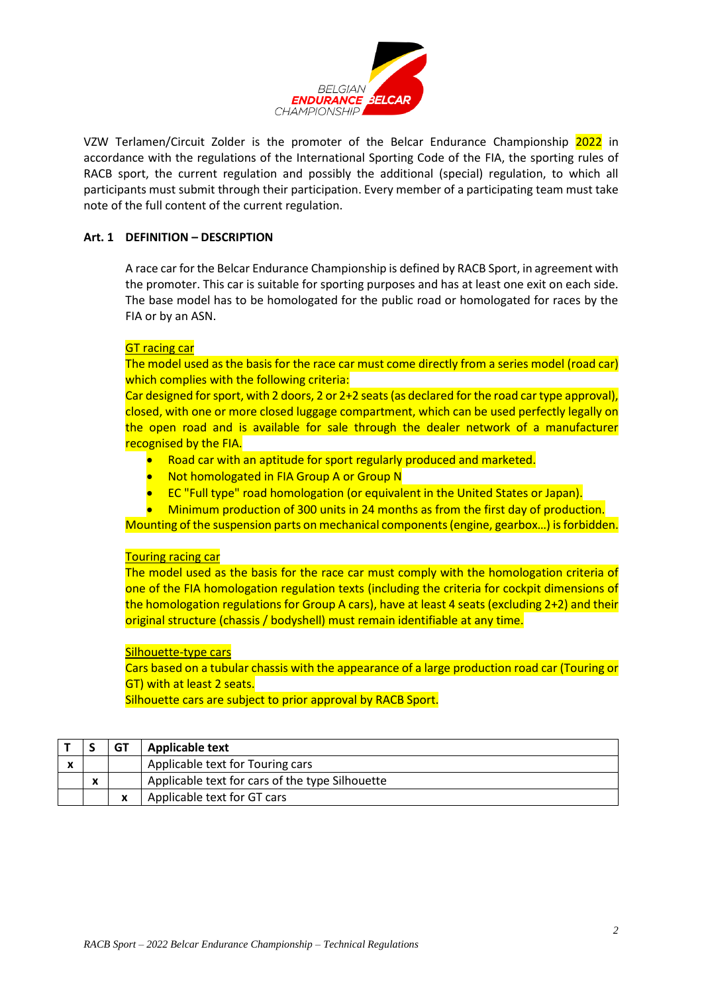

VZW Terlamen/Circuit Zolder is the promoter of the Belcar Endurance Championship 2022 in accordance with the regulations of the International Sporting Code of the FIA, the sporting rules of RACB sport, the current regulation and possibly the additional (special) regulation, to which all participants must submit through their participation. Every member of a participating team must take note of the full content of the current regulation.

### <span id="page-1-0"></span>**Art. 1 DEFINITION – DESCRIPTION**

A race car for the Belcar Endurance Championship is defined by RACB Sport, in agreement with the promoter. This car is suitable for sporting purposes and has at least one exit on each side. The base model has to be homologated for the public road or homologated for races by the FIA or by an ASN.

### GT racing car

The model used as the basis for the race car must come directly from a series model (road car) which complies with the following criteria:

Car designed for sport, with 2 doors, 2 or 2+2 seats (as declared for the road car type approval), closed, with one or more closed luggage compartment, which can be used perfectly legally on the open road and is available for sale through the dealer network of a manufacturer recognised by the FIA.

- Road car with an aptitude for sport regularly produced and marketed.
- Not homologated in FIA Group A or Group N
- EC "Full type" road homologation (or equivalent in the United States or Japan).
- Minimum production of 300 units in 24 months as from the first day of production.

Mounting of the suspension parts on mechanical components (engine, gearbox…) is forbidden.

### Touring racing car

The model used as the basis for the race car must comply with the homologation criteria of one of the FIA homologation regulation texts (including the criteria for cockpit dimensions of the homologation regulations for Group A cars), have at least 4 seats (excluding 2+2) and their original structure (chassis / bodyshell) must remain identifiable at any time.

### Silhouette-type cars

Cars based on a tubular chassis with the appearance of a large production road car (Touring or GT) with at least 2 seats.

Silhouette cars are subject to prior approval by RACB Sport.

<span id="page-1-1"></span>

|                           |   | <b>GT</b> | <b>Applicable text</b>                          |
|---------------------------|---|-----------|-------------------------------------------------|
| $\boldsymbol{\mathsf{x}}$ |   |           | Applicable text for Touring cars                |
|                           | X |           | Applicable text for cars of the type Silhouette |
|                           |   | X         | Applicable text for GT cars                     |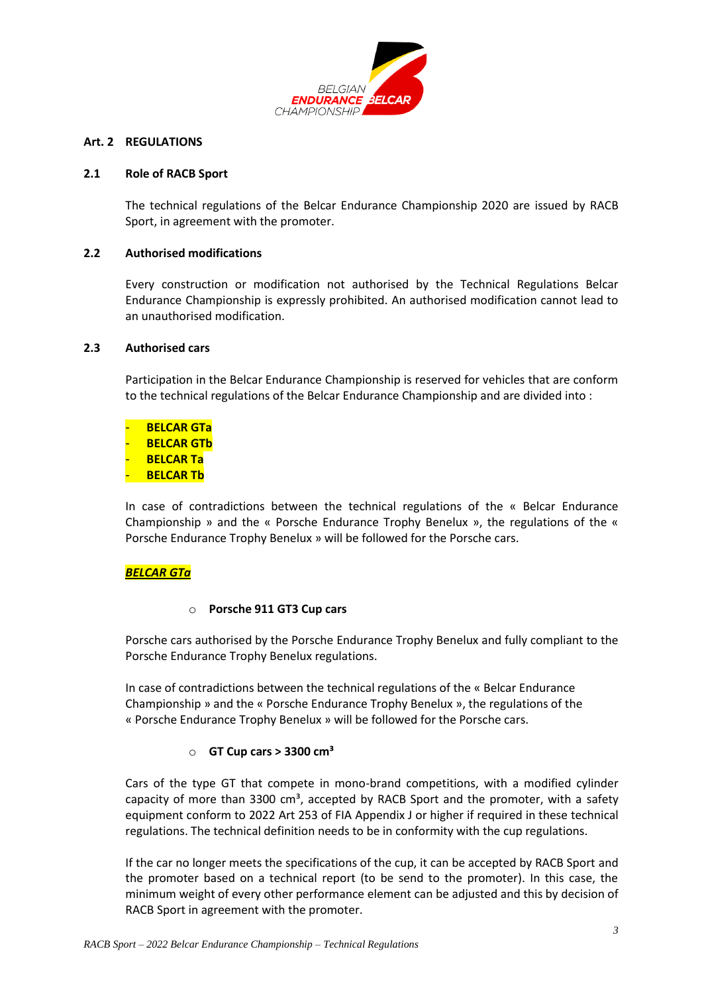

#### **Art. 2 REGULATIONS**

#### **2.1 Role of RACB Sport**

The technical regulations of the Belcar Endurance Championship 2020 are issued by RACB Sport, in agreement with the promoter.

#### **2.2 Authorised modifications**

Every construction or modification not authorised by the Technical Regulations Belcar Endurance Championship is expressly prohibited. An authorised modification cannot lead to an unauthorised modification.

#### **2.3 Authorised cars**

Participation in the Belcar Endurance Championship is reserved for vehicles that are conform to the technical regulations of the Belcar Endurance Championship and are divided into :

- **BELCAR GTa** - **BELCAR GTb BELCAR Ta BELCAR Tb** 

In case of contradictions between the technical regulations of the « Belcar Endurance Championship » and the « Porsche Endurance Trophy Benelux », the regulations of the « Porsche Endurance Trophy Benelux » will be followed for the Porsche cars.

### *BELCAR GTa*

#### o **Porsche 911 GT3 Cup cars**

Porsche cars authorised by the Porsche Endurance Trophy Benelux and fully compliant to the Porsche Endurance Trophy Benelux regulations.

In case of contradictions between the technical regulations of the « Belcar Endurance Championship » and the « Porsche Endurance Trophy Benelux », the regulations of the « Porsche Endurance Trophy Benelux » will be followed for the Porsche cars.

#### o **GT Cup cars > 3300 cm³**

Cars of the type GT that compete in mono-brand competitions, with a modified cylinder capacity of more than  $3300 \text{ cm}^3$ , accepted by RACB Sport and the promoter, with a safety equipment conform to 2022 Art 253 of FIA Appendix J or higher if required in these technical regulations. The technical definition needs to be in conformity with the cup regulations.

If the car no longer meets the specifications of the cup, it can be accepted by RACB Sport and the promoter based on a technical report (to be send to the promoter). In this case, the minimum weight of every other performance element can be adjusted and this by decision of RACB Sport in agreement with the promoter.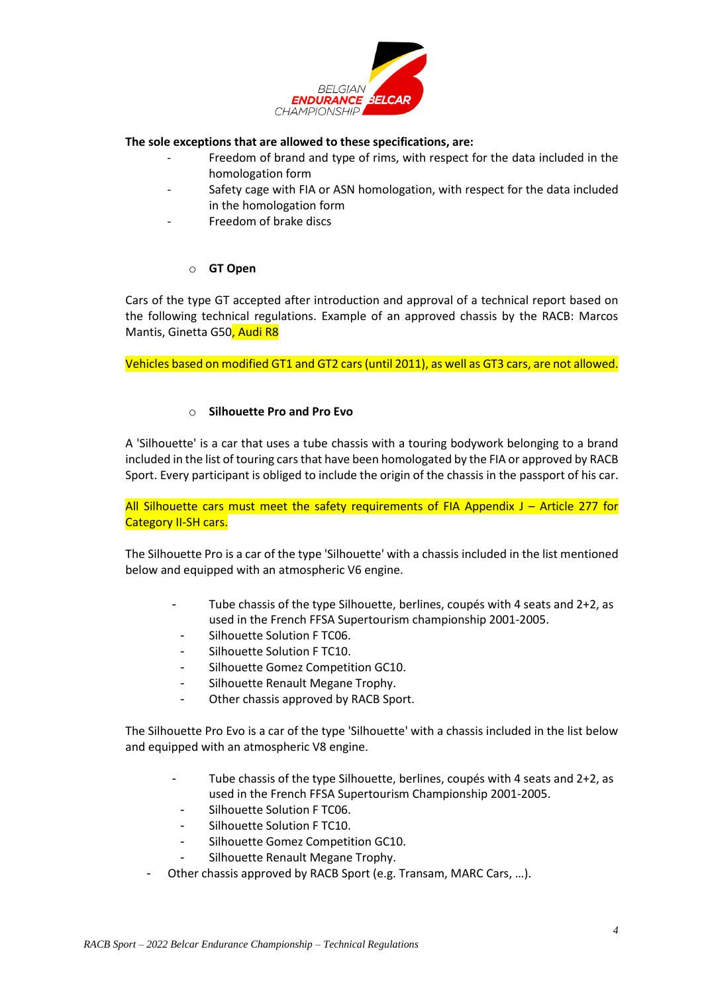

#### **The sole exceptions that are allowed to these specifications, are:**

- Freedom of brand and type of rims, with respect for the data included in the homologation form
	- Safety cage with FIA or ASN homologation, with respect for the data included in the homologation form
- Freedom of brake discs

### o **GT Open**

Cars of the type GT accepted after introduction and approval of a technical report based on the following technical regulations. Example of an approved chassis by the RACB: Marcos Mantis, Ginetta G50, Audi R8

Vehicles based on modified GT1 and GT2 cars (until 2011), as well as GT3 cars, are not allowed.

### o **Silhouette Pro and Pro Evo**

A 'Silhouette' is a car that uses a tube chassis with a touring bodywork belonging to a brand included in the list of touring cars that have been homologated by the FIA or approved by RACB Sport. Every participant is obliged to include the origin of the chassis in the passport of his car.

All Silhouette cars must meet the safety requirements of FIA Appendix  $J -$  Article 277 for Category II-SH cars.

The Silhouette Pro is a car of the type 'Silhouette' with a chassis included in the list mentioned below and equipped with an atmospheric V6 engine.

- Tube chassis of the type Silhouette, berlines, coupés with 4 seats and 2+2, as used in the French FFSA Supertourism championship 2001-2005.
- Silhouette Solution F TC06.
- Silhouette Solution F TC10.
- Silhouette Gomez Competition GC10.
- Silhouette Renault Megane Trophy.
- Other chassis approved by RACB Sport.

The Silhouette Pro Evo is a car of the type 'Silhouette' with a chassis included in the list below and equipped with an atmospheric V8 engine.

- Tube chassis of the type Silhouette, berlines, coupés with 4 seats and 2+2, as used in the French FFSA Supertourism Championship 2001-2005.
- Silhouette Solution F TC06.
- Silhouette Solution F TC10.
- Silhouette Gomez Competition GC10.
- Silhouette Renault Megane Trophy.
- Other chassis approved by RACB Sport (e.g. Transam, MARC Cars, …).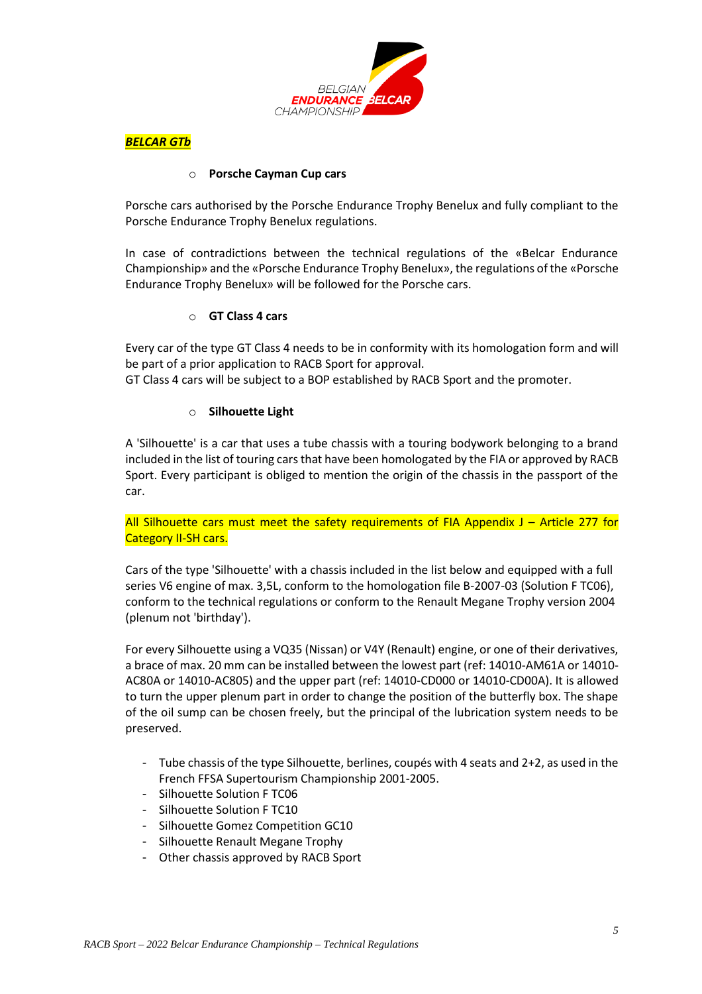

*BELCAR GTb*

### o **Porsche Cayman Cup cars**

Porsche cars authorised by the Porsche Endurance Trophy Benelux and fully compliant to the Porsche Endurance Trophy Benelux regulations.

In case of contradictions between the technical regulations of the «Belcar Endurance Championship» and the «Porsche Endurance Trophy Benelux», the regulations of the «Porsche Endurance Trophy Benelux» will be followed for the Porsche cars.

### o **GT Class 4 cars**

Every car of the type GT Class 4 needs to be in conformity with its homologation form and will be part of a prior application to RACB Sport for approval.

GT Class 4 cars will be subject to a BOP established by RACB Sport and the promoter.

### o **Silhouette Light**

A 'Silhouette' is a car that uses a tube chassis with a touring bodywork belonging to a brand included in the list of touring cars that have been homologated by the FIA or approved by RACB Sport. Every participant is obliged to mention the origin of the chassis in the passport of the car.

All Silhouette cars must meet the safety requirements of FIA Appendix  $J -$  Article 277 for Category II-SH cars.

Cars of the type 'Silhouette' with a chassis included in the list below and equipped with a full series V6 engine of max. 3,5L, conform to the homologation file B-2007-03 (Solution F TC06), conform to the technical regulations or conform to the Renault Megane Trophy version 2004 (plenum not 'birthday').

For every Silhouette using a VQ35 (Nissan) or V4Y (Renault) engine, or one of their derivatives, a brace of max. 20 mm can be installed between the lowest part (ref: 14010-AM61A or 14010- AC80A or 14010-AC805) and the upper part (ref: 14010-CD000 or 14010-CD00A). It is allowed to turn the upper plenum part in order to change the position of the butterfly box. The shape of the oil sump can be chosen freely, but the principal of the lubrication system needs to be preserved.

- Tube chassis of the type Silhouette, berlines, coupés with 4 seats and 2+2, as used in the French FFSA Supertourism Championship 2001-2005.
- Silhouette Solution F TC06
- Silhouette Solution F TC10
- Silhouette Gomez Competition GC10
- Silhouette Renault Megane Trophy
- Other chassis approved by RACB Sport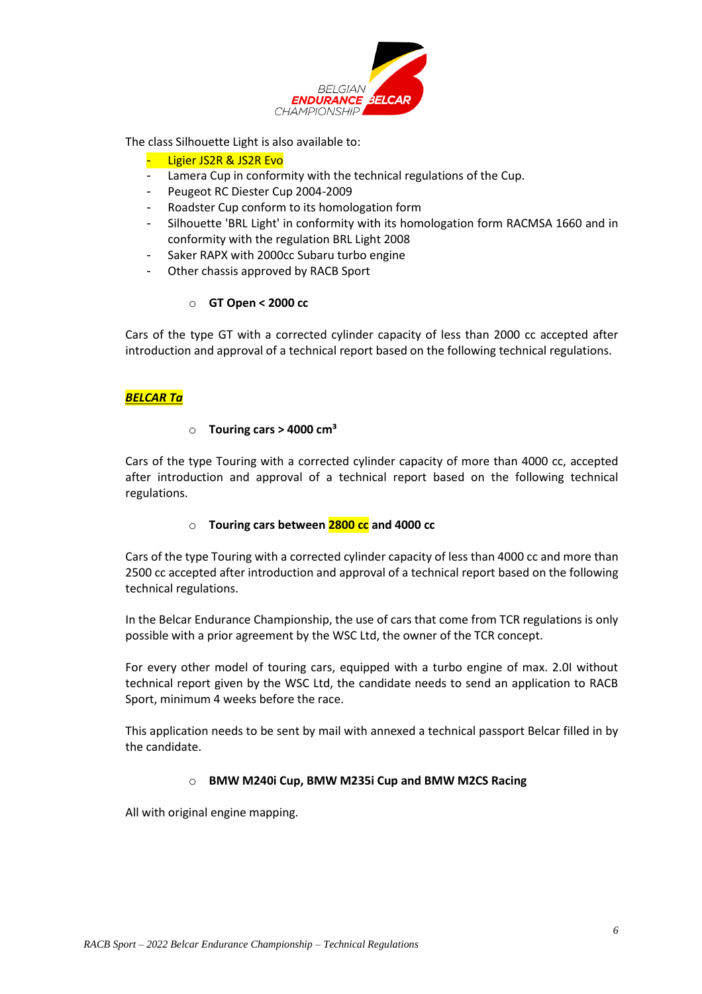

The class Silhouette Light is also available to:

#### Ligier JS2R & JS2R Evo

- Lamera Cup in conformity with the technical regulations of the Cup.
- Peugeot RC Diester Cup 2004-2009
- Roadster Cup conform to its homologation form
- Silhouette 'BRL Light' in conformity with its homologation form RACMSA 1660 and in conformity with the regulation BRL Light 2008
- Saker RAPX with 2000cc Subaru turbo engine
- Other chassis approved by RACB Sport

### o **GT Open < 2000 cc**

Cars of the type GT with a corrected cylinder capacity of less than 2000 cc accepted after introduction and approval of a technical report based on the following technical regulations.

#### *BELCAR Ta*

#### o **Touring cars > 4000 cm³**

Cars of the type Touring with a corrected cylinder capacity of more than 4000 cc, accepted after introduction and approval of a technical report based on the following technical regulations.

# o **Touring cars between 2800 cc and 4000 cc**

Cars of the type Touring with a corrected cylinder capacity of less than 4000 cc and more than 2500 cc accepted after introduction and approval of a technical report based on the following technical regulations.

In the Belcar Endurance Championship, the use of cars that come from TCR regulations is only possible with a prior agreement by the WSC Ltd, the owner of the TCR concept.

For every other model of touring cars, equipped with a turbo engine of max. 2.0I without technical report given by the WSC Ltd, the candidate needs to send an application to RACB Sport, minimum 4 weeks before the race.

This application needs to be sent by mail with annexed a technical passport Belcar filled in by the candidate.

#### o **BMW M240i Cup, BMW M235i Cup and BMW M2CS Racing**

All with original engine mapping.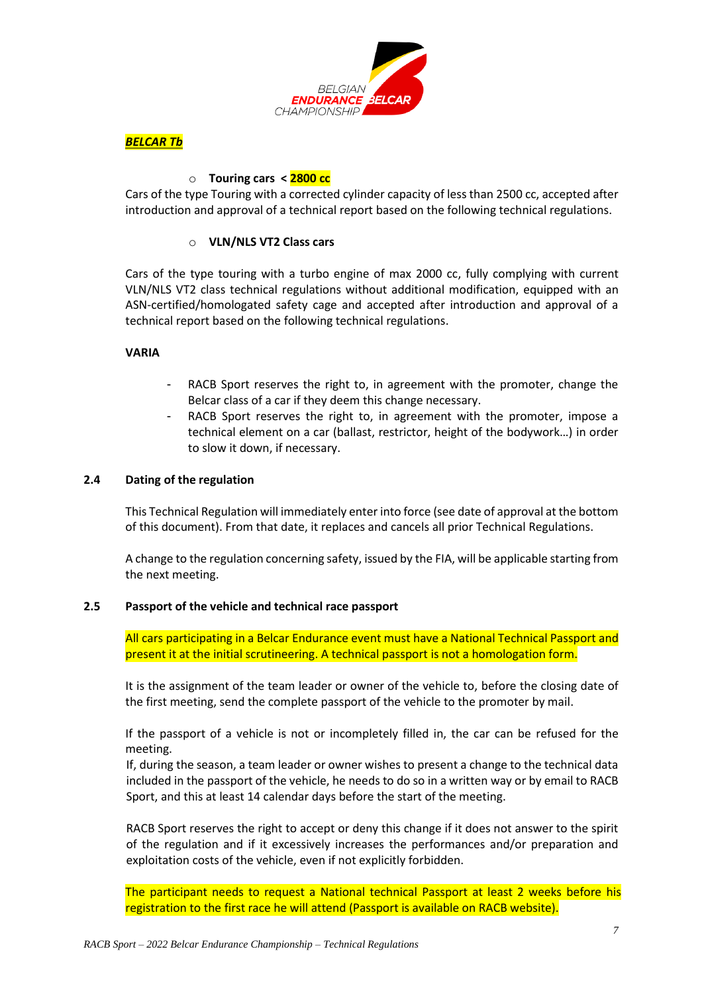



### o **Touring cars < 2800 cc**

Cars of the type Touring with a corrected cylinder capacity of less than 2500 cc, accepted after introduction and approval of a technical report based on the following technical regulations.

### o **VLN/NLS VT2 Class cars**

Cars of the type touring with a turbo engine of max 2000 cc, fully complying with current VLN/NLS VT2 class technical regulations without additional modification, equipped with an ASN-certified/homologated safety cage and accepted after introduction and approval of a technical report based on the following technical regulations.

#### **VARIA**

- RACB Sport reserves the right to, in agreement with the promoter, change the Belcar class of a car if they deem this change necessary.
- RACB Sport reserves the right to, in agreement with the promoter, impose a technical element on a car (ballast, restrictor, height of the bodywork…) in order to slow it down, if necessary.

#### **2.4 Dating of the regulation**

This Technical Regulation will immediately enter into force (see date of approval at the bottom of this document). From that date, it replaces and cancels all prior Technical Regulations.

A change to the regulation concerning safety, issued by the FIA, will be applicable starting from the next meeting.

#### **2.5 Passport of the vehicle and technical race passport**

All cars participating in a Belcar Endurance event must have a National Technical Passport and present it at the initial scrutineering. A technical passport is not a homologation form.

It is the assignment of the team leader or owner of the vehicle to, before the closing date of the first meeting, send the complete passport of the vehicle to the promoter by mail.

If the passport of a vehicle is not or incompletely filled in, the car can be refused for the meeting.

If, during the season, a team leader or owner wishes to present a change to the technical data included in the passport of the vehicle, he needs to do so in a written way or by email to RACB Sport, and this at least 14 calendar days before the start of the meeting.

RACB Sport reserves the right to accept or deny this change if it does not answer to the spirit of the regulation and if it excessively increases the performances and/or preparation and exploitation costs of the vehicle, even if not explicitly forbidden.

The participant needs to request a National technical Passport at least 2 weeks before his registration to the first race he will attend (Passport is available on RACB website).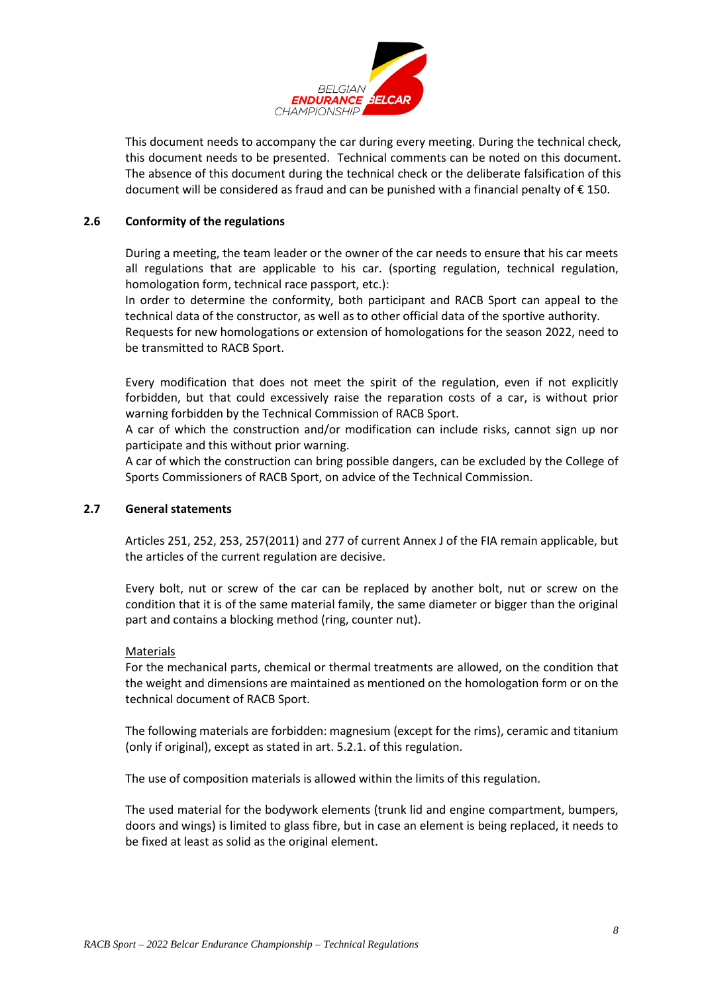

This document needs to accompany the car during every meeting. During the technical check, this document needs to be presented. Technical comments can be noted on this document. The absence of this document during the technical check or the deliberate falsification of this document will be considered as fraud and can be punished with a financial penalty of € 150.

### **2.6 Conformity of the regulations**

During a meeting, the team leader or the owner of the car needs to ensure that his car meets all regulations that are applicable to his car. (sporting regulation, technical regulation, homologation form, technical race passport, etc.):

In order to determine the conformity, both participant and RACB Sport can appeal to the technical data of the constructor, as well as to other official data of the sportive authority. Requests for new homologations or extension of homologations for the season 2022, need to be transmitted to RACB Sport.

Every modification that does not meet the spirit of the regulation, even if not explicitly forbidden, but that could excessively raise the reparation costs of a car, is without prior warning forbidden by the Technical Commission of RACB Sport.

A car of which the construction and/or modification can include risks, cannot sign up nor participate and this without prior warning.

A car of which the construction can bring possible dangers, can be excluded by the College of Sports Commissioners of RACB Sport, on advice of the Technical Commission.

### **2.7 General statements**

Articles 251, 252, 253, 257(2011) and 277 of current Annex J of the FIA remain applicable, but the articles of the current regulation are decisive.

Every bolt, nut or screw of the car can be replaced by another bolt, nut or screw on the condition that it is of the same material family, the same diameter or bigger than the original part and contains a blocking method (ring, counter nut).

#### Materials

For the mechanical parts, chemical or thermal treatments are allowed, on the condition that the weight and dimensions are maintained as mentioned on the homologation form or on the technical document of RACB Sport.

The following materials are forbidden: magnesium (except for the rims), ceramic and titanium (only if original), except as stated in art. 5.2.1. of this regulation.

The use of composition materials is allowed within the limits of this regulation.

The used material for the bodywork elements (trunk lid and engine compartment, bumpers, doors and wings) is limited to glass fibre, but in case an element is being replaced, it needs to be fixed at least as solid as the original element.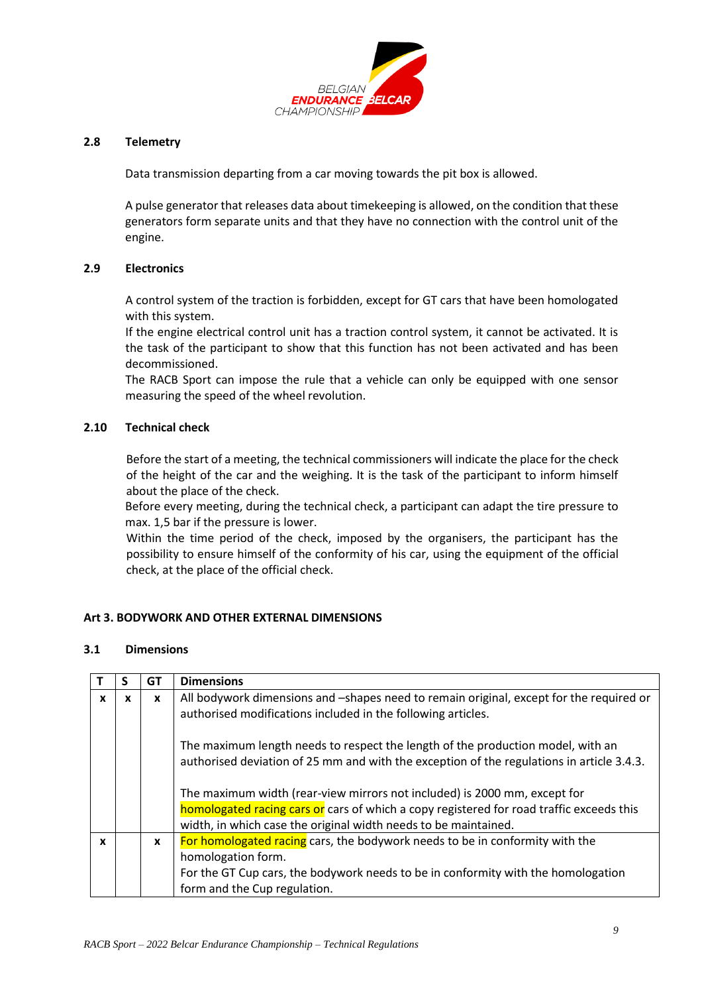

### **2.8 Telemetry**

Data transmission departing from a car moving towards the pit box is allowed.

A pulse generator that releases data about timekeeping is allowed, on the condition that these generators form separate units and that they have no connection with the control unit of the engine.

### **2.9 Electronics**

A control system of the traction is forbidden, except for GT cars that have been homologated with this system.

If the engine electrical control unit has a traction control system, it cannot be activated. It is the task of the participant to show that this function has not been activated and has been decommissioned.

The RACB Sport can impose the rule that a vehicle can only be equipped with one sensor measuring the speed of the wheel revolution.

### **2.10 Technical check**

Before the start of a meeting, the technical commissioners will indicate the place for the check of the height of the car and the weighing. It is the task of the participant to inform himself about the place of the check.

Before every meeting, during the technical check, a participant can adapt the tire pressure to max. 1,5 bar if the pressure is lower.

Within the time period of the check, imposed by the organisers, the participant has the possibility to ensure himself of the conformity of his car, using the equipment of the official check, at the place of the official check.

## <span id="page-8-0"></span>**Art 3. BODYWORK AND OTHER EXTERNAL DIMENSIONS**

### **3.1 Dimensions**

|              | S | GТ           | <b>Dimensions</b>                                                                                                                                                                                                                                                                                                                                                                                                        |
|--------------|---|--------------|--------------------------------------------------------------------------------------------------------------------------------------------------------------------------------------------------------------------------------------------------------------------------------------------------------------------------------------------------------------------------------------------------------------------------|
| X            | X | X            | All bodywork dimensions and -shapes need to remain original, except for the required or<br>authorised modifications included in the following articles.                                                                                                                                                                                                                                                                  |
|              |   |              | The maximum length needs to respect the length of the production model, with an<br>authorised deviation of 25 mm and with the exception of the regulations in article 3.4.3.<br>The maximum width (rear-view mirrors not included) is 2000 mm, except for<br>homologated racing cars or cars of which a copy registered for road traffic exceeds this<br>width, in which case the original width needs to be maintained. |
| $\mathbf{x}$ |   | $\mathbf{x}$ | For homologated racing cars, the bodywork needs to be in conformity with the<br>homologation form.<br>For the GT Cup cars, the bodywork needs to be in conformity with the homologation<br>form and the Cup regulation.                                                                                                                                                                                                  |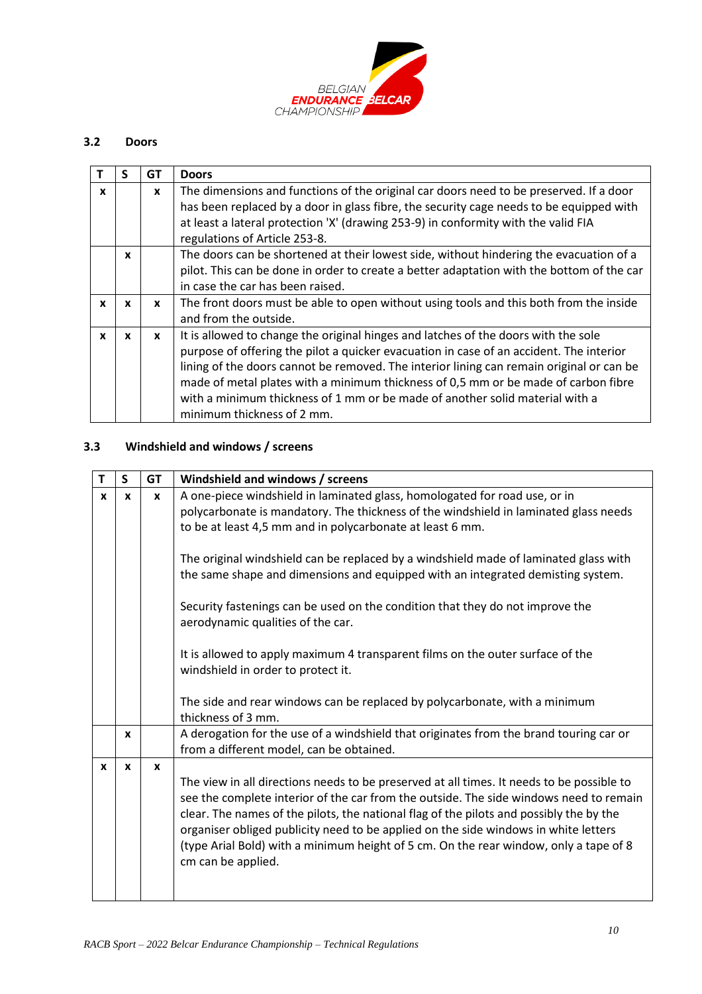

# **3.2 Doors**

|              |              | GT           | <b>Doors</b>                                                                                                                                                                                                                                                                                                                                                                                                                                                                  |
|--------------|--------------|--------------|-------------------------------------------------------------------------------------------------------------------------------------------------------------------------------------------------------------------------------------------------------------------------------------------------------------------------------------------------------------------------------------------------------------------------------------------------------------------------------|
| X            |              | $\mathbf{x}$ | The dimensions and functions of the original car doors need to be preserved. If a door<br>has been replaced by a door in glass fibre, the security cage needs to be equipped with                                                                                                                                                                                                                                                                                             |
|              |              |              | at least a lateral protection 'X' (drawing 253-9) in conformity with the valid FIA<br>regulations of Article 253-8.                                                                                                                                                                                                                                                                                                                                                           |
|              | $\mathbf{x}$ |              | The doors can be shortened at their lowest side, without hindering the evacuation of a<br>pilot. This can be done in order to create a better adaptation with the bottom of the car<br>in case the car has been raised.                                                                                                                                                                                                                                                       |
| $\mathbf{x}$ | $\mathbf{x}$ | $\mathbf{x}$ | The front doors must be able to open without using tools and this both from the inside<br>and from the outside.                                                                                                                                                                                                                                                                                                                                                               |
| $\mathbf{x}$ | X            | X            | It is allowed to change the original hinges and latches of the doors with the sole<br>purpose of offering the pilot a quicker evacuation in case of an accident. The interior<br>lining of the doors cannot be removed. The interior lining can remain original or can be<br>made of metal plates with a minimum thickness of 0,5 mm or be made of carbon fibre<br>with a minimum thickness of 1 mm or be made of another solid material with a<br>minimum thickness of 2 mm. |

# **3.3 Windshield and windows / screens**

| т            | S            | GT           | Windshield and windows / screens                                                                                                                                                                                                                                                                                                                                                                                                                                                     |
|--------------|--------------|--------------|--------------------------------------------------------------------------------------------------------------------------------------------------------------------------------------------------------------------------------------------------------------------------------------------------------------------------------------------------------------------------------------------------------------------------------------------------------------------------------------|
| X            | $\mathbf{x}$ | X            | A one-piece windshield in laminated glass, homologated for road use, or in<br>polycarbonate is mandatory. The thickness of the windshield in laminated glass needs<br>to be at least 4,5 mm and in polycarbonate at least 6 mm.                                                                                                                                                                                                                                                      |
|              |              |              | The original windshield can be replaced by a windshield made of laminated glass with<br>the same shape and dimensions and equipped with an integrated demisting system.                                                                                                                                                                                                                                                                                                              |
|              |              |              | Security fastenings can be used on the condition that they do not improve the<br>aerodynamic qualities of the car.                                                                                                                                                                                                                                                                                                                                                                   |
|              |              |              | It is allowed to apply maximum 4 transparent films on the outer surface of the<br>windshield in order to protect it.                                                                                                                                                                                                                                                                                                                                                                 |
|              |              |              | The side and rear windows can be replaced by polycarbonate, with a minimum<br>thickness of 3 mm.                                                                                                                                                                                                                                                                                                                                                                                     |
|              | X            |              | A derogation for the use of a windshield that originates from the brand touring car or<br>from a different model, can be obtained.                                                                                                                                                                                                                                                                                                                                                   |
| $\mathbf{x}$ | $\mathbf{x}$ | $\mathbf{x}$ | The view in all directions needs to be preserved at all times. It needs to be possible to<br>see the complete interior of the car from the outside. The side windows need to remain<br>clear. The names of the pilots, the national flag of the pilots and possibly the by the<br>organiser obliged publicity need to be applied on the side windows in white letters<br>(type Arial Bold) with a minimum height of 5 cm. On the rear window, only a tape of 8<br>cm can be applied. |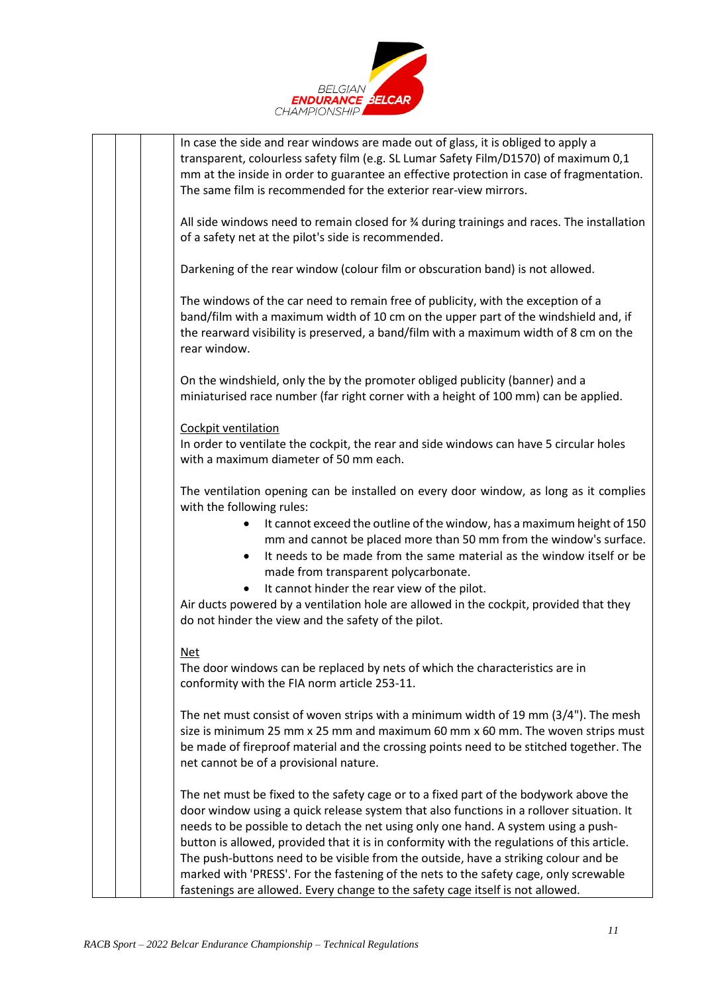

|  | In case the side and rear windows are made out of glass, it is obliged to apply a                                                                                                |
|--|----------------------------------------------------------------------------------------------------------------------------------------------------------------------------------|
|  | transparent, colourless safety film (e.g. SL Lumar Safety Film/D1570) of maximum 0,1<br>mm at the inside in order to guarantee an effective protection in case of fragmentation. |
|  | The same film is recommended for the exterior rear-view mirrors.                                                                                                                 |
|  |                                                                                                                                                                                  |
|  | All side windows need to remain closed for $\frac{3}{4}$ during trainings and races. The installation                                                                            |
|  | of a safety net at the pilot's side is recommended.                                                                                                                              |
|  |                                                                                                                                                                                  |
|  | Darkening of the rear window (colour film or obscuration band) is not allowed.                                                                                                   |
|  |                                                                                                                                                                                  |
|  | The windows of the car need to remain free of publicity, with the exception of a<br>band/film with a maximum width of 10 cm on the upper part of the windshield and, if          |
|  | the rearward visibility is preserved, a band/film with a maximum width of 8 cm on the                                                                                            |
|  | rear window.                                                                                                                                                                     |
|  |                                                                                                                                                                                  |
|  | On the windshield, only the by the promoter obliged publicity (banner) and a                                                                                                     |
|  | miniaturised race number (far right corner with a height of 100 mm) can be applied.                                                                                              |
|  |                                                                                                                                                                                  |
|  | Cockpit ventilation                                                                                                                                                              |
|  | In order to ventilate the cockpit, the rear and side windows can have 5 circular holes                                                                                           |
|  | with a maximum diameter of 50 mm each.                                                                                                                                           |
|  | The ventilation opening can be installed on every door window, as long as it complies                                                                                            |
|  | with the following rules:                                                                                                                                                        |
|  | It cannot exceed the outline of the window, has a maximum height of 150                                                                                                          |
|  | mm and cannot be placed more than 50 mm from the window's surface.                                                                                                               |
|  | It needs to be made from the same material as the window itself or be                                                                                                            |
|  | made from transparent polycarbonate.                                                                                                                                             |
|  | It cannot hinder the rear view of the pilot.                                                                                                                                     |
|  | Air ducts powered by a ventilation hole are allowed in the cockpit, provided that they                                                                                           |
|  | do not hinder the view and the safety of the pilot.                                                                                                                              |
|  | <b>Net</b>                                                                                                                                                                       |
|  | The door windows can be replaced by nets of which the characteristics are in                                                                                                     |
|  | conformity with the FIA norm article 253-11.                                                                                                                                     |
|  |                                                                                                                                                                                  |
|  | The net must consist of woven strips with a minimum width of 19 mm $(3/4")$ . The mesh                                                                                           |
|  | size is minimum 25 mm x 25 mm and maximum 60 mm x 60 mm. The woven strips must                                                                                                   |
|  | be made of fireproof material and the crossing points need to be stitched together. The                                                                                          |
|  | net cannot be of a provisional nature.                                                                                                                                           |
|  | The net must be fixed to the safety cage or to a fixed part of the bodywork above the                                                                                            |
|  | door window using a quick release system that also functions in a rollover situation. It                                                                                         |
|  | needs to be possible to detach the net using only one hand. A system using a push-                                                                                               |
|  | button is allowed, provided that it is in conformity with the regulations of this article.                                                                                       |
|  | The push-buttons need to be visible from the outside, have a striking colour and be                                                                                              |
|  | marked with 'PRESS'. For the fastening of the nets to the safety cage, only screwable                                                                                            |
|  | fastenings are allowed. Every change to the safety cage itself is not allowed.                                                                                                   |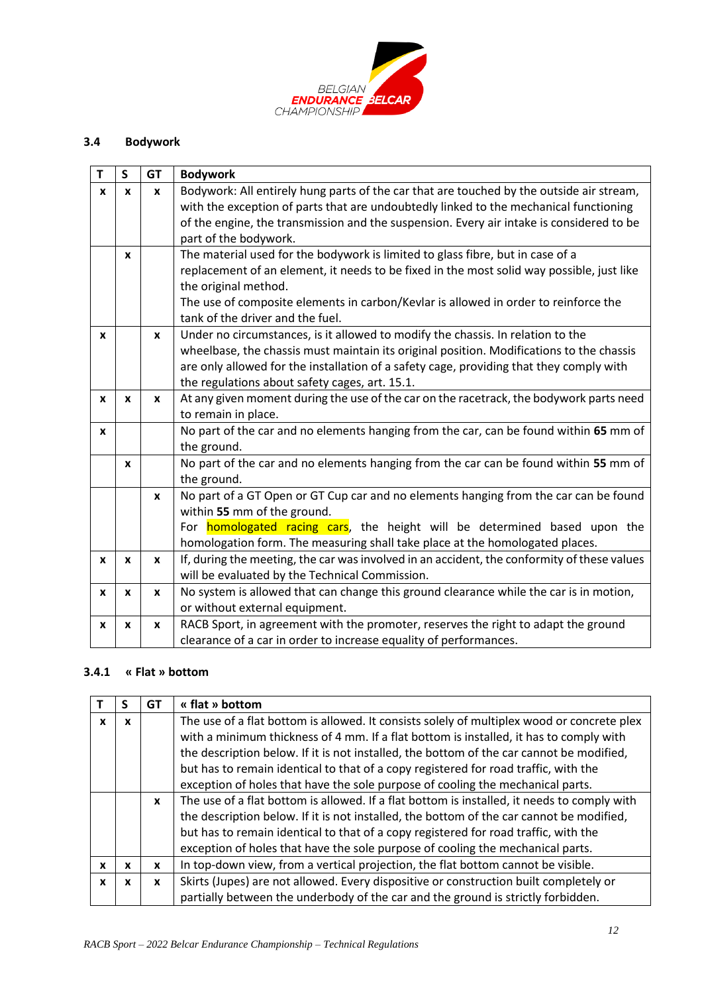

# **3.4 Bodywork**

| Τ | $\mathsf S$      | <b>GT</b> | <b>Bodywork</b>                                                                             |
|---|------------------|-----------|---------------------------------------------------------------------------------------------|
| X | $\mathbf{x}$     | X         | Bodywork: All entirely hung parts of the car that are touched by the outside air stream,    |
|   |                  |           | with the exception of parts that are undoubtedly linked to the mechanical functioning       |
|   |                  |           | of the engine, the transmission and the suspension. Every air intake is considered to be    |
|   |                  |           | part of the bodywork.                                                                       |
|   | X                |           | The material used for the bodywork is limited to glass fibre, but in case of a              |
|   |                  |           | replacement of an element, it needs to be fixed in the most solid way possible, just like   |
|   |                  |           | the original method.                                                                        |
|   |                  |           | The use of composite elements in carbon/Kevlar is allowed in order to reinforce the         |
|   |                  |           | tank of the driver and the fuel.                                                            |
| X |                  | X         | Under no circumstances, is it allowed to modify the chassis. In relation to the             |
|   |                  |           | wheelbase, the chassis must maintain its original position. Modifications to the chassis    |
|   |                  |           | are only allowed for the installation of a safety cage, providing that they comply with     |
|   |                  |           | the regulations about safety cages, art. 15.1.                                              |
| X | $\boldsymbol{x}$ | X         | At any given moment during the use of the car on the racetrack, the bodywork parts need     |
|   |                  |           | to remain in place.                                                                         |
| X |                  |           | No part of the car and no elements hanging from the car, can be found within 65 mm of       |
|   |                  |           | the ground.                                                                                 |
|   | X                |           | No part of the car and no elements hanging from the car can be found within 55 mm of        |
|   |                  |           | the ground.                                                                                 |
|   |                  | X         | No part of a GT Open or GT Cup car and no elements hanging from the car can be found        |
|   |                  |           | within 55 mm of the ground.                                                                 |
|   |                  |           | For <b>homologated racing cars</b> , the height will be determined based upon the           |
|   |                  |           | homologation form. The measuring shall take place at the homologated places.                |
| X | X                | X         | If, during the meeting, the car was involved in an accident, the conformity of these values |
|   |                  |           | will be evaluated by the Technical Commission.                                              |
| x | X                | X         | No system is allowed that can change this ground clearance while the car is in motion,      |
|   |                  |           | or without external equipment.                                                              |
| X | X                | X         | RACB Sport, in agreement with the promoter, reserves the right to adapt the ground          |
|   |                  |           | clearance of a car in order to increase equality of performances.                           |

### **3.4.1 « Flat » bottom**

|   |   | GT           | « flat » bottom                                                                             |
|---|---|--------------|---------------------------------------------------------------------------------------------|
| X | X |              | The use of a flat bottom is allowed. It consists solely of multiplex wood or concrete plex  |
|   |   |              | with a minimum thickness of 4 mm. If a flat bottom is installed, it has to comply with      |
|   |   |              | the description below. If it is not installed, the bottom of the car cannot be modified,    |
|   |   |              | but has to remain identical to that of a copy registered for road traffic, with the         |
|   |   |              | exception of holes that have the sole purpose of cooling the mechanical parts.              |
|   |   | $\mathbf{x}$ | The use of a flat bottom is allowed. If a flat bottom is installed, it needs to comply with |
|   |   |              | the description below. If it is not installed, the bottom of the car cannot be modified,    |
|   |   |              | but has to remain identical to that of a copy registered for road traffic, with the         |
|   |   |              | exception of holes that have the sole purpose of cooling the mechanical parts.              |
| X | x | x            | In top-down view, from a vertical projection, the flat bottom cannot be visible.            |
| X | x | X            | Skirts (Jupes) are not allowed. Every dispositive or construction built completely or       |
|   |   |              | partially between the underbody of the car and the ground is strictly forbidden.            |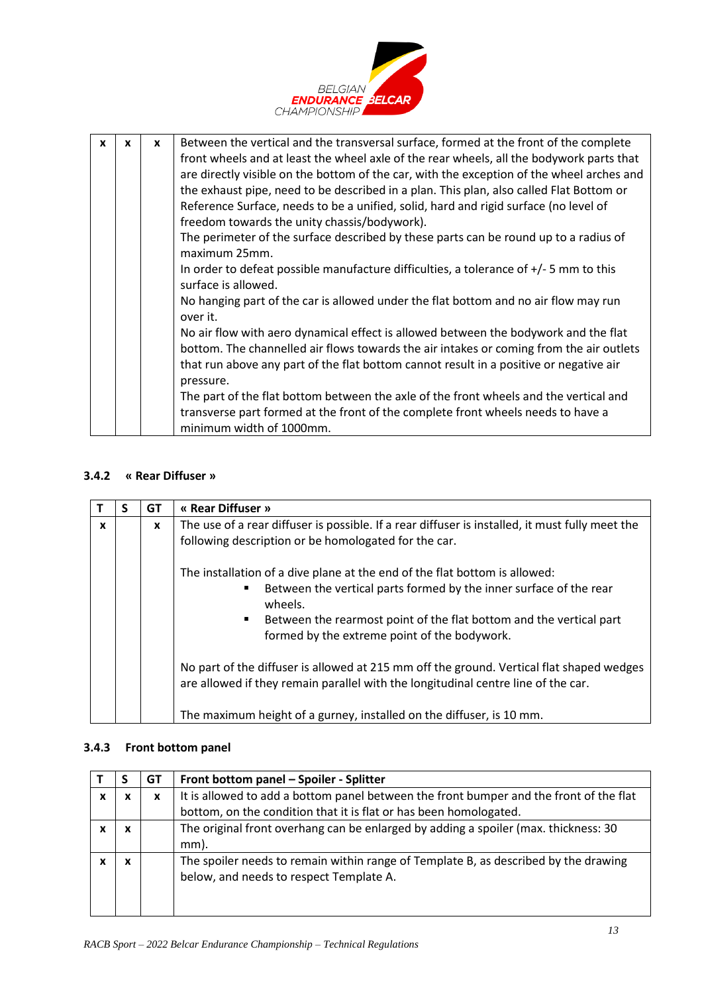

| $\mathbf{x}$ | X | $\mathbf{x}$ | Between the vertical and the transversal surface, formed at the front of the complete                         |
|--------------|---|--------------|---------------------------------------------------------------------------------------------------------------|
|              |   |              | front wheels and at least the wheel axle of the rear wheels, all the bodywork parts that                      |
|              |   |              |                                                                                                               |
|              |   |              | are directly visible on the bottom of the car, with the exception of the wheel arches and                     |
|              |   |              | the exhaust pipe, need to be described in a plan. This plan, also called Flat Bottom or                       |
|              |   |              | Reference Surface, needs to be a unified, solid, hard and rigid surface (no level of                          |
|              |   |              | freedom towards the unity chassis/bodywork).                                                                  |
|              |   |              | The perimeter of the surface described by these parts can be round up to a radius of<br>maximum 25mm.         |
|              |   |              |                                                                                                               |
|              |   |              | In order to defeat possible manufacture difficulties, a tolerance of $+/-5$ mm to this<br>surface is allowed. |
|              |   |              | No hanging part of the car is allowed under the flat bottom and no air flow may run<br>over it.               |
|              |   |              | No air flow with aero dynamical effect is allowed between the bodywork and the flat                           |
|              |   |              |                                                                                                               |
|              |   |              | bottom. The channelled air flows towards the air intakes or coming from the air outlets                       |
|              |   |              | that run above any part of the flat bottom cannot result in a positive or negative air                        |
|              |   |              | pressure.                                                                                                     |
|              |   |              | The part of the flat bottom between the axle of the front wheels and the vertical and                         |
|              |   |              | transverse part formed at the front of the complete front wheels needs to have a                              |
|              |   |              | minimum width of 1000mm.                                                                                      |
|              |   |              |                                                                                                               |

# **3.4.2 « Rear Diffuser »**

|   | S | GT | « Rear Diffuser »                                                                                                                                                                                                                                                                       |
|---|---|----|-----------------------------------------------------------------------------------------------------------------------------------------------------------------------------------------------------------------------------------------------------------------------------------------|
| X |   | X  | The use of a rear diffuser is possible. If a rear diffuser is installed, it must fully meet the<br>following description or be homologated for the car.                                                                                                                                 |
|   |   |    | The installation of a dive plane at the end of the flat bottom is allowed:<br>Between the vertical parts formed by the inner surface of the rear<br>wheels.<br>Between the rearmost point of the flat bottom and the vertical part<br>٠<br>formed by the extreme point of the bodywork. |
|   |   |    | No part of the diffuser is allowed at 215 mm off the ground. Vertical flat shaped wedges<br>are allowed if they remain parallel with the longitudinal centre line of the car.<br>The maximum height of a gurney, installed on the diffuser, is 10 mm.                                   |

### **3.4.3 Front bottom panel**

|   |        | GT | Front bottom panel - Spoiler - Splitter                                                                                        |
|---|--------|----|--------------------------------------------------------------------------------------------------------------------------------|
| X | x      | x  | It is allowed to add a bottom panel between the front bumper and the front of the flat                                         |
|   |        |    | bottom, on the condition that it is flat or has been homologated.                                                              |
|   | X      |    | The original front overhang can be enlarged by adding a spoiler (max. thickness: 30                                            |
|   |        |    | mm).                                                                                                                           |
|   | v<br>^ |    | The spoiler needs to remain within range of Template B, as described by the drawing<br>below, and needs to respect Template A. |
|   |        |    |                                                                                                                                |
|   |        |    |                                                                                                                                |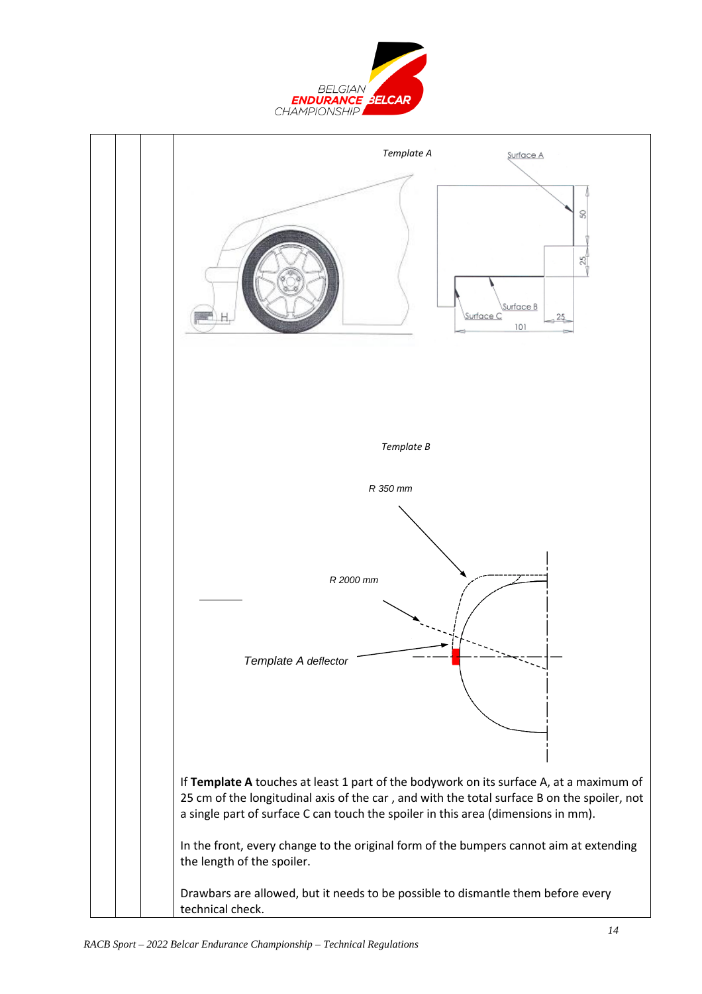

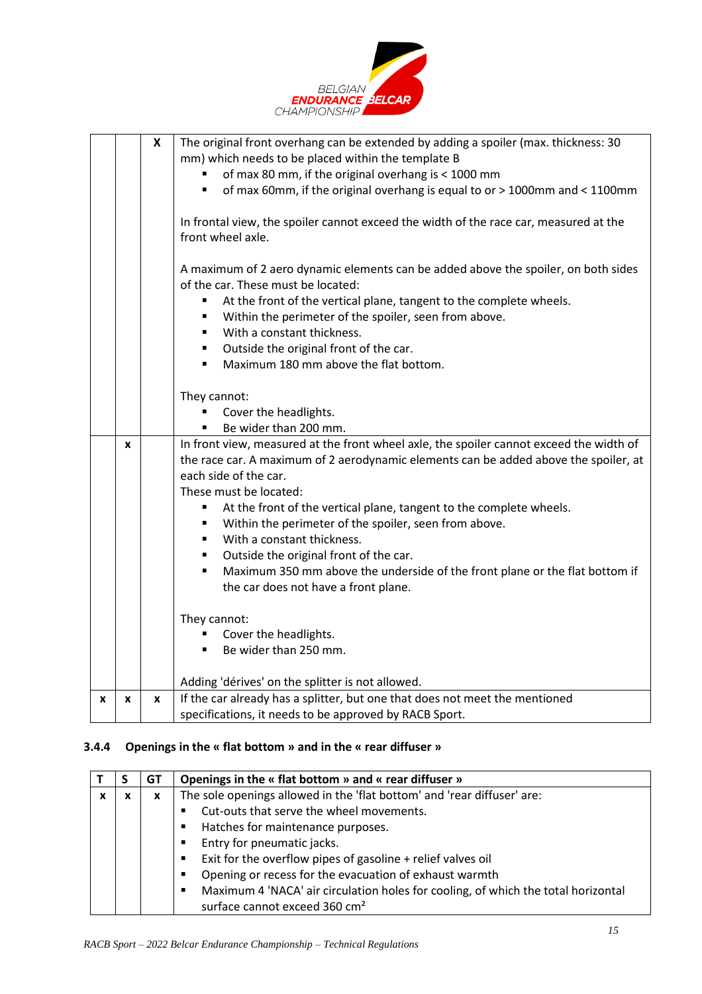

|   |   | X | The original front overhang can be extended by adding a spoiler (max. thickness: 30<br>mm) which needs to be placed within the template B |
|---|---|---|-------------------------------------------------------------------------------------------------------------------------------------------|
|   |   |   | of max 80 mm, if the original overhang is < 1000 mm                                                                                       |
|   |   |   | of max 60mm, if the original overhang is equal to or > 1000mm and < 1100mm<br>٠                                                           |
|   |   |   | In frontal view, the spoiler cannot exceed the width of the race car, measured at the<br>front wheel axle.                                |
|   |   |   | A maximum of 2 aero dynamic elements can be added above the spoiler, on both sides<br>of the car. These must be located:                  |
|   |   |   | At the front of the vertical plane, tangent to the complete wheels.<br>٠                                                                  |
|   |   |   | Within the perimeter of the spoiler, seen from above.<br>٠                                                                                |
|   |   |   | With a constant thickness.<br>٠                                                                                                           |
|   |   |   | Outside the original front of the car.<br>٠                                                                                               |
|   |   |   | Maximum 180 mm above the flat bottom.<br>$\blacksquare$                                                                                   |
|   |   |   | They cannot:                                                                                                                              |
|   |   |   | Cover the headlights.<br>٠                                                                                                                |
|   |   |   | Be wider than 200 mm.<br>$\blacksquare$                                                                                                   |
|   | X |   | In front view, measured at the front wheel axle, the spoiler cannot exceed the width of                                                   |
|   |   |   | the race car. A maximum of 2 aerodynamic elements can be added above the spoiler, at                                                      |
|   |   |   | each side of the car.                                                                                                                     |
|   |   |   | These must be located:                                                                                                                    |
|   |   |   | At the front of the vertical plane, tangent to the complete wheels.<br>٠                                                                  |
|   |   |   | Within the perimeter of the spoiler, seen from above.<br>٠                                                                                |
|   |   |   | With a constant thickness.<br>٠                                                                                                           |
|   |   |   | Outside the original front of the car.                                                                                                    |
|   |   |   | Maximum 350 mm above the underside of the front plane or the flat bottom if<br>$\blacksquare$                                             |
|   |   |   | the car does not have a front plane.                                                                                                      |
|   |   |   | They cannot:                                                                                                                              |
|   |   |   | Cover the headlights.                                                                                                                     |
|   |   |   | Be wider than 250 mm.<br>$\blacksquare$                                                                                                   |
|   |   |   | Adding 'dérives' on the splitter is not allowed.                                                                                          |
| X | x | X | If the car already has a splitter, but one that does not meet the mentioned                                                               |
|   |   |   | specifications, it needs to be approved by RACB Sport.                                                                                    |

### **3.4.4 Openings in the « flat bottom » and in the « rear diffuser »**

|   | GT | Openings in the « flat bottom » and « rear diffuser »                                               |  |  |  |  |  |  |
|---|----|-----------------------------------------------------------------------------------------------------|--|--|--|--|--|--|
| X | x  | The sole openings allowed in the 'flat bottom' and 'rear diffuser' are:                             |  |  |  |  |  |  |
|   |    | Cut-outs that serve the wheel movements.                                                            |  |  |  |  |  |  |
|   |    | Hatches for maintenance purposes.                                                                   |  |  |  |  |  |  |
|   |    | Entry for pneumatic jacks.<br>$\blacksquare$                                                        |  |  |  |  |  |  |
|   |    | Exit for the overflow pipes of gasoline + relief valves oil                                         |  |  |  |  |  |  |
|   |    | Opening or recess for the evacuation of exhaust warmth<br>п                                         |  |  |  |  |  |  |
|   |    | Maximum 4 'NACA' air circulation holes for cooling, of which the total horizontal<br>$\blacksquare$ |  |  |  |  |  |  |
|   |    | surface cannot exceed 360 cm <sup>2</sup>                                                           |  |  |  |  |  |  |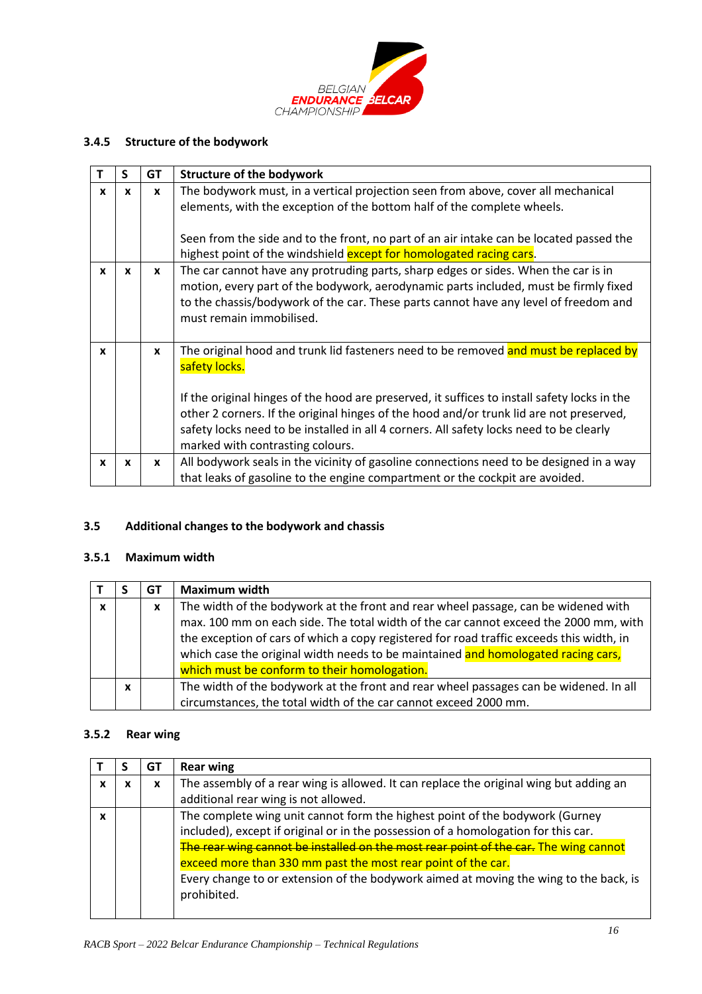

# **3.4.5 Structure of the bodywork**

|              | S            | GT           | <b>Structure of the bodywork</b>                                                                                                                                                                                                                                                                                                                                                                                                |  |  |  |  |  |
|--------------|--------------|--------------|---------------------------------------------------------------------------------------------------------------------------------------------------------------------------------------------------------------------------------------------------------------------------------------------------------------------------------------------------------------------------------------------------------------------------------|--|--|--|--|--|
| x            | X            | $\mathbf{x}$ | The bodywork must, in a vertical projection seen from above, cover all mechanical<br>elements, with the exception of the bottom half of the complete wheels.<br>Seen from the side and to the front, no part of an air intake can be located passed the<br>highest point of the windshield except for homologated racing cars.                                                                                                  |  |  |  |  |  |
| $\mathbf{x}$ | X            | X            | The car cannot have any protruding parts, sharp edges or sides. When the car is in<br>motion, every part of the bodywork, aerodynamic parts included, must be firmly fixed<br>to the chassis/bodywork of the car. These parts cannot have any level of freedom and<br>must remain immobilised.                                                                                                                                  |  |  |  |  |  |
| $\mathbf{x}$ |              | $\mathbf{x}$ | The original hood and trunk lid fasteners need to be removed and must be replaced by<br>safety locks.<br>If the original hinges of the hood are preserved, it suffices to install safety locks in the<br>other 2 corners. If the original hinges of the hood and/or trunk lid are not preserved,<br>safety locks need to be installed in all 4 corners. All safety locks need to be clearly<br>marked with contrasting colours. |  |  |  |  |  |
| $\mathbf{x}$ | $\mathbf{x}$ | X            | All bodywork seals in the vicinity of gasoline connections need to be designed in a way<br>that leaks of gasoline to the engine compartment or the cockpit are avoided.                                                                                                                                                                                                                                                         |  |  |  |  |  |

# **3.5 Additional changes to the bodywork and chassis**

# **3.5.1 Maximum width**

|              |   | GТ | <b>Maximum width</b>                                                                                                                                                                                                                                                                                                                                                                                        |  |
|--------------|---|----|-------------------------------------------------------------------------------------------------------------------------------------------------------------------------------------------------------------------------------------------------------------------------------------------------------------------------------------------------------------------------------------------------------------|--|
| $\mathbf{x}$ |   | X  | The width of the bodywork at the front and rear wheel passage, can be widened with<br>max. 100 mm on each side. The total width of the car cannot exceed the 2000 mm, with<br>the exception of cars of which a copy registered for road traffic exceeds this width, in<br>which case the original width needs to be maintained and homologated racing cars,<br>which must be conform to their homologation. |  |
|              | X |    | The width of the bodywork at the front and rear wheel passages can be widened. In all<br>circumstances, the total width of the car cannot exceed 2000 mm.                                                                                                                                                                                                                                                   |  |

# **3.5.2 Rear wing**

|  |                                                                                       | GT                                                           | <b>Rear wing</b>                                                                       |  |  |  |  |  |  |  |
|--|---------------------------------------------------------------------------------------|--------------------------------------------------------------|----------------------------------------------------------------------------------------|--|--|--|--|--|--|--|
|  | x                                                                                     | x                                                            | The assembly of a rear wing is allowed. It can replace the original wing but adding an |  |  |  |  |  |  |  |
|  |                                                                                       |                                                              | additional rear wing is not allowed.                                                   |  |  |  |  |  |  |  |
|  |                                                                                       |                                                              | The complete wing unit cannot form the highest point of the bodywork (Gurney           |  |  |  |  |  |  |  |
|  |                                                                                       |                                                              | included), except if original or in the possession of a homologation for this car.     |  |  |  |  |  |  |  |
|  |                                                                                       |                                                              | The rear wing cannot be installed on the most rear point of the car. The wing cannot   |  |  |  |  |  |  |  |
|  |                                                                                       | exceed more than 330 mm past the most rear point of the car. |                                                                                        |  |  |  |  |  |  |  |
|  | Every change to or extension of the bodywork aimed at moving the wing to the back, is |                                                              |                                                                                        |  |  |  |  |  |  |  |
|  |                                                                                       |                                                              | prohibited.                                                                            |  |  |  |  |  |  |  |
|  |                                                                                       |                                                              |                                                                                        |  |  |  |  |  |  |  |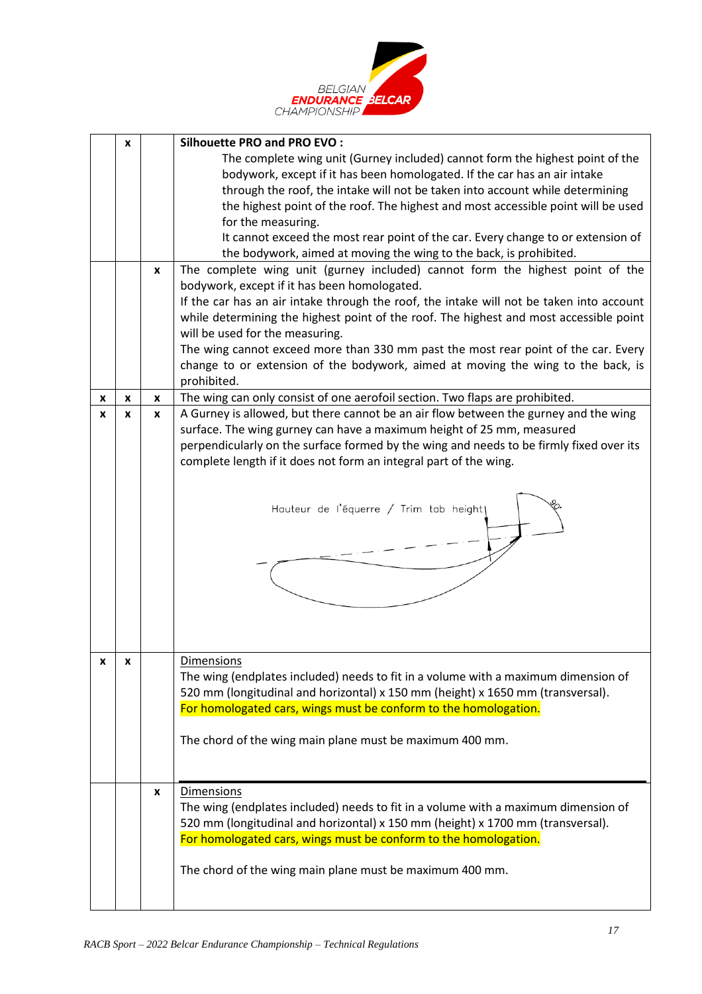

|   | X |   | <b>Silhouette PRO and PRO EVO:</b>                                                       |  |  |  |  |  |  |
|---|---|---|------------------------------------------------------------------------------------------|--|--|--|--|--|--|
|   |   |   | The complete wing unit (Gurney included) cannot form the highest point of the            |  |  |  |  |  |  |
|   |   |   | bodywork, except if it has been homologated. If the car has an air intake                |  |  |  |  |  |  |
|   |   |   | through the roof, the intake will not be taken into account while determining            |  |  |  |  |  |  |
|   |   |   | the highest point of the roof. The highest and most accessible point will be used        |  |  |  |  |  |  |
|   |   |   | for the measuring.                                                                       |  |  |  |  |  |  |
|   |   |   | It cannot exceed the most rear point of the car. Every change to or extension of         |  |  |  |  |  |  |
|   |   |   | the bodywork, aimed at moving the wing to the back, is prohibited.                       |  |  |  |  |  |  |
|   |   | X | The complete wing unit (gurney included) cannot form the highest point of the            |  |  |  |  |  |  |
|   |   |   | bodywork, except if it has been homologated.                                             |  |  |  |  |  |  |
|   |   |   | If the car has an air intake through the roof, the intake will not be taken into account |  |  |  |  |  |  |
|   |   |   | while determining the highest point of the roof. The highest and most accessible point   |  |  |  |  |  |  |
|   |   |   | will be used for the measuring.                                                          |  |  |  |  |  |  |
|   |   |   | The wing cannot exceed more than 330 mm past the most rear point of the car. Every       |  |  |  |  |  |  |
|   |   |   | change to or extension of the bodywork, aimed at moving the wing to the back, is         |  |  |  |  |  |  |
|   |   |   | prohibited.                                                                              |  |  |  |  |  |  |
| x | X | X | The wing can only consist of one aerofoil section. Two flaps are prohibited.             |  |  |  |  |  |  |
| x | x | x | A Gurney is allowed, but there cannot be an air flow between the gurney and the wing     |  |  |  |  |  |  |
|   |   |   | surface. The wing gurney can have a maximum height of 25 mm, measured                    |  |  |  |  |  |  |
|   |   |   | perpendicularly on the surface formed by the wing and needs to be firmly fixed over its  |  |  |  |  |  |  |
|   |   |   | complete length if it does not form an integral part of the wing.                        |  |  |  |  |  |  |
|   |   |   |                                                                                          |  |  |  |  |  |  |
|   |   |   |                                                                                          |  |  |  |  |  |  |
|   |   |   | Hauteur de l'équerre / Trim tab height                                                   |  |  |  |  |  |  |
|   |   |   |                                                                                          |  |  |  |  |  |  |
|   |   |   |                                                                                          |  |  |  |  |  |  |
|   |   |   |                                                                                          |  |  |  |  |  |  |
|   |   |   |                                                                                          |  |  |  |  |  |  |
|   |   |   |                                                                                          |  |  |  |  |  |  |
|   |   |   |                                                                                          |  |  |  |  |  |  |
|   |   |   |                                                                                          |  |  |  |  |  |  |
|   |   |   |                                                                                          |  |  |  |  |  |  |
|   |   |   |                                                                                          |  |  |  |  |  |  |
| x | x |   | <b>Dimensions</b>                                                                        |  |  |  |  |  |  |
|   |   |   | The wing (endplates included) needs to fit in a volume with a maximum dimension of       |  |  |  |  |  |  |
|   |   |   | 520 mm (longitudinal and horizontal) x 150 mm (height) x 1650 mm (transversal).          |  |  |  |  |  |  |
|   |   |   | For homologated cars, wings must be conform to the homologation.                         |  |  |  |  |  |  |
|   |   |   |                                                                                          |  |  |  |  |  |  |
|   |   |   | The chord of the wing main plane must be maximum 400 mm.                                 |  |  |  |  |  |  |
|   |   |   |                                                                                          |  |  |  |  |  |  |
|   |   |   |                                                                                          |  |  |  |  |  |  |
|   |   | X | Dimensions                                                                               |  |  |  |  |  |  |
|   |   |   | The wing (endplates included) needs to fit in a volume with a maximum dimension of       |  |  |  |  |  |  |
|   |   |   | 520 mm (longitudinal and horizontal) x 150 mm (height) x 1700 mm (transversal).          |  |  |  |  |  |  |
|   |   |   | For homologated cars, wings must be conform to the homologation.                         |  |  |  |  |  |  |
|   |   |   |                                                                                          |  |  |  |  |  |  |
|   |   |   | The chord of the wing main plane must be maximum 400 mm.                                 |  |  |  |  |  |  |
|   |   |   |                                                                                          |  |  |  |  |  |  |
|   |   |   |                                                                                          |  |  |  |  |  |  |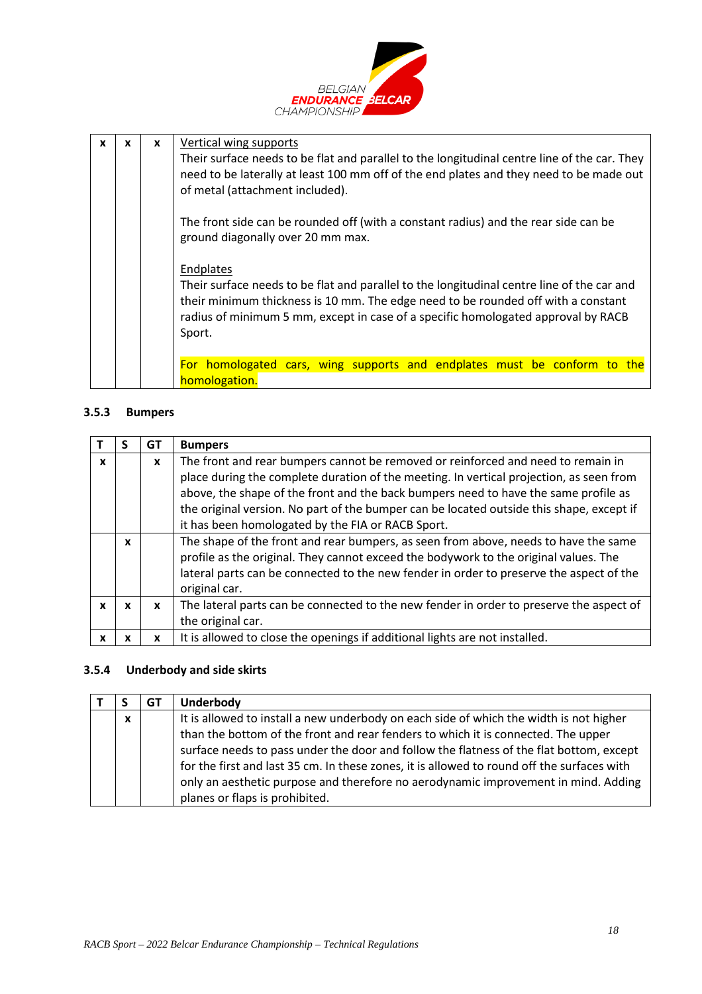

| $\mathbf x$ | x | Vertical wing supports<br>X<br>Their surface needs to be flat and parallel to the longitudinal centre line of the car. They<br>need to be laterally at least 100 mm off of the end plates and they need to be made out<br>of metal (attachment included). |                                                                                                                                                                                                                                                                                             |  |  |  |  |  |  |  |
|-------------|---|-----------------------------------------------------------------------------------------------------------------------------------------------------------------------------------------------------------------------------------------------------------|---------------------------------------------------------------------------------------------------------------------------------------------------------------------------------------------------------------------------------------------------------------------------------------------|--|--|--|--|--|--|--|
|             |   |                                                                                                                                                                                                                                                           | The front side can be rounded off (with a constant radius) and the rear side can be<br>ground diagonally over 20 mm max.                                                                                                                                                                    |  |  |  |  |  |  |  |
|             |   |                                                                                                                                                                                                                                                           | Endplates<br>Their surface needs to be flat and parallel to the longitudinal centre line of the car and<br>their minimum thickness is 10 mm. The edge need to be rounded off with a constant<br>radius of minimum 5 mm, except in case of a specific homologated approval by RACB<br>Sport. |  |  |  |  |  |  |  |
|             |   |                                                                                                                                                                                                                                                           | For homologated cars, wing supports and endplates must be conform to the<br>homologation.                                                                                                                                                                                                   |  |  |  |  |  |  |  |

## **3.5.3 Bumpers**

|   |   | GТ           | <b>Bumpers</b>                                                                           |  |  |  |  |  |  |
|---|---|--------------|------------------------------------------------------------------------------------------|--|--|--|--|--|--|
| x |   | $\mathbf{x}$ | The front and rear bumpers cannot be removed or reinforced and need to remain in         |  |  |  |  |  |  |
|   |   |              | place during the complete duration of the meeting. In vertical projection, as seen from  |  |  |  |  |  |  |
|   |   |              | above, the shape of the front and the back bumpers need to have the same profile as      |  |  |  |  |  |  |
|   |   |              | the original version. No part of the bumper can be located outside this shape, except if |  |  |  |  |  |  |
|   |   |              | it has been homologated by the FIA or RACB Sport.                                        |  |  |  |  |  |  |
|   | X |              | The shape of the front and rear bumpers, as seen from above, needs to have the same      |  |  |  |  |  |  |
|   |   |              | profile as the original. They cannot exceed the bodywork to the original values. The     |  |  |  |  |  |  |
|   |   |              | lateral parts can be connected to the new fender in order to preserve the aspect of the  |  |  |  |  |  |  |
|   |   |              | original car.                                                                            |  |  |  |  |  |  |
| x | X | X            | The lateral parts can be connected to the new fender in order to preserve the aspect of  |  |  |  |  |  |  |
|   |   |              | the original car.                                                                        |  |  |  |  |  |  |
|   | x | x            | It is allowed to close the openings if additional lights are not installed.              |  |  |  |  |  |  |

### **3.5.4 Underbody and side skirts**

|                  | GT | <b>Underbody</b>                                                                           |  |  |  |  |  |  |
|------------------|----|--------------------------------------------------------------------------------------------|--|--|--|--|--|--|
| $\boldsymbol{x}$ |    | It is allowed to install a new underbody on each side of which the width is not higher     |  |  |  |  |  |  |
|                  |    | than the bottom of the front and rear fenders to which it is connected. The upper          |  |  |  |  |  |  |
|                  |    | surface needs to pass under the door and follow the flatness of the flat bottom, except    |  |  |  |  |  |  |
|                  |    | for the first and last 35 cm. In these zones, it is allowed to round off the surfaces with |  |  |  |  |  |  |
|                  |    | only an aesthetic purpose and therefore no aerodynamic improvement in mind. Adding         |  |  |  |  |  |  |
|                  |    | planes or flaps is prohibited.                                                             |  |  |  |  |  |  |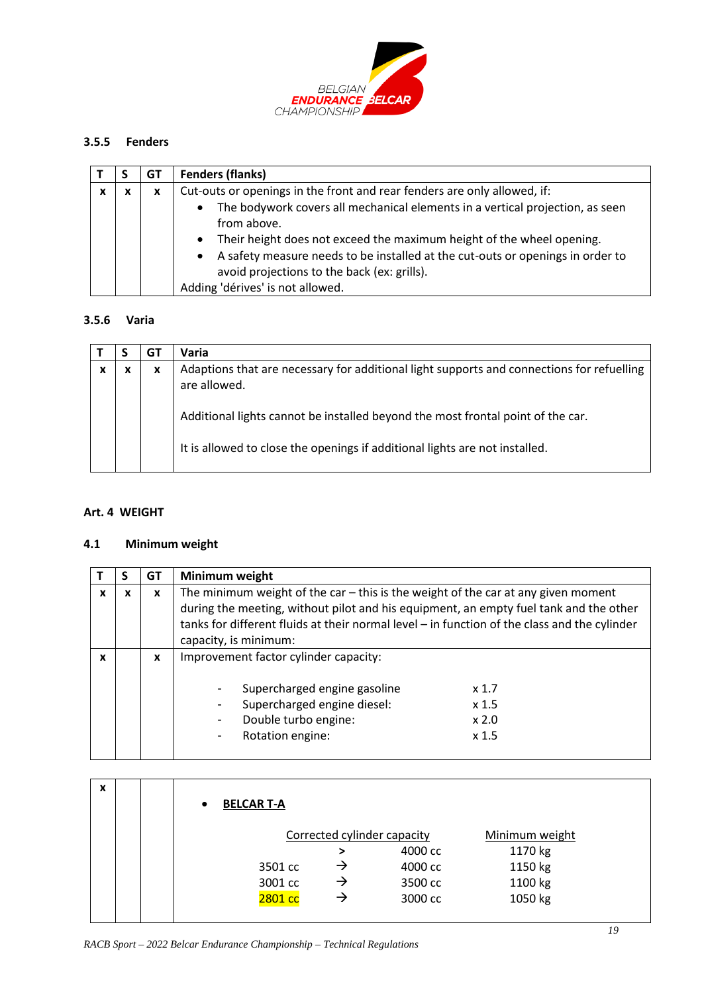

# **3.5.5 Fenders**

|   |   | GT | <b>Fenders (flanks)</b>                                                                                                                                                                                                                                                                                                                                                                                                |
|---|---|----|------------------------------------------------------------------------------------------------------------------------------------------------------------------------------------------------------------------------------------------------------------------------------------------------------------------------------------------------------------------------------------------------------------------------|
| X | x | X  | Cut-outs or openings in the front and rear fenders are only allowed, if:<br>The bodywork covers all mechanical elements in a vertical projection, as seen<br>from above.<br>Their height does not exceed the maximum height of the wheel opening.<br>A safety measure needs to be installed at the cut-outs or openings in order to<br>avoid projections to the back (ex: grills).<br>Adding 'dérives' is not allowed. |

# **3.5.6 Varia**

|  | GT | Varia                                                                                                     |
|--|----|-----------------------------------------------------------------------------------------------------------|
|  | x  | Adaptions that are necessary for additional light supports and connections for refuelling<br>are allowed. |
|  |    | Additional lights cannot be installed beyond the most frontal point of the car.                           |
|  |    | It is allowed to close the openings if additional lights are not installed.                               |

## <span id="page-18-0"></span>**Art. 4 WEIGHT**

# **4.1 Minimum weight**

|              |   | GT | Minimum weight                                                                                                                                                                                                                                                                                        |  |  |  |
|--------------|---|----|-------------------------------------------------------------------------------------------------------------------------------------------------------------------------------------------------------------------------------------------------------------------------------------------------------|--|--|--|
| X            | x | X  | The minimum weight of the car $-$ this is the weight of the car at any given moment<br>during the meeting, without pilot and his equipment, an empty fuel tank and the other<br>tanks for different fluids at their normal level - in function of the class and the cylinder<br>capacity, is minimum: |  |  |  |
| $\mathbf{x}$ |   | X  | Improvement factor cylinder capacity:<br>Supercharged engine gasoline<br>x <sub>1.7</sub><br>Supercharged engine diesel:<br>x <sub>1.5</sub><br>Double turbo engine:<br>$x$ 2.0<br>$\overline{\phantom{a}}$<br>Rotation engine:<br>x <sub>1.5</sub><br>$\overline{\phantom{a}}$                       |  |  |  |

| X | <b>BELCAR T-A</b><br>$\bullet$ |   |                             |                |  |
|---|--------------------------------|---|-----------------------------|----------------|--|
|   |                                |   | Corrected cylinder capacity | Minimum weight |  |
|   |                                | > | 4000 cc                     | 1170 kg        |  |
|   | 3501 cc                        | → | 4000 cc                     | 1150 kg        |  |
|   | 3001 cc                        | → | 3500 cc                     | 1100 kg        |  |
|   | 2801 cc                        | → | 3000 cc                     | 1050 kg        |  |
|   |                                |   |                             |                |  |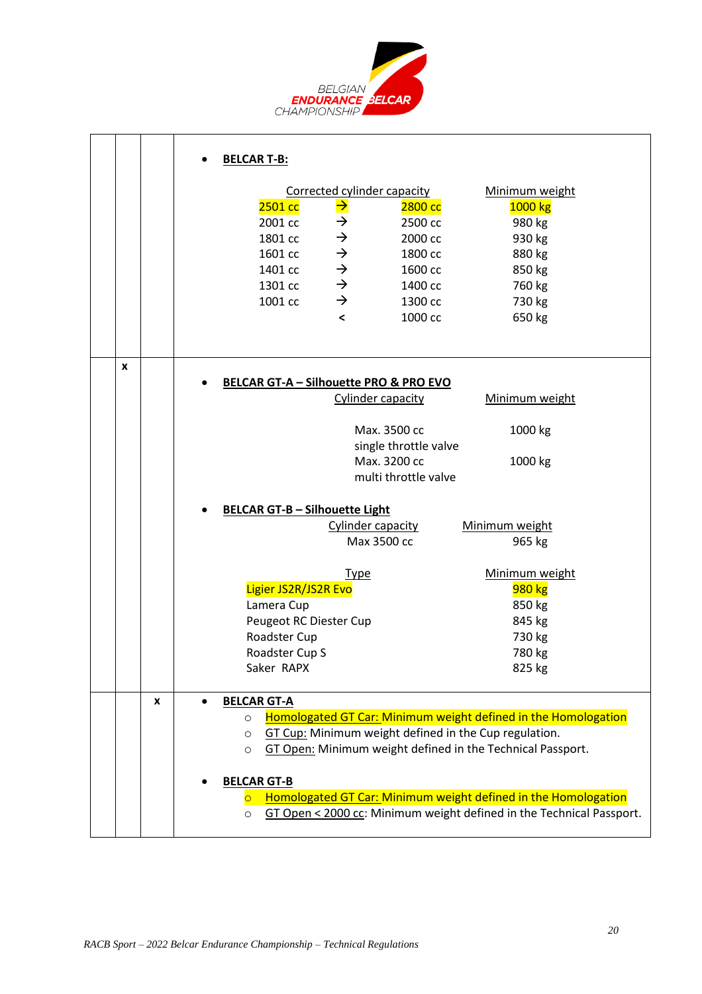

|   |   | <b>BELCAR T-B:</b>                                                               |
|---|---|----------------------------------------------------------------------------------|
|   |   | Corrected cylinder capacity<br>Minimum weight                                    |
|   |   | $\rightarrow$<br>2501 cc<br>2800 cc<br>1000 kg                                   |
|   |   | $\rightarrow$<br>2001 cc<br>2500 cc<br>980 kg                                    |
|   |   | $\rightarrow$<br>1801 cc<br>2000 cc<br>930 kg                                    |
|   |   | $\rightarrow$<br>1601 cc<br>1800 cc<br>880 kg                                    |
|   |   | $\rightarrow$<br>1401 cc<br>1600 cc<br>850 kg                                    |
|   |   | $\rightarrow$<br>1301 cc<br>760 kg<br>1400 cc                                    |
|   |   | $\rightarrow$<br>1001 cc<br>730 kg<br>1300 cc                                    |
|   |   | $\prec$<br>1000 cc<br>650 kg                                                     |
|   |   |                                                                                  |
| X |   | <b>BELCAR GT-A - Silhouette PRO &amp; PRO EVO</b>                                |
|   |   | Cylinder capacity<br>Minimum weight                                              |
|   |   | Max. 3500 cc<br>1000 kg                                                          |
|   |   | single throttle valve                                                            |
|   |   | Max. 3200 cc<br>1000 kg                                                          |
|   |   | multi throttle valve                                                             |
|   |   |                                                                                  |
|   |   | <b>BELCAR GT-B - Silhouette Light</b>                                            |
|   |   | Cylinder capacity<br>Minimum weight<br>Max 3500 cc                               |
|   |   | 965 kg                                                                           |
|   |   | Minimum weight<br><b>Type</b>                                                    |
|   |   | Ligier JS2R/JS2R Evo<br><b>980 kg</b>                                            |
|   |   | Lamera Cup<br>850 kg                                                             |
|   |   | Peugeot RC Diester Cup<br>845 kg                                                 |
|   |   | Roadster Cup<br>730 kg                                                           |
|   |   | Roadster Cup S<br>780 kg                                                         |
|   |   | Saker RAPX<br>825 kg                                                             |
|   | X | <b>BELCAR GT-A</b>                                                               |
|   |   | Homologated GT Car: Minimum weight defined in the Homologation<br>$\circ$        |
|   |   | GT Cup: Minimum weight defined in the Cup regulation.<br>$\circ$                 |
|   |   | GT Open: Minimum weight defined in the Technical Passport.<br>$\circ$            |
|   |   | <b>BELCAR GT-B</b>                                                               |
|   |   | Homologated GT Car: Minimum weight defined in the Homologation<br>$\overline{O}$ |
|   |   | GT Open < 2000 cc: Minimum weight defined in the Technical Passport.<br>$\circ$  |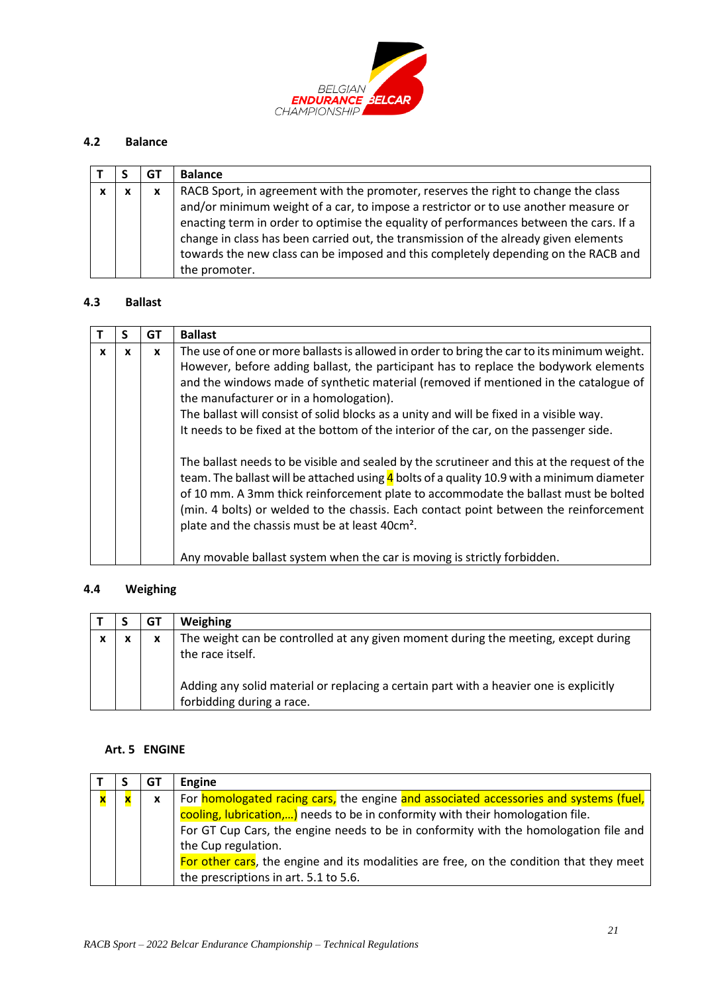

## **4.2 Balance**

|   |   | G1 | <b>Balance</b>                                                                                                                                                                                                                                                                                                                                                                                                                                    |
|---|---|----|---------------------------------------------------------------------------------------------------------------------------------------------------------------------------------------------------------------------------------------------------------------------------------------------------------------------------------------------------------------------------------------------------------------------------------------------------|
| X | x | x  | RACB Sport, in agreement with the promoter, reserves the right to change the class<br>and/or minimum weight of a car, to impose a restrictor or to use another measure or<br>enacting term in order to optimise the equality of performances between the cars. If a<br>change in class has been carried out, the transmission of the already given elements<br>towards the new class can be imposed and this completely depending on the RACB and |
|   |   |    | the promoter.                                                                                                                                                                                                                                                                                                                                                                                                                                     |

#### **4.3 Ballast**

|   |   | GТ           | <b>Ballast</b>                                                                                                                                                                                                                                                                                                                                                                                                                                                                                                                  |
|---|---|--------------|---------------------------------------------------------------------------------------------------------------------------------------------------------------------------------------------------------------------------------------------------------------------------------------------------------------------------------------------------------------------------------------------------------------------------------------------------------------------------------------------------------------------------------|
| X | x | $\mathbf{x}$ | The use of one or more ballasts is allowed in order to bring the car to its minimum weight.<br>However, before adding ballast, the participant has to replace the bodywork elements<br>and the windows made of synthetic material (removed if mentioned in the catalogue of<br>the manufacturer or in a homologation).<br>The ballast will consist of solid blocks as a unity and will be fixed in a visible way.<br>It needs to be fixed at the bottom of the interior of the car, on the passenger side.                      |
|   |   |              | The ballast needs to be visible and sealed by the scrutineer and this at the request of the<br>team. The ballast will be attached using $\frac{4}{1}$ bolts of a quality 10.9 with a minimum diameter<br>of 10 mm. A 3mm thick reinforcement plate to accommodate the ballast must be bolted<br>(min. 4 bolts) or welded to the chassis. Each contact point between the reinforcement<br>plate and the chassis must be at least 40cm <sup>2</sup> .<br>Any movable ballast system when the car is moving is strictly forbidden. |

# **4.4 Weighing**

|   | GT | Weighing                                                                                                            |
|---|----|---------------------------------------------------------------------------------------------------------------------|
| X | x  | The weight can be controlled at any given moment during the meeting, except during<br>the race itself.              |
|   |    | Adding any solid material or replacing a certain part with a heavier one is explicitly<br>forbidding during a race. |

## <span id="page-20-0"></span>**Art. 5 ENGINE**

|  | GТ       | Engine                                                                                  |
|--|----------|-----------------------------------------------------------------------------------------|
|  | <b>X</b> | For homologated racing cars, the engine and associated accessories and systems (fuel,   |
|  |          | cooling, lubrication,) needs to be in conformity with their homologation file.          |
|  |          | For GT Cup Cars, the engine needs to be in conformity with the homologation file and    |
|  |          | the Cup regulation.                                                                     |
|  |          | For other cars, the engine and its modalities are free, on the condition that they meet |
|  |          | the prescriptions in art. 5.1 to 5.6.                                                   |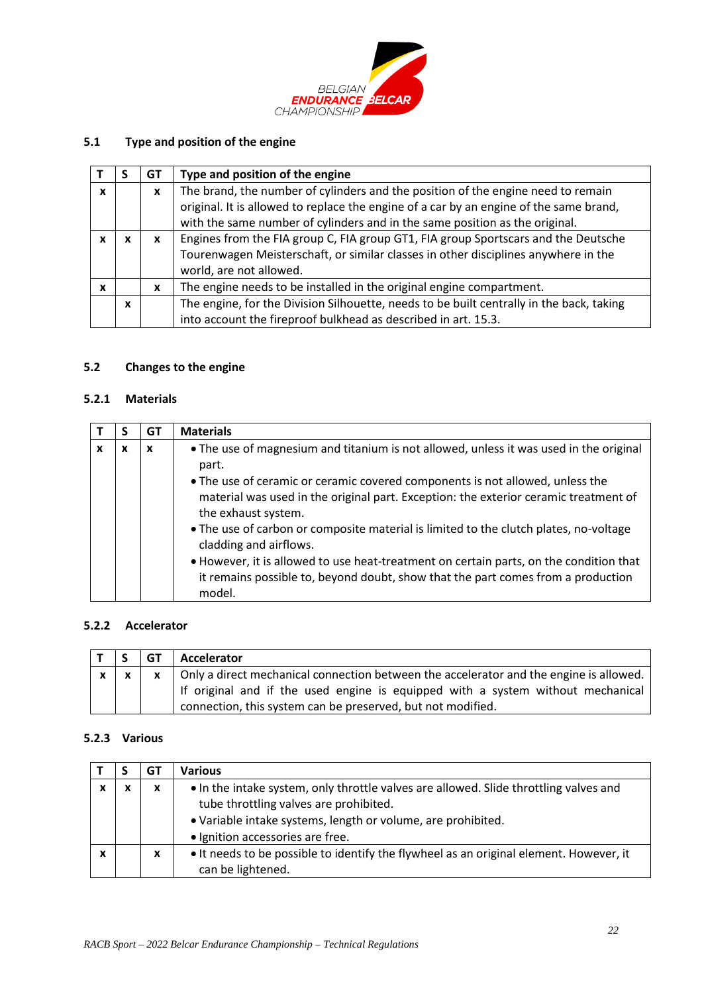

# **5.1 Type and position of the engine**

|   |              | GT | Type and position of the engine                                                          |
|---|--------------|----|------------------------------------------------------------------------------------------|
| X |              | X  | The brand, the number of cylinders and the position of the engine need to remain         |
|   |              |    | original. It is allowed to replace the engine of a car by an engine of the same brand,   |
|   |              |    | with the same number of cylinders and in the same position as the original.              |
|   |              | x  | Engines from the FIA group C, FIA group GT1, FIA group Sportscars and the Deutsche       |
|   |              |    | Tourenwagen Meisterschaft, or similar classes in other disciplines anywhere in the       |
|   |              |    | world, are not allowed.                                                                  |
| X |              | x  | The engine needs to be installed in the original engine compartment.                     |
|   | $\mathbf{x}$ |    | The engine, for the Division Silhouette, needs to be built centrally in the back, taking |
|   |              |    | into account the fireproof bulkhead as described in art. 15.3.                           |

# **5.2 Changes to the engine**

## **5.2.1 Materials**

|   | GT | <b>Materials</b>                                                                                                                                                                             |
|---|----|----------------------------------------------------------------------------------------------------------------------------------------------------------------------------------------------|
| x | x  | • The use of magnesium and titanium is not allowed, unless it was used in the original<br>part.                                                                                              |
|   |    | • The use of ceramic or ceramic covered components is not allowed, unless the<br>material was used in the original part. Exception: the exterior ceramic treatment of<br>the exhaust system. |
|   |    | • The use of carbon or composite material is limited to the clutch plates, no-voltage<br>cladding and airflows.                                                                              |
|   |    | • However, it is allowed to use heat-treatment on certain parts, on the condition that<br>it remains possible to, beyond doubt, show that the part comes from a production<br>model.         |

### **5.2.2 Accelerator**

|  | l GT | Accelerator                                                                                                                                                               |
|--|------|---------------------------------------------------------------------------------------------------------------------------------------------------------------------------|
|  |      | Only a direct mechanical connection between the accelerator and the engine is allowed.<br>If original and if the used engine is equipped with a system without mechanical |
|  |      | connection, this system can be preserved, but not modified.                                                                                                               |

# **5.2.3 Various**

|   | GT | Various                                                                                                                                                                                                                             |
|---|----|-------------------------------------------------------------------------------------------------------------------------------------------------------------------------------------------------------------------------------------|
|   | x  | • In the intake system, only throttle valves are allowed. Slide throttling valves and<br>tube throttling valves are prohibited.<br>• Variable intake systems, length or volume, are prohibited.<br>· Ignition accessories are free. |
| x | X  | • It needs to be possible to identify the flywheel as an original element. However, it<br>can be lightened.                                                                                                                         |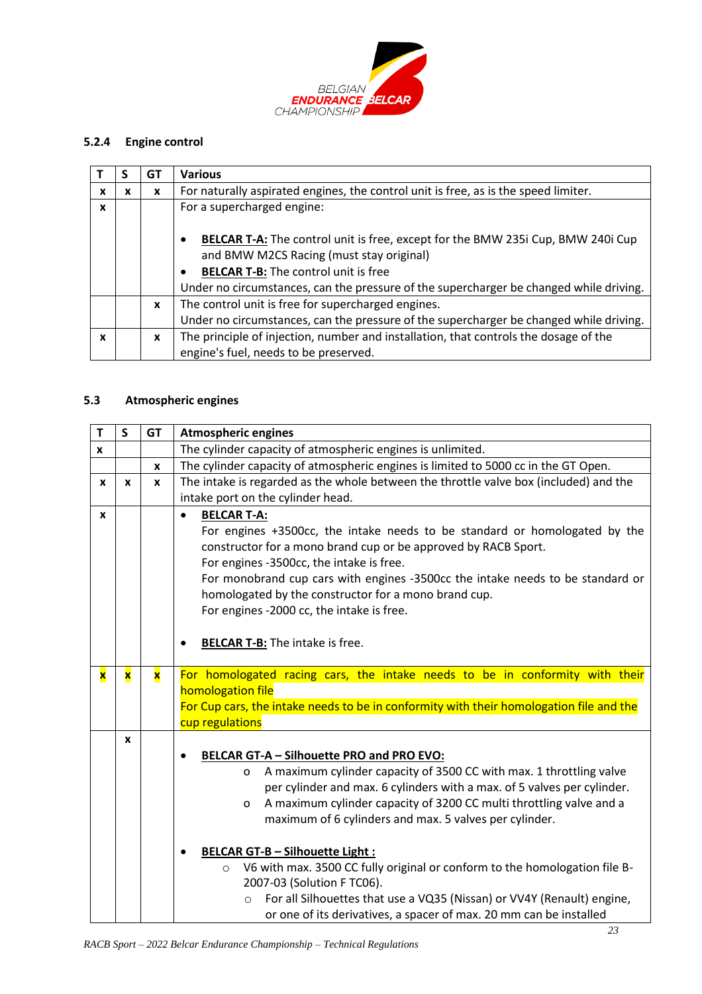

# **5.2.4 Engine control**

|   |   | GT           | <b>Various</b>                                                                                                                                                                                                                                                                                        |
|---|---|--------------|-------------------------------------------------------------------------------------------------------------------------------------------------------------------------------------------------------------------------------------------------------------------------------------------------------|
| x | x | x            | For naturally aspirated engines, the control unit is free, as is the speed limiter.                                                                                                                                                                                                                   |
| X |   |              | For a supercharged engine:                                                                                                                                                                                                                                                                            |
|   |   |              | <b>BELCAR T-A:</b> The control unit is free, except for the BMW 235i Cup, BMW 240i Cup<br>$\bullet$<br>and BMW M2CS Racing (must stay original)<br><b>BELCAR T-B:</b> The control unit is free<br>$\bullet$<br>Under no circumstances, can the pressure of the supercharger be changed while driving. |
|   |   | $\mathbf{x}$ | The control unit is free for supercharged engines.<br>Under no circumstances, can the pressure of the supercharger be changed while driving.                                                                                                                                                          |
|   |   |              |                                                                                                                                                                                                                                                                                                       |
| X |   | X            | The principle of injection, number and installation, that controls the dosage of the                                                                                                                                                                                                                  |
|   |   |              | engine's fuel, needs to be preserved.                                                                                                                                                                                                                                                                 |

# **5.3 Atmospheric engines**

| T           | $\mathsf{s}$            | <b>GT</b> | <b>Atmospheric engines</b>                                                                                                                                                                                                                                                                                                                                                                                                                                                                                                                                                                                                                                                    |
|-------------|-------------------------|-----------|-------------------------------------------------------------------------------------------------------------------------------------------------------------------------------------------------------------------------------------------------------------------------------------------------------------------------------------------------------------------------------------------------------------------------------------------------------------------------------------------------------------------------------------------------------------------------------------------------------------------------------------------------------------------------------|
| X           |                         |           | The cylinder capacity of atmospheric engines is unlimited.                                                                                                                                                                                                                                                                                                                                                                                                                                                                                                                                                                                                                    |
|             |                         | x         | The cylinder capacity of atmospheric engines is limited to 5000 cc in the GT Open.                                                                                                                                                                                                                                                                                                                                                                                                                                                                                                                                                                                            |
| X           | $\mathbf{x}$            | X         | The intake is regarded as the whole between the throttle valve box (included) and the                                                                                                                                                                                                                                                                                                                                                                                                                                                                                                                                                                                         |
|             |                         |           | intake port on the cylinder head.                                                                                                                                                                                                                                                                                                                                                                                                                                                                                                                                                                                                                                             |
| x           |                         |           | <b>BELCAR T-A:</b><br>For engines +3500cc, the intake needs to be standard or homologated by the<br>constructor for a mono brand cup or be approved by RACB Sport.<br>For engines -3500cc, the intake is free.<br>For monobrand cup cars with engines -3500cc the intake needs to be standard or<br>homologated by the constructor for a mono brand cup.<br>For engines -2000 cc, the intake is free.<br><b>BELCAR T-B:</b> The intake is free.<br>$\bullet$                                                                                                                                                                                                                  |
| $\mathbf x$ | $\overline{\mathbf{x}}$ | x         | For homologated racing cars, the intake needs to be in conformity with their<br>homologation file<br>For Cup cars, the intake needs to be in conformity with their homologation file and the                                                                                                                                                                                                                                                                                                                                                                                                                                                                                  |
|             |                         |           | cup regulations                                                                                                                                                                                                                                                                                                                                                                                                                                                                                                                                                                                                                                                               |
|             | X                       |           | BELCAR GT-A - Silhouette PRO and PRO EVO:<br>A maximum cylinder capacity of 3500 CC with max. 1 throttling valve<br>o<br>per cylinder and max. 6 cylinders with a max. of 5 valves per cylinder.<br>A maximum cylinder capacity of 3200 CC multi throttling valve and a<br>$\mathsf{o}$<br>maximum of 6 cylinders and max. 5 valves per cylinder.<br><b>BELCAR GT-B - Silhouette Light:</b><br>V6 with max. 3500 CC fully original or conform to the homologation file B-<br>$\circ$<br>2007-03 (Solution F TC06).<br>For all Silhouettes that use a VQ35 (Nissan) or VV4Y (Renault) engine,<br>$\circ$<br>or one of its derivatives, a spacer of max. 20 mm can be installed |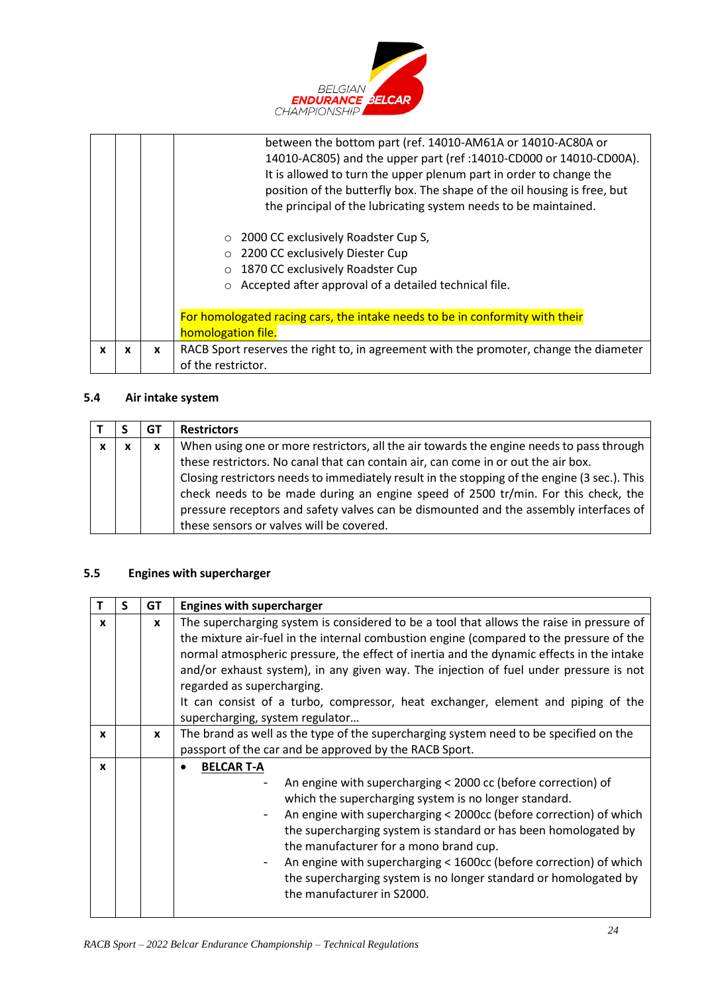

|   |   |   | between the bottom part (ref. 14010-AM61A or 14010-AC80A or                           |
|---|---|---|---------------------------------------------------------------------------------------|
|   |   |   | 14010-AC805) and the upper part (ref: 14010-CD000 or 14010-CD00A).                    |
|   |   |   | It is allowed to turn the upper plenum part in order to change the                    |
|   |   |   | position of the butterfly box. The shape of the oil housing is free, but              |
|   |   |   | the principal of the lubricating system needs to be maintained.                       |
|   |   |   | 2000 CC exclusively Roadster Cup S,<br>$\circ$                                        |
|   |   |   | 2200 CC exclusively Diester Cup                                                       |
|   |   |   | 1870 CC exclusively Roadster Cup<br>$\circ$                                           |
|   |   |   | Accepted after approval of a detailed technical file.<br>$\circ$                      |
|   |   |   |                                                                                       |
|   |   |   | For homologated racing cars, the intake needs to be in conformity with their          |
|   |   |   | homologation file.                                                                    |
| X | X | X | RACB Sport reserves the right to, in agreement with the promoter, change the diameter |
|   |   |   | of the restrictor.                                                                    |

# **5.4 Air intake system**

|   |   | GT | <b>Restrictors</b>                                                                           |
|---|---|----|----------------------------------------------------------------------------------------------|
| x | x | x  | When using one or more restrictors, all the air towards the engine needs to pass through     |
|   |   |    | these restrictors. No canal that can contain air, can come in or out the air box.            |
|   |   |    | Closing restrictors needs to immediately result in the stopping of the engine (3 sec.). This |
|   |   |    | check needs to be made during an engine speed of 2500 tr/min. For this check, the            |
|   |   |    | pressure receptors and safety valves can be dismounted and the assembly interfaces of        |
|   |   |    | these sensors or valves will be covered.                                                     |

# **5.5 Engines with supercharger**

|              | s | GT | <b>Engines with supercharger</b>                                                                                                                                                                                                                                                                                                                                                                                                                                                                                              |
|--------------|---|----|-------------------------------------------------------------------------------------------------------------------------------------------------------------------------------------------------------------------------------------------------------------------------------------------------------------------------------------------------------------------------------------------------------------------------------------------------------------------------------------------------------------------------------|
| x            |   | X  | The supercharging system is considered to be a tool that allows the raise in pressure of<br>the mixture air-fuel in the internal combustion engine (compared to the pressure of the<br>normal atmospheric pressure, the effect of inertia and the dynamic effects in the intake<br>and/or exhaust system), in any given way. The injection of fuel under pressure is not<br>regarded as supercharging.<br>It can consist of a turbo, compressor, heat exchanger, element and piping of the<br>supercharging, system regulator |
| x            |   | X  | The brand as well as the type of the supercharging system need to be specified on the<br>passport of the car and be approved by the RACB Sport.                                                                                                                                                                                                                                                                                                                                                                               |
| $\mathbf{x}$ |   |    | <b>BELCAR T-A</b><br>An engine with supercharging < 2000 cc (before correction) of<br>which the supercharging system is no longer standard.<br>An engine with supercharging < 2000cc (before correction) of which<br>the supercharging system is standard or has been homologated by<br>the manufacturer for a mono brand cup.<br>An engine with supercharging < 1600cc (before correction) of which<br>the supercharging system is no longer standard or homologated by<br>the manufacturer in S2000.                        |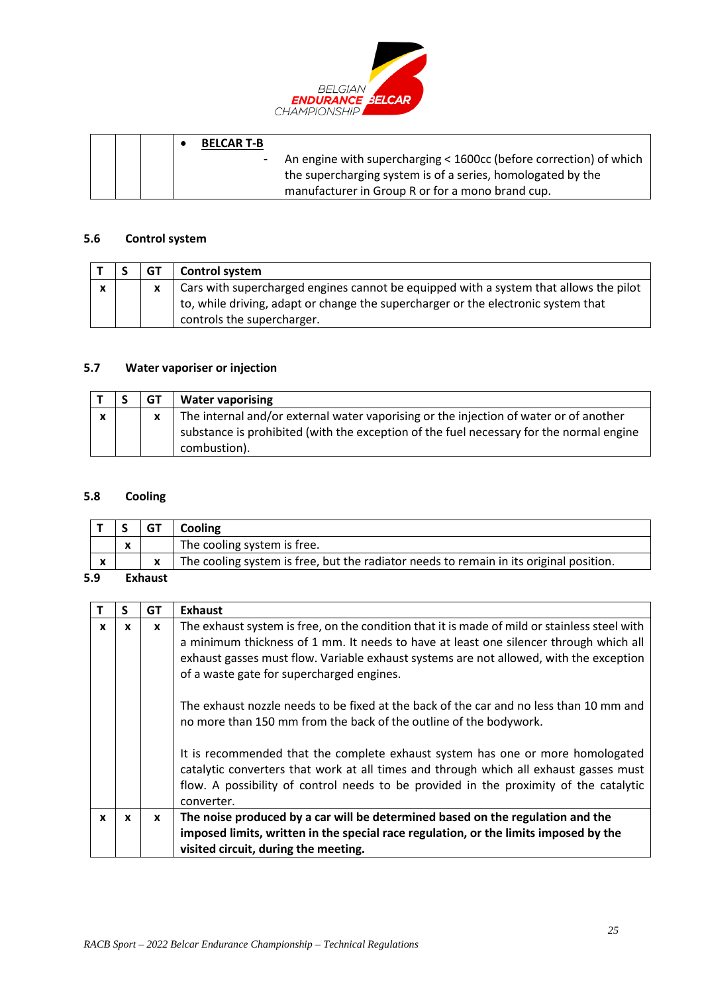

|  |  | <b>BELCAR T-B</b> |                                                                      |
|--|--|-------------------|----------------------------------------------------------------------|
|  |  |                   | - An engine with supercharging < 1600cc (before correction) of which |
|  |  |                   | the supercharging system is of a series, homologated by the          |
|  |  |                   | manufacturer in Group R or for a mono brand cup.                     |

#### **5.6 Control system**

|   | <b>GT</b> | <b>Control system</b>                                                                 |
|---|-----------|---------------------------------------------------------------------------------------|
| v |           | Cars with supercharged engines cannot be equipped with a system that allows the pilot |
|   |           | to, while driving, adapt or change the supercharger or the electronic system that     |
|   |           | controls the supercharger.                                                            |

#### **5.7 Water vaporiser or injection**

|              | GT | <b>Water vaporising</b>                                                                                                                                                                          |
|--------------|----|--------------------------------------------------------------------------------------------------------------------------------------------------------------------------------------------------|
| $\mathbf{v}$ |    | The internal and/or external water vaporising or the injection of water or of another<br>substance is prohibited (with the exception of the fuel necessary for the normal engine<br>combustion). |

#### **5.8 Cooling**

|                           |                                                      |                | Cooling                                                                                |
|---------------------------|------------------------------------------------------|----------------|----------------------------------------------------------------------------------------|
|                           | $\overline{\phantom{a}}$<br>$\overline{\phantom{a}}$ |                | The cooling system is free.                                                            |
| $\boldsymbol{\mathsf{x}}$ |                                                      | x              | The cooling system is free, but the radiator needs to remain in its original position. |
| 5.9                       |                                                      | <b>Exhaust</b> |                                                                                        |

# **T S GT Exhaust**  $x \mid x \mid x$  The exhaust system is free, on the condition that it is made of mild or stainless steel with a minimum thickness of 1 mm. It needs to have at least one silencer through which all exhaust gasses must flow. Variable exhaust systems are not allowed, with the exception of a waste gate for supercharged engines. The exhaust nozzle needs to be fixed at the back of the car and no less than 10 mm and no more than 150 mm from the back of the outline of the bodywork. It is recommended that the complete exhaust system has one or more homologated catalytic converters that work at all times and through which all exhaust gasses must flow. A possibility of control needs to be provided in the proximity of the catalytic converter.  $\bf{x}$   $\bf{x}$   $\bf{x}$  **x**  $\bf{y}$  The noise produced by a car will be determined based on the regulation and the **imposed limits, written in the special race regulation, or the limits imposed by the visited circuit, during the meeting.**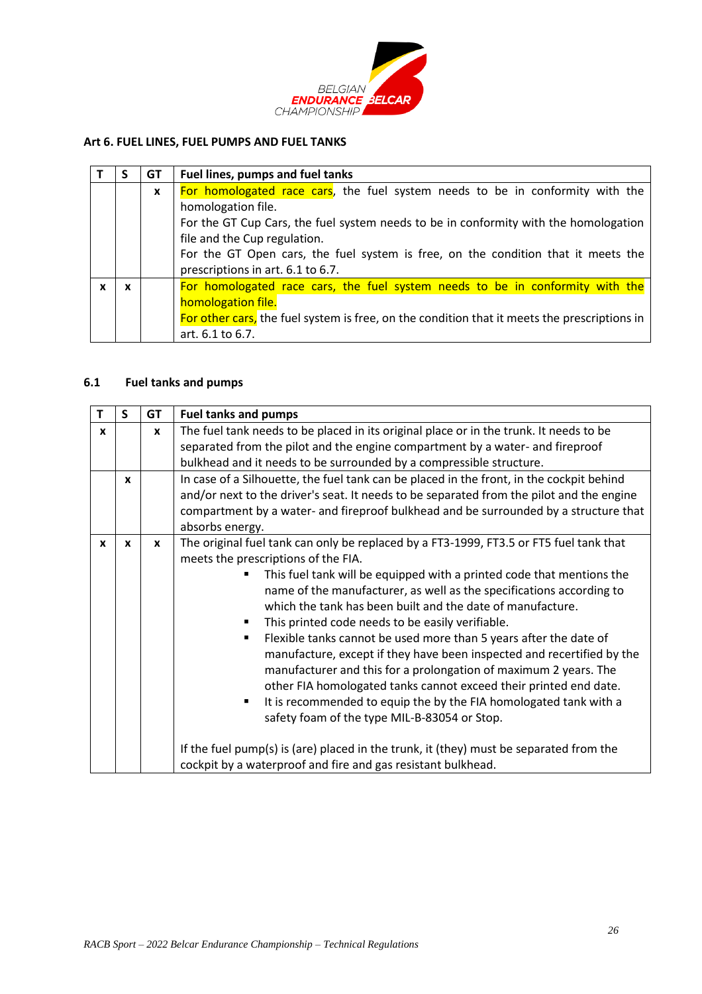

## <span id="page-25-0"></span>**Art 6. FUEL LINES, FUEL PUMPS AND FUEL TANKS**

|   | GT           | Fuel lines, pumps and fuel tanks                                                             |
|---|--------------|----------------------------------------------------------------------------------------------|
|   | $\mathbf{x}$ | For homologated race cars, the fuel system needs to be in conformity with the                |
|   |              | homologation file.                                                                           |
|   |              | For the GT Cup Cars, the fuel system needs to be in conformity with the homologation         |
|   |              | file and the Cup regulation.                                                                 |
|   |              | For the GT Open cars, the fuel system is free, on the condition that it meets the            |
|   |              | prescriptions in art. 6.1 to 6.7.                                                            |
| X |              | For homologated race cars, the fuel system needs to be in conformity with the                |
|   |              | homologation file.                                                                           |
|   |              | For other cars, the fuel system is free, on the condition that it meets the prescriptions in |
|   |              | art. 6.1 to 6.7.                                                                             |

### **6.1 Fuel tanks and pumps**

|              | S            | <b>GT</b> | <b>Fuel tanks and pumps</b>                                                                                                                                                                                                                                                                                                                                                                                                                                                                                                                                                                                                                                                                                                                                                                                                                                                                                                                                                  |
|--------------|--------------|-----------|------------------------------------------------------------------------------------------------------------------------------------------------------------------------------------------------------------------------------------------------------------------------------------------------------------------------------------------------------------------------------------------------------------------------------------------------------------------------------------------------------------------------------------------------------------------------------------------------------------------------------------------------------------------------------------------------------------------------------------------------------------------------------------------------------------------------------------------------------------------------------------------------------------------------------------------------------------------------------|
| $\mathbf{x}$ |              | X         | The fuel tank needs to be placed in its original place or in the trunk. It needs to be<br>separated from the pilot and the engine compartment by a water- and fireproof<br>bulkhead and it needs to be surrounded by a compressible structure.                                                                                                                                                                                                                                                                                                                                                                                                                                                                                                                                                                                                                                                                                                                               |
|              | $\mathbf{x}$ |           | In case of a Silhouette, the fuel tank can be placed in the front, in the cockpit behind<br>and/or next to the driver's seat. It needs to be separated from the pilot and the engine<br>compartment by a water- and fireproof bulkhead and be surrounded by a structure that<br>absorbs energy.                                                                                                                                                                                                                                                                                                                                                                                                                                                                                                                                                                                                                                                                              |
| X            | $\mathbf{x}$ | X         | The original fuel tank can only be replaced by a FT3-1999, FT3.5 or FT5 fuel tank that<br>meets the prescriptions of the FIA.<br>This fuel tank will be equipped with a printed code that mentions the<br>name of the manufacturer, as well as the specifications according to<br>which the tank has been built and the date of manufacture.<br>This printed code needs to be easily verifiable.<br>٠<br>Flexible tanks cannot be used more than 5 years after the date of<br>manufacture, except if they have been inspected and recertified by the<br>manufacturer and this for a prolongation of maximum 2 years. The<br>other FIA homologated tanks cannot exceed their printed end date.<br>It is recommended to equip the by the FIA homologated tank with a<br>safety foam of the type MIL-B-83054 or Stop.<br>If the fuel pump(s) is (are) placed in the trunk, it (they) must be separated from the<br>cockpit by a waterproof and fire and gas resistant bulkhead. |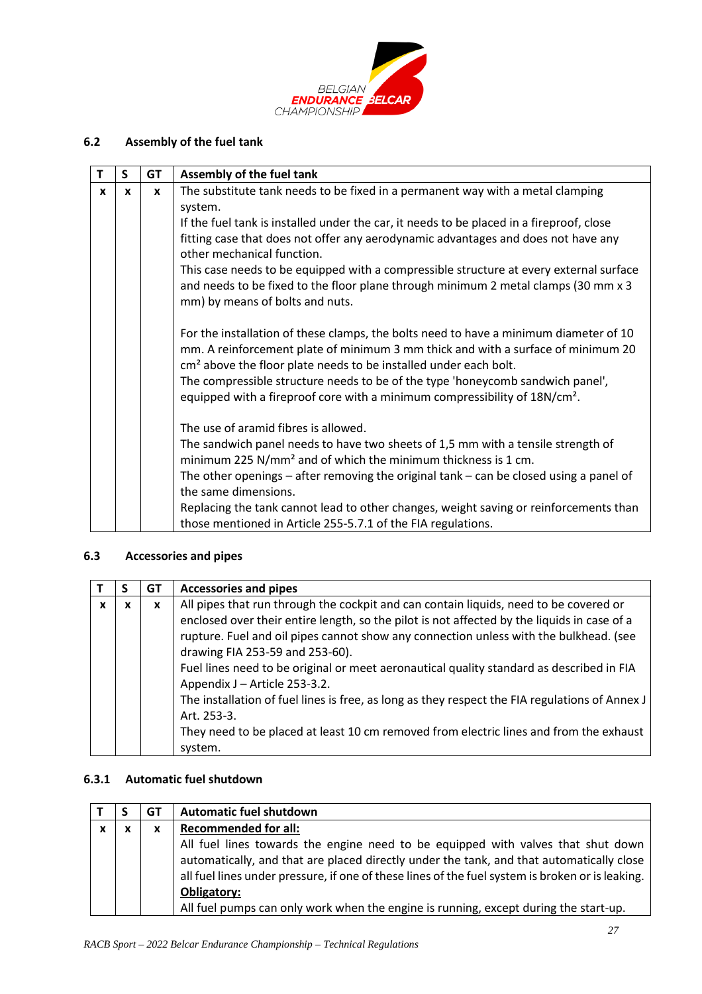

# **6.2 Assembly of the fuel tank**

| T | $\mathsf{S}$ | <b>GT</b>    | Assembly of the fuel tank                                                                                                                                                                                                                                 |
|---|--------------|--------------|-----------------------------------------------------------------------------------------------------------------------------------------------------------------------------------------------------------------------------------------------------------|
| X | X            | $\mathbf{x}$ | The substitute tank needs to be fixed in a permanent way with a metal clamping                                                                                                                                                                            |
|   |              |              | system.                                                                                                                                                                                                                                                   |
|   |              |              | If the fuel tank is installed under the car, it needs to be placed in a fireproof, close                                                                                                                                                                  |
|   |              |              | fitting case that does not offer any aerodynamic advantages and does not have any<br>other mechanical function.                                                                                                                                           |
|   |              |              | This case needs to be equipped with a compressible structure at every external surface                                                                                                                                                                    |
|   |              |              | and needs to be fixed to the floor plane through minimum 2 metal clamps (30 mm x 3<br>mm) by means of bolts and nuts.                                                                                                                                     |
|   |              |              | For the installation of these clamps, the bolts need to have a minimum diameter of 10<br>mm. A reinforcement plate of minimum 3 mm thick and with a surface of minimum 20<br>cm <sup>2</sup> above the floor plate needs to be installed under each bolt. |
|   |              |              | The compressible structure needs to be of the type 'honeycomb sandwich panel',<br>equipped with a fireproof core with a minimum compressibility of 18N/cm <sup>2</sup> .                                                                                  |
|   |              |              | The use of aramid fibres is allowed.                                                                                                                                                                                                                      |
|   |              |              | The sandwich panel needs to have two sheets of 1,5 mm with a tensile strength of<br>minimum 225 N/mm <sup>2</sup> and of which the minimum thickness is 1 cm.                                                                                             |
|   |              |              | The other openings - after removing the original tank - can be closed using a panel of                                                                                                                                                                    |
|   |              |              | the same dimensions.                                                                                                                                                                                                                                      |
|   |              |              | Replacing the tank cannot lead to other changes, weight saving or reinforcements than                                                                                                                                                                     |
|   |              |              | those mentioned in Article 255-5.7.1 of the FIA regulations.                                                                                                                                                                                              |

# **6.3 Accessories and pipes**

|   |   | GT           | <b>Accessories and pipes</b>                                                                                                                                                                                                                                                                                                                                                                                                                  |
|---|---|--------------|-----------------------------------------------------------------------------------------------------------------------------------------------------------------------------------------------------------------------------------------------------------------------------------------------------------------------------------------------------------------------------------------------------------------------------------------------|
| x | X | $\mathbf{x}$ | All pipes that run through the cockpit and can contain liquids, need to be covered or<br>enclosed over their entire length, so the pilot is not affected by the liquids in case of a<br>rupture. Fuel and oil pipes cannot show any connection unless with the bulkhead. (see<br>drawing FIA 253-59 and 253-60).<br>Fuel lines need to be original or meet aeronautical quality standard as described in FIA<br>Appendix J - Article 253-3.2. |
|   |   |              | The installation of fuel lines is free, as long as they respect the FIA regulations of Annex J<br>Art. 253-3.<br>They need to be placed at least 10 cm removed from electric lines and from the exhaust<br>system.                                                                                                                                                                                                                            |

### **6.3.1 Automatic fuel shutdown**

|              |             | GТ | <b>Automatic fuel shutdown</b>                                                                                                                                                                                                                                                                                                                                                                 |
|--------------|-------------|----|------------------------------------------------------------------------------------------------------------------------------------------------------------------------------------------------------------------------------------------------------------------------------------------------------------------------------------------------------------------------------------------------|
| $\mathbf{x}$ | $\mathbf v$ | x  | <b>Recommended for all:</b>                                                                                                                                                                                                                                                                                                                                                                    |
|              |             |    | All fuel lines towards the engine need to be equipped with valves that shut down<br>automatically, and that are placed directly under the tank, and that automatically close<br>all fuel lines under pressure, if one of these lines of the fuel system is broken or is leaking.<br><b>Obligatory:</b><br>All fuel pumps can only work when the engine is running, except during the start-up. |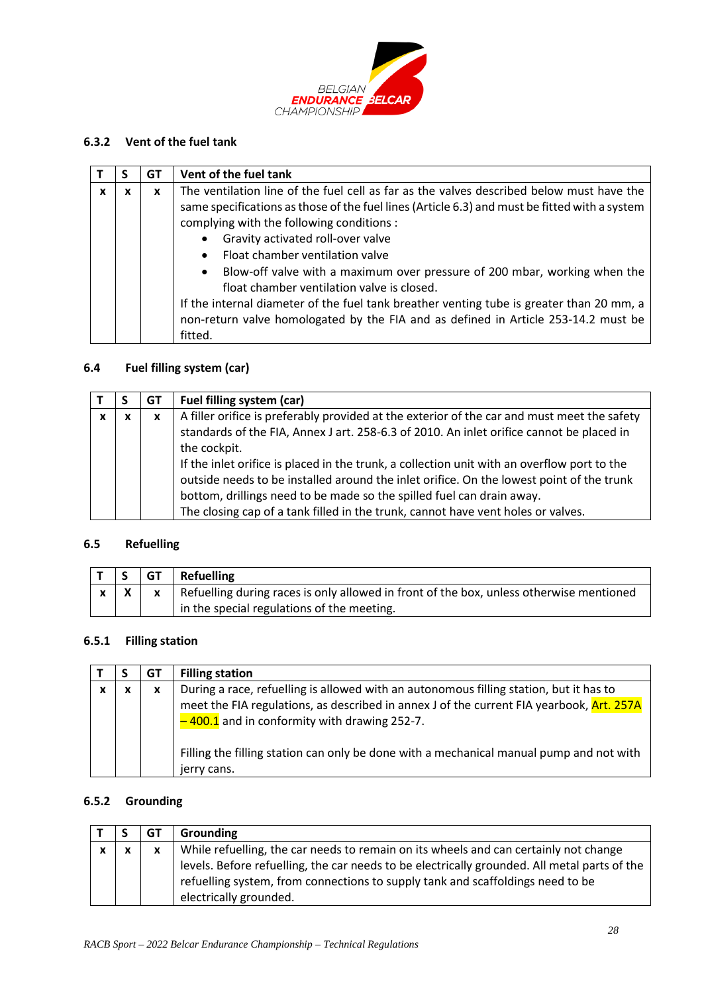

## **6.3.2 Vent of the fuel tank**

|   |   | G1 | Vent of the fuel tank                                                                                                                                                                                                                                                                                                                                                                                                               |
|---|---|----|-------------------------------------------------------------------------------------------------------------------------------------------------------------------------------------------------------------------------------------------------------------------------------------------------------------------------------------------------------------------------------------------------------------------------------------|
| x | x | X  | The ventilation line of the fuel cell as far as the valves described below must have the<br>same specifications as those of the fuel lines (Article 6.3) and must be fitted with a system<br>complying with the following conditions :                                                                                                                                                                                              |
|   |   |    | Gravity activated roll-over valve<br>$\bullet$<br>Float chamber ventilation valve<br>$\bullet$<br>Blow-off valve with a maximum over pressure of 200 mbar, working when the<br>$\bullet$<br>float chamber ventilation valve is closed.<br>If the internal diameter of the fuel tank breather venting tube is greater than 20 mm, a<br>non-return valve homologated by the FIA and as defined in Article 253-14.2 must be<br>fitted. |

# **6.4 Fuel filling system (car)**

|   |   | GT | Fuel filling system (car)                                                                                                                                                                                                                                                                                                                                                                                                                                                                                                                                       |
|---|---|----|-----------------------------------------------------------------------------------------------------------------------------------------------------------------------------------------------------------------------------------------------------------------------------------------------------------------------------------------------------------------------------------------------------------------------------------------------------------------------------------------------------------------------------------------------------------------|
| x | x | X  | A filler orifice is preferably provided at the exterior of the car and must meet the safety<br>standards of the FIA, Annex J art. 258-6.3 of 2010. An inlet orifice cannot be placed in<br>the cockpit.<br>If the inlet orifice is placed in the trunk, a collection unit with an overflow port to the<br>outside needs to be installed around the inlet orifice. On the lowest point of the trunk<br>bottom, drillings need to be made so the spilled fuel can drain away.<br>The closing cap of a tank filled in the trunk, cannot have vent holes or valves. |

### **6.5 Refuelling**

|            | $\vert$ GT $\vert$ Refuelling                                                               |
|------------|---------------------------------------------------------------------------------------------|
| $x \mid X$ | x   Refuelling during races is only allowed in front of the box, unless otherwise mentioned |
|            | in the special regulations of the meeting.                                                  |

## **6.5.1 Filling station**

|  | GT | <b>Filling station</b>                                                                                                                                                                                                               |
|--|----|--------------------------------------------------------------------------------------------------------------------------------------------------------------------------------------------------------------------------------------|
|  | x  | During a race, refuelling is allowed with an autonomous filling station, but it has to<br>meet the FIA regulations, as described in annex J of the current FIA yearbook, Art. 257A<br>$-400.1$ and in conformity with drawing 252-7. |
|  |    | Filling the filling station can only be done with a mechanical manual pump and not with<br>jerry cans.                                                                                                                               |

# **6.5.2 Grounding**

|              | GT           | <b>Grounding</b>                                                                                                                                                                                         |
|--------------|--------------|----------------------------------------------------------------------------------------------------------------------------------------------------------------------------------------------------------|
| $\mathbf{v}$ | $\mathbf{x}$ | While refuelling, the car needs to remain on its wheels and can certainly not change                                                                                                                     |
|              |              | levels. Before refuelling, the car needs to be electrically grounded. All metal parts of the<br>refuelling system, from connections to supply tank and scaffoldings need to be<br>electrically grounded. |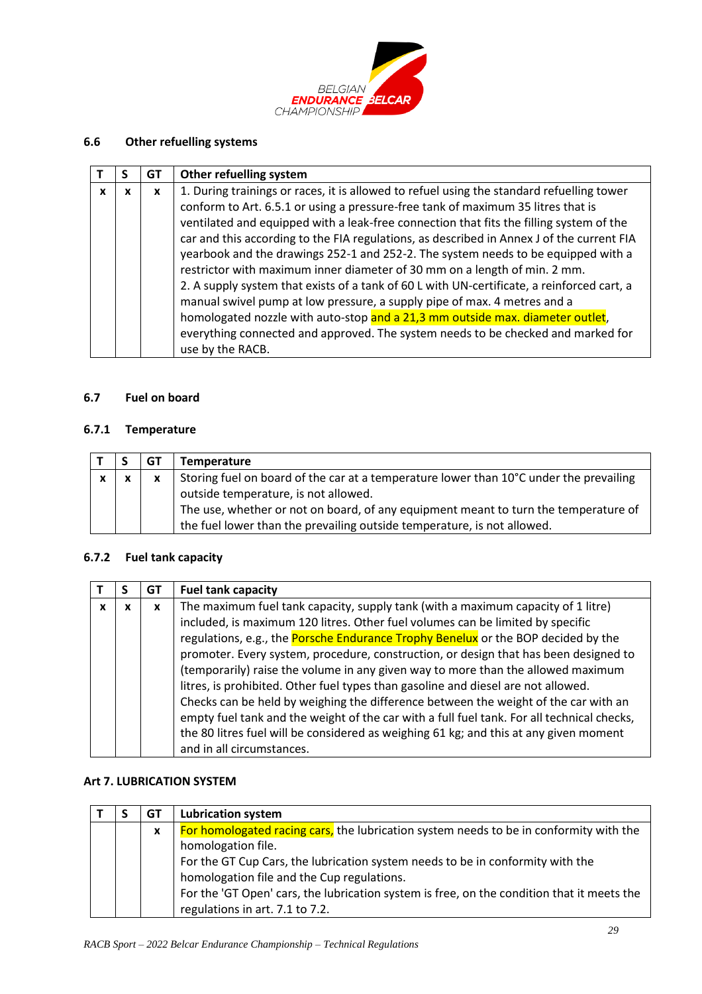

## **6.6 Other refuelling systems**

|          |   | GT | Other refuelling system                                                                    |
|----------|---|----|--------------------------------------------------------------------------------------------|
| <b>x</b> | x | x  | 1. During trainings or races, it is allowed to refuel using the standard refuelling tower  |
|          |   |    | conform to Art. 6.5.1 or using a pressure-free tank of maximum 35 litres that is           |
|          |   |    | ventilated and equipped with a leak-free connection that fits the filling system of the    |
|          |   |    | car and this according to the FIA regulations, as described in Annex J of the current FIA  |
|          |   |    | yearbook and the drawings 252-1 and 252-2. The system needs to be equipped with a          |
|          |   |    | restrictor with maximum inner diameter of 30 mm on a length of min. 2 mm.                  |
|          |   |    | 2. A supply system that exists of a tank of 60 L with UN-certificate, a reinforced cart, a |
|          |   |    | manual swivel pump at low pressure, a supply pipe of max. 4 metres and a                   |
|          |   |    | homologated nozzle with auto-stop and a 21,3 mm outside max. diameter outlet,              |
|          |   |    | everything connected and approved. The system needs to be checked and marked for           |
|          |   |    | use by the RACB.                                                                           |

## **6.7 Fuel on board**

### **6.7.1 Temperature**

|              |              | GT       | Temperature                                                                                                                                                    |
|--------------|--------------|----------|----------------------------------------------------------------------------------------------------------------------------------------------------------------|
| $\mathbf{x}$ | $\mathbf{v}$ | <b>X</b> | Storing fuel on board of the car at a temperature lower than 10°C under the prevailing<br>outside temperature, is not allowed.                                 |
|              |              |          | The use, whether or not on board, of any equipment meant to turn the temperature of<br>the fuel lower than the prevailing outside temperature, is not allowed. |

## **6.7.2 Fuel tank capacity**

|   | GT | <b>Fuel tank capacity</b>                                                                  |
|---|----|--------------------------------------------------------------------------------------------|
| x | x  | The maximum fuel tank capacity, supply tank (with a maximum capacity of 1 litre)           |
|   |    | included, is maximum 120 litres. Other fuel volumes can be limited by specific             |
|   |    | regulations, e.g., the <b>Porsche Endurance Trophy Benelux</b> or the BOP decided by the   |
|   |    | promoter. Every system, procedure, construction, or design that has been designed to       |
|   |    | (temporarily) raise the volume in any given way to more than the allowed maximum           |
|   |    | litres, is prohibited. Other fuel types than gasoline and diesel are not allowed.          |
|   |    | Checks can be held by weighing the difference between the weight of the car with an        |
|   |    | empty fuel tank and the weight of the car with a full fuel tank. For all technical checks, |
|   |    | the 80 litres fuel will be considered as weighing 61 kg; and this at any given moment      |
|   |    | and in all circumstances.                                                                  |

## <span id="page-28-0"></span>**Art 7. LUBRICATION SYSTEM**

|  | GT | <b>Lubrication system</b>                                                                  |
|--|----|--------------------------------------------------------------------------------------------|
|  | X  | For homologated racing cars, the lubrication system needs to be in conformity with the     |
|  |    | homologation file.                                                                         |
|  |    | For the GT Cup Cars, the lubrication system needs to be in conformity with the             |
|  |    | homologation file and the Cup regulations.                                                 |
|  |    | For the 'GT Open' cars, the lubrication system is free, on the condition that it meets the |
|  |    | regulations in art. 7.1 to 7.2.                                                            |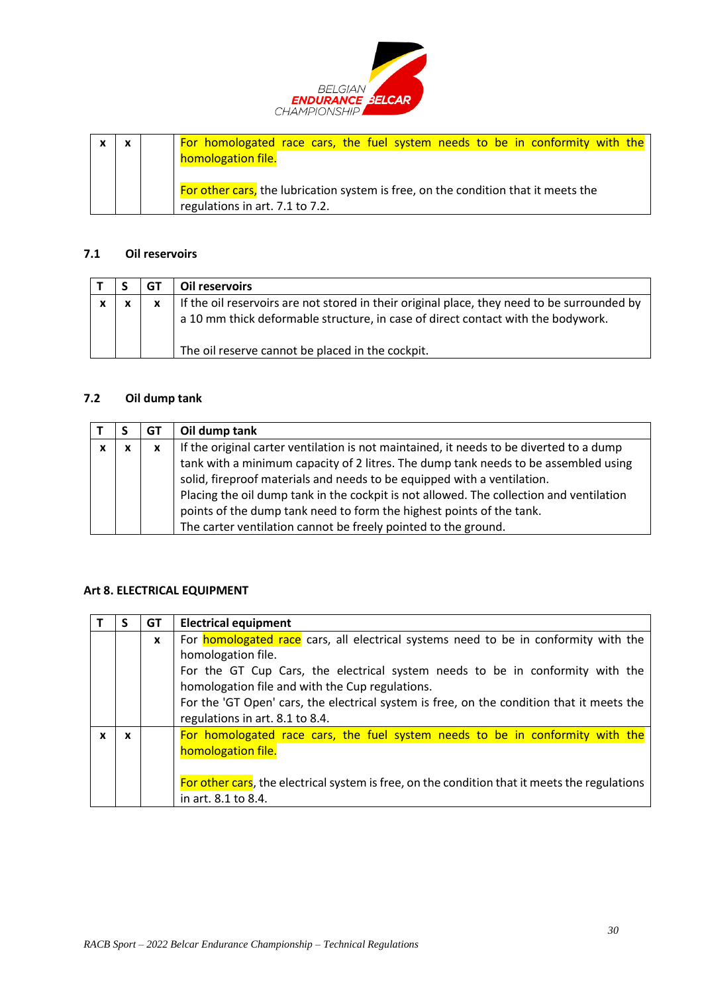

| $\boldsymbol{\mathsf{x}}$ |  | For homologated race cars, the fuel system needs to be in conformity with the      |
|---------------------------|--|------------------------------------------------------------------------------------|
|                           |  | homologation file.                                                                 |
|                           |  |                                                                                    |
|                           |  | For other cars, the lubrication system is free, on the condition that it meets the |
|                           |  | regulations in art. 7.1 to 7.2.                                                    |

# **7.1 Oil reservoirs**

|             | GT | Oil reservoirs                                                                                                                                                                                                                      |
|-------------|----|-------------------------------------------------------------------------------------------------------------------------------------------------------------------------------------------------------------------------------------|
| $\mathbf v$ |    | If the oil reservoirs are not stored in their original place, they need to be surrounded by<br>a 10 mm thick deformable structure, in case of direct contact with the bodywork.<br>The oil reserve cannot be placed in the cockpit. |

## **7.2 Oil dump tank**

|   |              | GT | Oil dump tank                                                                           |
|---|--------------|----|-----------------------------------------------------------------------------------------|
| x | $\checkmark$ | x  | If the original carter ventilation is not maintained, it needs to be diverted to a dump |
|   |              |    | tank with a minimum capacity of 2 litres. The dump tank needs to be assembled using     |
|   |              |    | solid, fireproof materials and needs to be equipped with a ventilation.                 |
|   |              |    | Placing the oil dump tank in the cockpit is not allowed. The collection and ventilation |
|   |              |    | points of the dump tank need to form the highest points of the tank.                    |
|   |              |    | The carter ventilation cannot be freely pointed to the ground.                          |

## <span id="page-29-0"></span>**Art 8. ELECTRICAL EQUIPMENT**

|   | GT | <b>Electrical equipment</b>                                                                   |
|---|----|-----------------------------------------------------------------------------------------------|
|   | X  | For <b>homologated race</b> cars, all electrical systems need to be in conformity with the    |
|   |    | homologation file.                                                                            |
|   |    | For the GT Cup Cars, the electrical system needs to be in conformity with the                 |
|   |    | homologation file and with the Cup regulations.                                               |
|   |    | For the 'GT Open' cars, the electrical system is free, on the condition that it meets the     |
|   |    | regulations in art. 8.1 to 8.4.                                                               |
| x |    | For homologated race cars, the fuel system needs to be in conformity with the                 |
|   |    | homologation file.                                                                            |
|   |    |                                                                                               |
|   |    | For other cars, the electrical system is free, on the condition that it meets the regulations |
|   |    | in art. 8.1 to 8.4.                                                                           |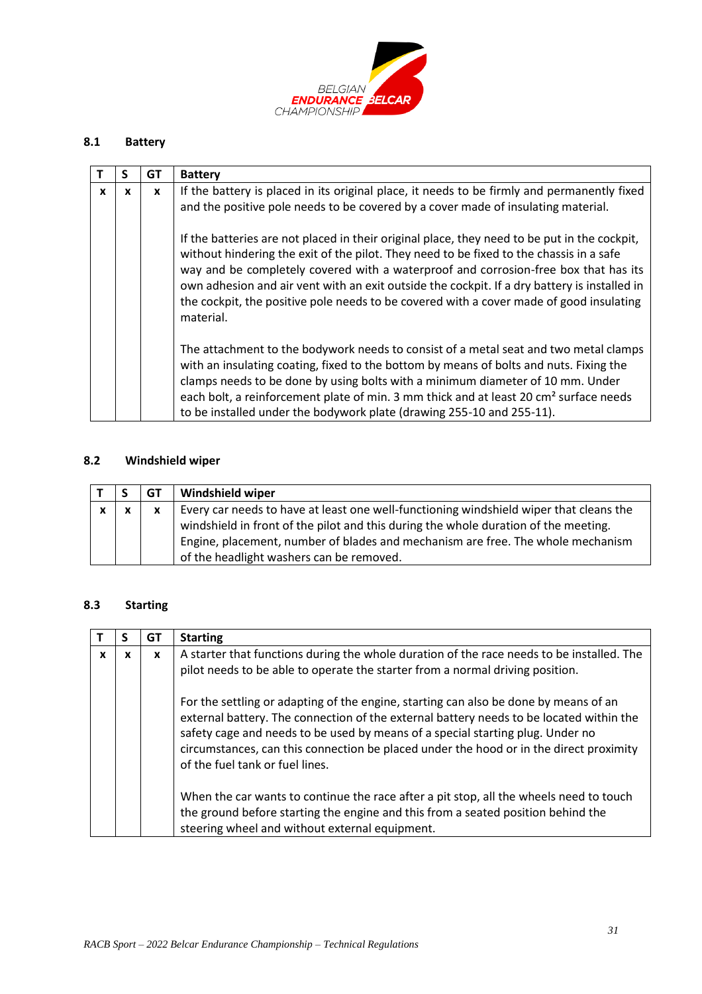

# **8.1 Battery**

|   |   | GT | <b>Battery</b>                                                                                                                                                                                                                                                                                                                                                                                                                                                                         |
|---|---|----|----------------------------------------------------------------------------------------------------------------------------------------------------------------------------------------------------------------------------------------------------------------------------------------------------------------------------------------------------------------------------------------------------------------------------------------------------------------------------------------|
| x | X | X  | If the battery is placed in its original place, it needs to be firmly and permanently fixed<br>and the positive pole needs to be covered by a cover made of insulating material.                                                                                                                                                                                                                                                                                                       |
|   |   |    | If the batteries are not placed in their original place, they need to be put in the cockpit,<br>without hindering the exit of the pilot. They need to be fixed to the chassis in a safe<br>way and be completely covered with a waterproof and corrosion-free box that has its<br>own adhesion and air vent with an exit outside the cockpit. If a dry battery is installed in<br>the cockpit, the positive pole needs to be covered with a cover made of good insulating<br>material. |
|   |   |    | The attachment to the bodywork needs to consist of a metal seat and two metal clamps<br>with an insulating coating, fixed to the bottom by means of bolts and nuts. Fixing the<br>clamps needs to be done by using bolts with a minimum diameter of 10 mm. Under<br>each bolt, a reinforcement plate of min. 3 mm thick and at least 20 cm <sup>2</sup> surface needs<br>to be installed under the bodywork plate (drawing 255-10 and 255-11).                                         |

# **8.2 Windshield wiper**

|              |              | GT           | <b>Windshield wiper</b>                                                                                                                                                                                                                                                                                      |
|--------------|--------------|--------------|--------------------------------------------------------------------------------------------------------------------------------------------------------------------------------------------------------------------------------------------------------------------------------------------------------------|
| $\mathbf{x}$ | $\mathbf{x}$ | $\mathbf{x}$ | Every car needs to have at least one well-functioning windshield wiper that cleans the<br>windshield in front of the pilot and this during the whole duration of the meeting.<br>Engine, placement, number of blades and mechanism are free. The whole mechanism<br>of the headlight washers can be removed. |

# **8.3 Starting**

|              |   | GТ | <b>Starting</b>                                                                                                                                                                                                                                                                                                                                                                                |
|--------------|---|----|------------------------------------------------------------------------------------------------------------------------------------------------------------------------------------------------------------------------------------------------------------------------------------------------------------------------------------------------------------------------------------------------|
| $\mathbf{x}$ | x | X  | A starter that functions during the whole duration of the race needs to be installed. The<br>pilot needs to be able to operate the starter from a normal driving position.                                                                                                                                                                                                                     |
|              |   |    | For the settling or adapting of the engine, starting can also be done by means of an<br>external battery. The connection of the external battery needs to be located within the<br>safety cage and needs to be used by means of a special starting plug. Under no<br>circumstances, can this connection be placed under the hood or in the direct proximity<br>of the fuel tank or fuel lines. |
|              |   |    | When the car wants to continue the race after a pit stop, all the wheels need to touch<br>the ground before starting the engine and this from a seated position behind the<br>steering wheel and without external equipment.                                                                                                                                                                   |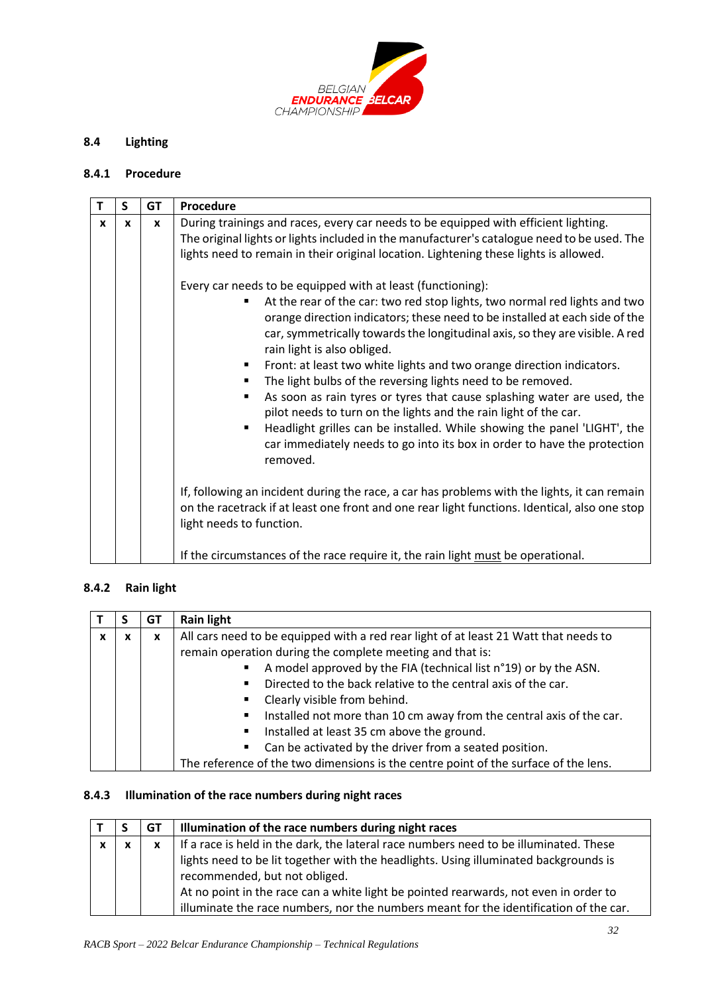

# **8.4 Lighting**

### **8.4.1 Procedure**

|   | S | GT           | Procedure                                                                                                                                                                                                                                                                                                                                                                                                                                                                                                                                                                                                                                                                                                                                                                                                                                                                                                     |
|---|---|--------------|---------------------------------------------------------------------------------------------------------------------------------------------------------------------------------------------------------------------------------------------------------------------------------------------------------------------------------------------------------------------------------------------------------------------------------------------------------------------------------------------------------------------------------------------------------------------------------------------------------------------------------------------------------------------------------------------------------------------------------------------------------------------------------------------------------------------------------------------------------------------------------------------------------------|
| x | x | $\mathbf{x}$ | During trainings and races, every car needs to be equipped with efficient lighting.<br>The original lights or lights included in the manufacturer's catalogue need to be used. The<br>lights need to remain in their original location. Lightening these lights is allowed.<br>Every car needs to be equipped with at least (functioning):<br>At the rear of the car: two red stop lights, two normal red lights and two<br>orange direction indicators; these need to be installed at each side of the<br>car, symmetrically towards the longitudinal axis, so they are visible. A red<br>rain light is also obliged.<br>Front: at least two white lights and two orange direction indicators.<br>The light bulbs of the reversing lights need to be removed.<br>As soon as rain tyres or tyres that cause splashing water are used, the<br>pilot needs to turn on the lights and the rain light of the car. |
|   |   |              | Headlight grilles can be installed. While showing the panel 'LIGHT', the<br>car immediately needs to go into its box in order to have the protection<br>removed.<br>If, following an incident during the race, a car has problems with the lights, it can remain<br>on the racetrack if at least one front and one rear light functions. Identical, also one stop<br>light needs to function.<br>If the circumstances of the race require it, the rain light must be operational.                                                                                                                                                                                                                                                                                                                                                                                                                             |

## **8.4.2 Rain light**

|  | GT | <b>Rain light</b>                                                                    |
|--|----|--------------------------------------------------------------------------------------|
|  | x  | All cars need to be equipped with a red rear light of at least 21 Watt that needs to |
|  |    | remain operation during the complete meeting and that is:                            |
|  |    | A model approved by the FIA (technical list n°19) or by the ASN.                     |
|  |    | Directed to the back relative to the central axis of the car.                        |
|  |    | Clearly visible from behind.                                                         |
|  |    | Installed not more than 10 cm away from the central axis of the car.                 |
|  |    | Installed at least 35 cm above the ground.                                           |
|  |    | Can be activated by the driver from a seated position.                               |
|  |    | The reference of the two dimensions is the centre point of the surface of the lens.  |

### **8.4.3 Illumination of the race numbers during night races**

|              |                           | GТ           | Illumination of the race numbers during night races                                                                   |
|--------------|---------------------------|--------------|-----------------------------------------------------------------------------------------------------------------------|
| $\mathbf{x}$ | $\boldsymbol{\mathsf{x}}$ | $\mathbf{x}$ | If a race is held in the dark, the lateral race numbers need to be illuminated. These                                 |
|              |                           |              | lights need to be lit together with the headlights. Using illuminated backgrounds is<br>recommended, but not obliged. |
|              |                           |              | At no point in the race can a white light be pointed rearwards, not even in order to                                  |
|              |                           |              | illuminate the race numbers, nor the numbers meant for the identification of the car.                                 |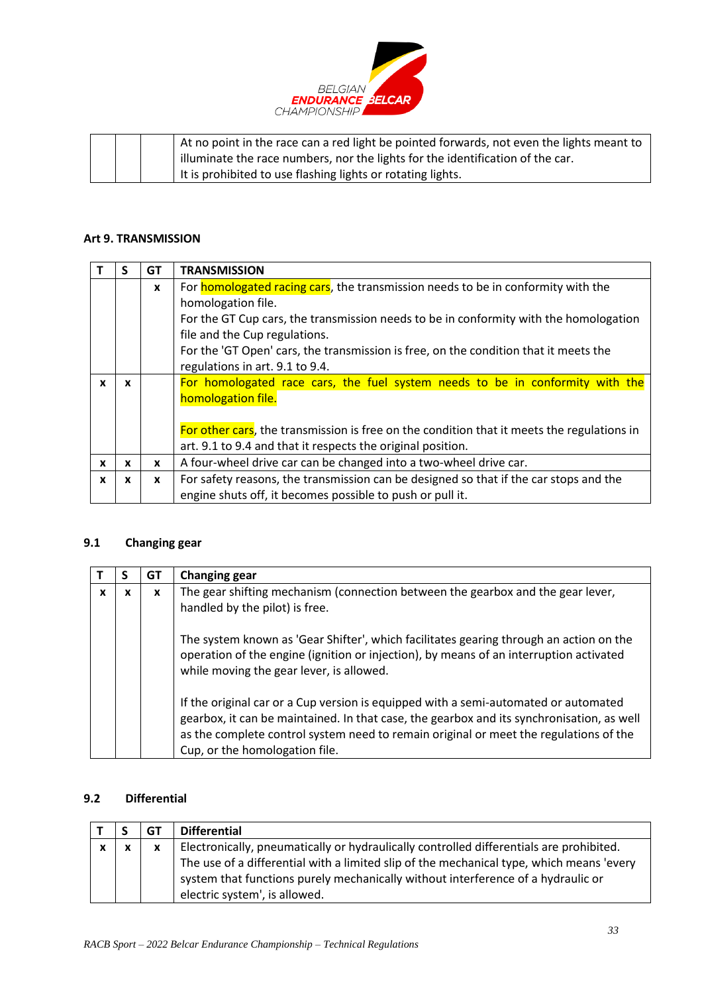

|  | At no point in the race can a red light be pointed forwards, not even the lights meant to |
|--|-------------------------------------------------------------------------------------------|
|  | I illuminate the race numbers, nor the lights for the identification of the car.          |
|  | It is prohibited to use flashing lights or rotating lights.                               |

# <span id="page-32-0"></span>**Art 9. TRANSMISSION**

|              |              | GT           | <b>TRANSMISSION</b>                                                                        |
|--------------|--------------|--------------|--------------------------------------------------------------------------------------------|
|              |              | $\mathbf{x}$ | For <b>homologated racing cars</b> , the transmission needs to be in conformity with the   |
|              |              |              | homologation file.                                                                         |
|              |              |              | For the GT Cup cars, the transmission needs to be in conformity with the homologation      |
|              |              |              | file and the Cup regulations.                                                              |
|              |              |              | For the 'GT Open' cars, the transmission is free, on the condition that it meets the       |
|              |              |              | regulations in art. 9.1 to 9.4.                                                            |
| x            | X            |              | For homologated race cars, the fuel system needs to be in conformity with the              |
|              |              |              | homologation file.                                                                         |
|              |              |              |                                                                                            |
|              |              |              | For other cars, the transmission is free on the condition that it meets the regulations in |
|              |              |              | art. 9.1 to 9.4 and that it respects the original position.                                |
| $\mathbf{x}$ | X            | $\mathbf{x}$ | A four-wheel drive car can be changed into a two-wheel drive car.                          |
| X            | $\mathbf{x}$ | $\mathbf{x}$ | For safety reasons, the transmission can be designed so that if the car stops and the      |
|              |              |              | engine shuts off, it becomes possible to push or pull it.                                  |

# **9.1 Changing gear**

|   |   | GТ | <b>Changing gear</b>                                                                                                                                                                                                                                                                                        |
|---|---|----|-------------------------------------------------------------------------------------------------------------------------------------------------------------------------------------------------------------------------------------------------------------------------------------------------------------|
| X | x | x  | The gear shifting mechanism (connection between the gearbox and the gear lever,<br>handled by the pilot) is free.                                                                                                                                                                                           |
|   |   |    | The system known as 'Gear Shifter', which facilitates gearing through an action on the<br>operation of the engine (ignition or injection), by means of an interruption activated<br>while moving the gear lever, is allowed.                                                                                |
|   |   |    | If the original car or a Cup version is equipped with a semi-automated or automated<br>gearbox, it can be maintained. In that case, the gearbox and its synchronisation, as well<br>as the complete control system need to remain original or meet the regulations of the<br>Cup, or the homologation file. |

# **9.2 Differential**

|              |   | GT | <b>Differential</b>                                                                                                                                                                                           |
|--------------|---|----|---------------------------------------------------------------------------------------------------------------------------------------------------------------------------------------------------------------|
| $\mathbf{x}$ | v | X  | Electronically, pneumatically or hydraulically controlled differentials are prohibited.                                                                                                                       |
|              |   |    | The use of a differential with a limited slip of the mechanical type, which means 'every<br>system that functions purely mechanically without interference of a hydraulic or<br>electric system', is allowed. |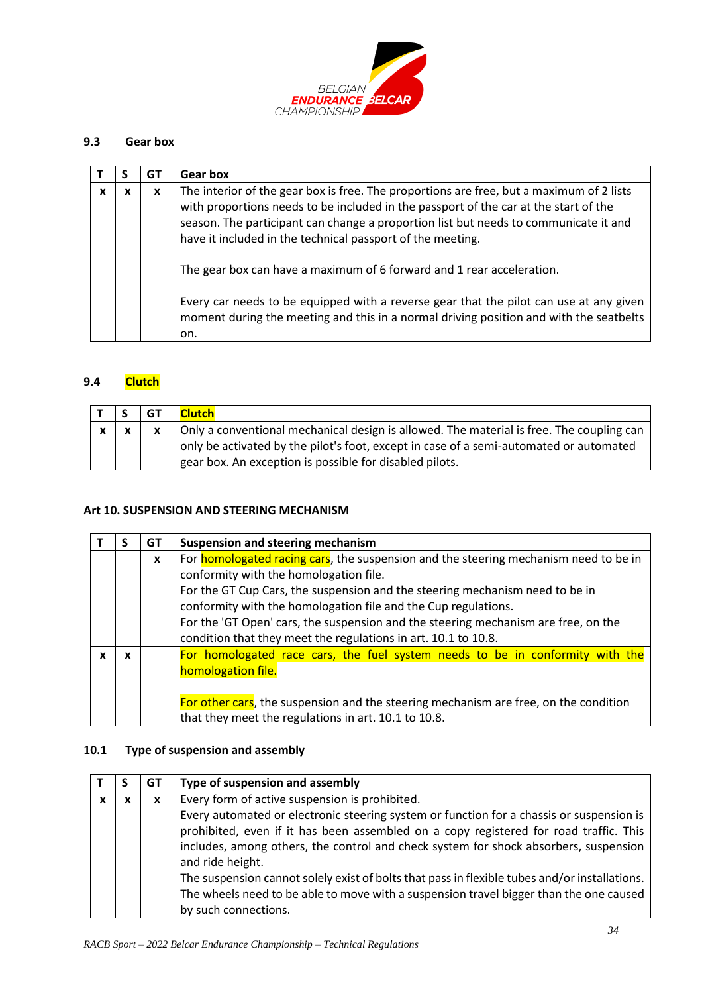

## **9.3 Gear box**

|   |   | G1 | Gear box                                                                                                                                                                                                                                                                                                                                                                                                                                                                                                                                                                                                   |
|---|---|----|------------------------------------------------------------------------------------------------------------------------------------------------------------------------------------------------------------------------------------------------------------------------------------------------------------------------------------------------------------------------------------------------------------------------------------------------------------------------------------------------------------------------------------------------------------------------------------------------------------|
| X | x | x  | The interior of the gear box is free. The proportions are free, but a maximum of 2 lists<br>with proportions needs to be included in the passport of the car at the start of the<br>season. The participant can change a proportion list but needs to communicate it and<br>have it included in the technical passport of the meeting.<br>The gear box can have a maximum of 6 forward and 1 rear acceleration.<br>Every car needs to be equipped with a reverse gear that the pilot can use at any given<br>moment during the meeting and this in a normal driving position and with the seatbelts<br>on. |

## **9.4 Clutch**

|              | <b>GT</b> | <b>Clutch</b>                                                                                                                                                                                                                                 |
|--------------|-----------|-----------------------------------------------------------------------------------------------------------------------------------------------------------------------------------------------------------------------------------------------|
| $\mathbf{x}$ |           | Only a conventional mechanical design is allowed. The material is free. The coupling can<br>only be activated by the pilot's foot, except in case of a semi-automated or automated<br>gear box. An exception is possible for disabled pilots. |

#### <span id="page-33-0"></span>**Art 10. SUSPENSION AND STEERING MECHANISM**

|   | GT           | <b>Suspension and steering mechanism</b>                                                                                                                                                                                                                                                                                                                                                                                                 |
|---|--------------|------------------------------------------------------------------------------------------------------------------------------------------------------------------------------------------------------------------------------------------------------------------------------------------------------------------------------------------------------------------------------------------------------------------------------------------|
|   | $\mathbf{x}$ | For homologated racing cars, the suspension and the steering mechanism need to be in<br>conformity with the homologation file.<br>For the GT Cup Cars, the suspension and the steering mechanism need to be in<br>conformity with the homologation file and the Cup regulations.<br>For the 'GT Open' cars, the suspension and the steering mechanism are free, on the<br>condition that they meet the regulations in art. 10.1 to 10.8. |
| x |              | For homologated race cars, the fuel system needs to be in conformity with the<br>homologation file.<br>For other cars, the suspension and the steering mechanism are free, on the condition<br>that they meet the regulations in art. 10.1 to 10.8.                                                                                                                                                                                      |

### **10.1 Type of suspension and assembly**

|  | GT | Type of suspension and assembly                                                                                                                                                                                                                                                                                                                                                                |
|--|----|------------------------------------------------------------------------------------------------------------------------------------------------------------------------------------------------------------------------------------------------------------------------------------------------------------------------------------------------------------------------------------------------|
|  | X  | Every form of active suspension is prohibited.                                                                                                                                                                                                                                                                                                                                                 |
|  |    | Every automated or electronic steering system or function for a chassis or suspension is<br>prohibited, even if it has been assembled on a copy registered for road traffic. This<br>includes, among others, the control and check system for shock absorbers, suspension<br>and ride height.<br>The suspension cannot solely exist of bolts that pass in flexible tubes and/or installations. |
|  |    | The wheels need to be able to move with a suspension travel bigger than the one caused                                                                                                                                                                                                                                                                                                         |
|  |    | by such connections.                                                                                                                                                                                                                                                                                                                                                                           |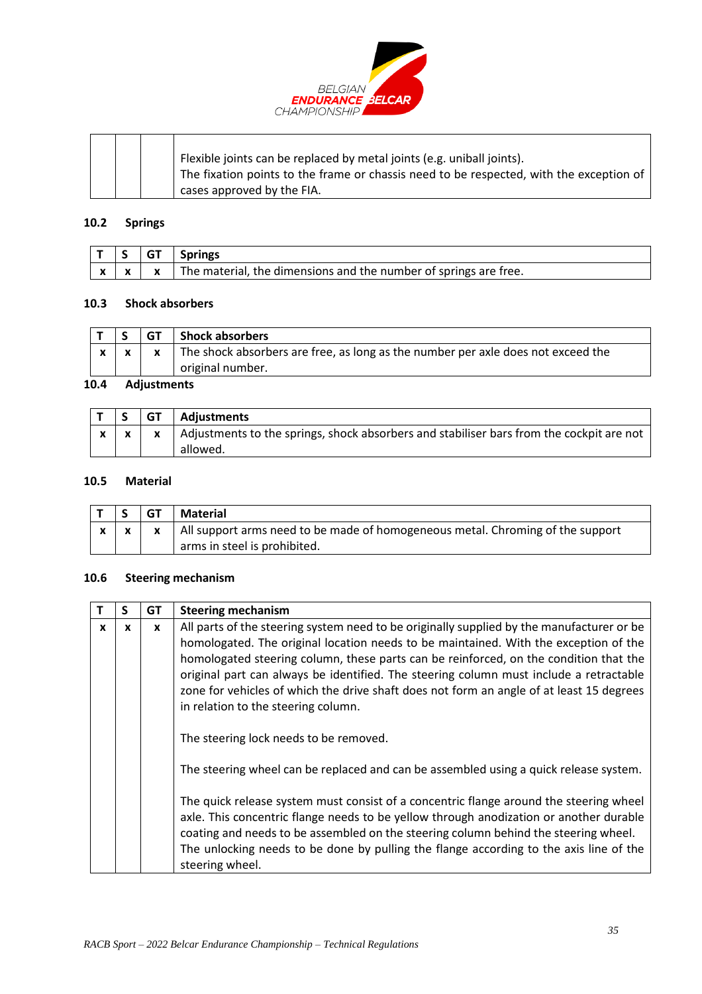

|  |  | Flexible joints can be replaced by metal joints (e.g. uniball joints).<br>The fixation points to the frame or chassis need to be respected, with the exception of |
|--|--|-------------------------------------------------------------------------------------------------------------------------------------------------------------------|
|  |  | cases approved by the FIA.                                                                                                                                        |

### **10.2 Springs**

|  | $ T S GT$ Springs                                                                            |
|--|----------------------------------------------------------------------------------------------|
|  | $\vert x \vert x$ $\vert x$ The material, the dimensions and the number of springs are free. |

### **10.3 Shock absorbers**

|     |             | GT | Shock absorbers                                                                                      |  |
|-----|-------------|----|------------------------------------------------------------------------------------------------------|--|
|     |             |    | The shock absorbers are free, as long as the number per axle does not exceed the<br>original number. |  |
| " ה | Adioatoarak |    |                                                                                                      |  |

#### **10.4 Adjustments**

|  | $\overline{\phantom{a}}$ GT $\overline{\phantom{a}}$ | Adjustments                                                                                                              |
|--|------------------------------------------------------|--------------------------------------------------------------------------------------------------------------------------|
|  |                                                      | $\vert x \vert x$   Adjustments to the springs, shock absorbers and stabiliser bars from the cockpit are not<br>allowed. |

#### **10.5 Material**

|  | <b>GT</b> | <b>Material</b>                                                                                                |
|--|-----------|----------------------------------------------------------------------------------------------------------------|
|  |           | All support arms need to be made of homogeneous metal. Chroming of the support<br>arms in steel is prohibited. |

### **10.6 Steering mechanism**

|   | S | GT | <b>Steering mechanism</b>                                                                                                                                                                                                                                                                                                                                                                                                                                                                                               |
|---|---|----|-------------------------------------------------------------------------------------------------------------------------------------------------------------------------------------------------------------------------------------------------------------------------------------------------------------------------------------------------------------------------------------------------------------------------------------------------------------------------------------------------------------------------|
| x | x | x  | All parts of the steering system need to be originally supplied by the manufacturer or be<br>homologated. The original location needs to be maintained. With the exception of the<br>homologated steering column, these parts can be reinforced, on the condition that the<br>original part can always be identified. The steering column must include a retractable<br>zone for vehicles of which the drive shaft does not form an angle of at least 15 degrees<br>in relation to the steering column.                 |
|   |   |    | The steering lock needs to be removed.<br>The steering wheel can be replaced and can be assembled using a quick release system.<br>The quick release system must consist of a concentric flange around the steering wheel<br>axle. This concentric flange needs to be yellow through anodization or another durable<br>coating and needs to be assembled on the steering column behind the steering wheel.<br>The unlocking needs to be done by pulling the flange according to the axis line of the<br>steering wheel. |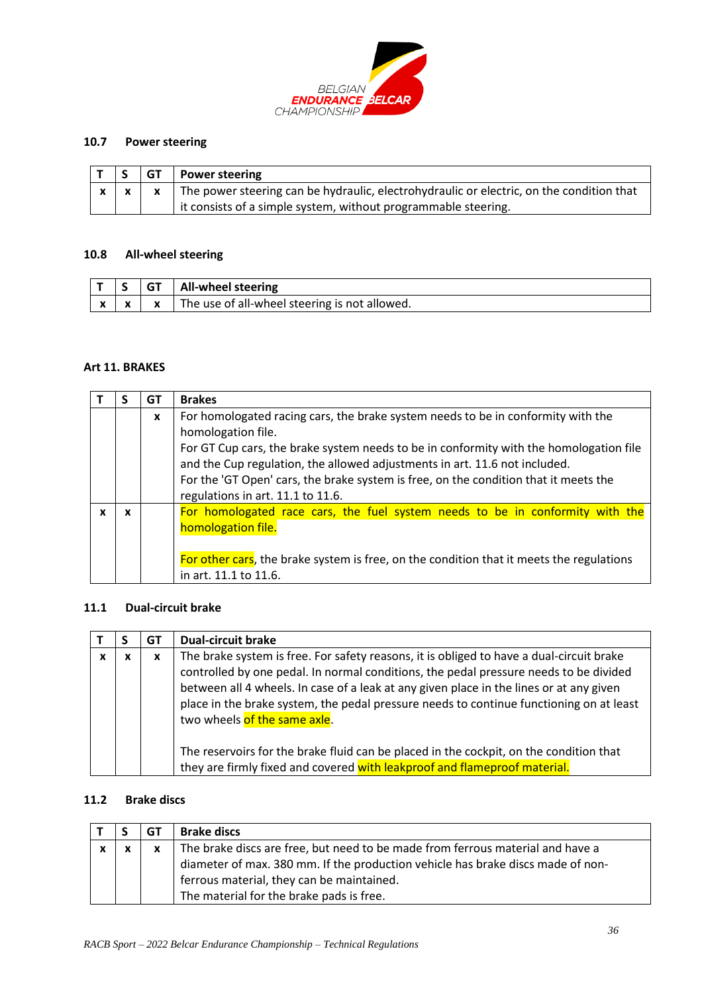

## **10.7 Power steering**

|  | $ T S GT $ Power steering                                                                                  |
|--|------------------------------------------------------------------------------------------------------------|
|  | $x \mid x \mid x$ The power steering can be hydraulic, electrohydraulic or electric, on the condition that |
|  | it consists of a simple system, without programmable steering.                                             |

#### **10.8 All-wheel steering**

<span id="page-35-0"></span>

|                        |  | All-wheel steering                              |
|------------------------|--|-------------------------------------------------|
| $\mathbf{\mathcal{L}}$ |  | I The use of all-wheel steering is not allowed. |

#### **Art 11. BRAKES**

|   |   | GТ           | <b>Brakes</b>                                                                                                                                                                                                                                                                                                                                                                                               |
|---|---|--------------|-------------------------------------------------------------------------------------------------------------------------------------------------------------------------------------------------------------------------------------------------------------------------------------------------------------------------------------------------------------------------------------------------------------|
|   |   | $\mathbf{x}$ | For homologated racing cars, the brake system needs to be in conformity with the<br>homologation file.<br>For GT Cup cars, the brake system needs to be in conformity with the homologation file<br>and the Cup regulation, the allowed adjustments in art. 11.6 not included.<br>For the 'GT Open' cars, the brake system is free, on the condition that it meets the<br>regulations in art. 11.1 to 11.6. |
| x | x |              | For homologated race cars, the fuel system needs to be in conformity with the<br>homologation file.<br>For other cars, the brake system is free, on the condition that it meets the regulations<br>in art. 11.1 to 11.6.                                                                                                                                                                                    |

## **11.1 Dual-circuit brake**

|   | GT | <b>Dual-circuit brake</b>                                                                                                                                                                                                                                                                                                                                                                                                                                                                                                                                                      |
|---|----|--------------------------------------------------------------------------------------------------------------------------------------------------------------------------------------------------------------------------------------------------------------------------------------------------------------------------------------------------------------------------------------------------------------------------------------------------------------------------------------------------------------------------------------------------------------------------------|
| v | X  | The brake system is free. For safety reasons, it is obliged to have a dual-circuit brake<br>controlled by one pedal. In normal conditions, the pedal pressure needs to be divided<br>between all 4 wheels. In case of a leak at any given place in the lines or at any given<br>place in the brake system, the pedal pressure needs to continue functioning on at least<br>two wheels of the same axle.<br>The reservoirs for the brake fluid can be placed in the cockpit, on the condition that<br>they are firmly fixed and covered with leakproof and flameproof material. |

## **11.2 Brake discs**

|              |              | GT | <b>Brake discs</b>                                                                                                                                                                                                                                         |
|--------------|--------------|----|------------------------------------------------------------------------------------------------------------------------------------------------------------------------------------------------------------------------------------------------------------|
| $\mathbf{v}$ | $\mathbf{v}$ | x  | The brake discs are free, but need to be made from ferrous material and have a<br>diameter of max. 380 mm. If the production vehicle has brake discs made of non-<br>ferrous material, they can be maintained.<br>The material for the brake pads is free. |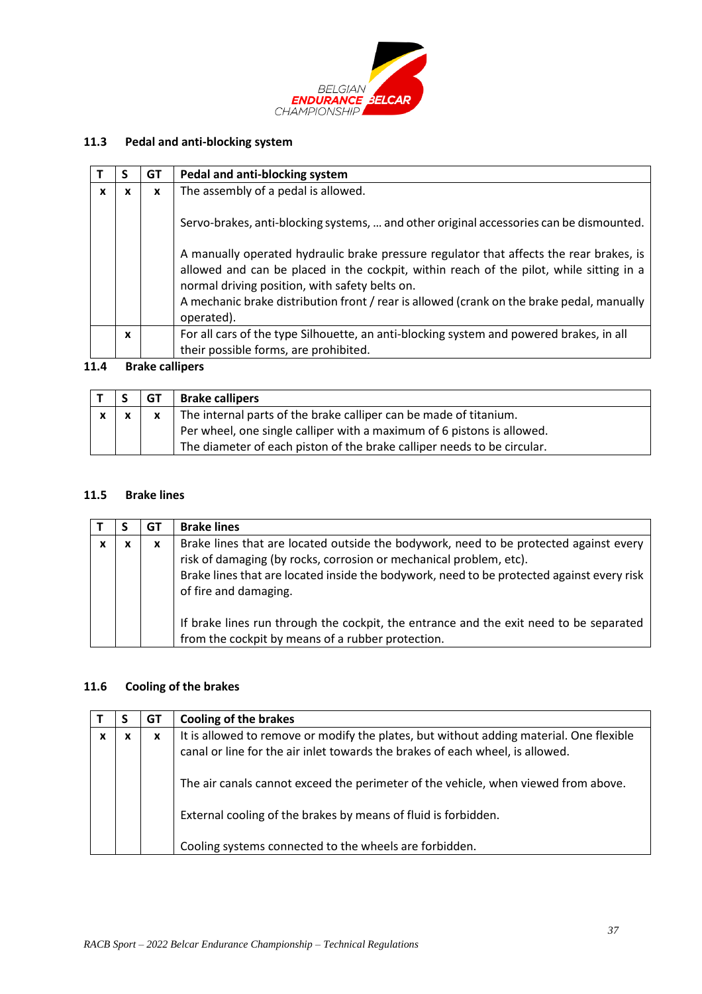

# **11.3 Pedal and anti-blocking system**

|   |   | GT | Pedal and anti-blocking system                                                                                                                                                                                                                                                                                                                                                                                                             |
|---|---|----|--------------------------------------------------------------------------------------------------------------------------------------------------------------------------------------------------------------------------------------------------------------------------------------------------------------------------------------------------------------------------------------------------------------------------------------------|
| x | x | X  | The assembly of a pedal is allowed.                                                                                                                                                                                                                                                                                                                                                                                                        |
|   |   |    | Servo-brakes, anti-blocking systems,  and other original accessories can be dismounted.<br>A manually operated hydraulic brake pressure regulator that affects the rear brakes, is<br>allowed and can be placed in the cockpit, within reach of the pilot, while sitting in a<br>normal driving position, with safety belts on.<br>A mechanic brake distribution front / rear is allowed (crank on the brake pedal, manually<br>operated). |
|   | x |    | For all cars of the type Silhouette, an anti-blocking system and powered brakes, in all                                                                                                                                                                                                                                                                                                                                                    |
|   |   |    | their possible forms, are prohibited.                                                                                                                                                                                                                                                                                                                                                                                                      |

# **11.4 Brake callipers**

|              | <b>GT</b> | <b>Brake callipers</b>                                                  |
|--------------|-----------|-------------------------------------------------------------------------|
| $\mathbf{x}$ |           | The internal parts of the brake calliper can be made of titanium.       |
|              |           | Per wheel, one single calliper with a maximum of 6 pistons is allowed.  |
|              |           | The diameter of each piston of the brake calliper needs to be circular. |

## **11.5 Brake lines**

|   |   | G1 | <b>Brake lines</b>                                                                                                                                                                                                                                                                |
|---|---|----|-----------------------------------------------------------------------------------------------------------------------------------------------------------------------------------------------------------------------------------------------------------------------------------|
| x | х | x  | Brake lines that are located outside the bodywork, need to be protected against every<br>risk of damaging (by rocks, corrosion or mechanical problem, etc).<br>Brake lines that are located inside the bodywork, need to be protected against every risk<br>of fire and damaging. |
|   |   |    | If brake lines run through the cockpit, the entrance and the exit need to be separated<br>from the cockpit by means of a rubber protection.                                                                                                                                       |

# **11.6 Cooling of the brakes**

<span id="page-36-0"></span>

|   |   | GT | <b>Cooling of the brakes</b>                                                                                                                                             |
|---|---|----|--------------------------------------------------------------------------------------------------------------------------------------------------------------------------|
| x | x | x  | It is allowed to remove or modify the plates, but without adding material. One flexible<br>canal or line for the air inlet towards the brakes of each wheel, is allowed. |
|   |   |    | The air canals cannot exceed the perimeter of the vehicle, when viewed from above.                                                                                       |
|   |   |    | External cooling of the brakes by means of fluid is forbidden.                                                                                                           |
|   |   |    | Cooling systems connected to the wheels are forbidden.                                                                                                                   |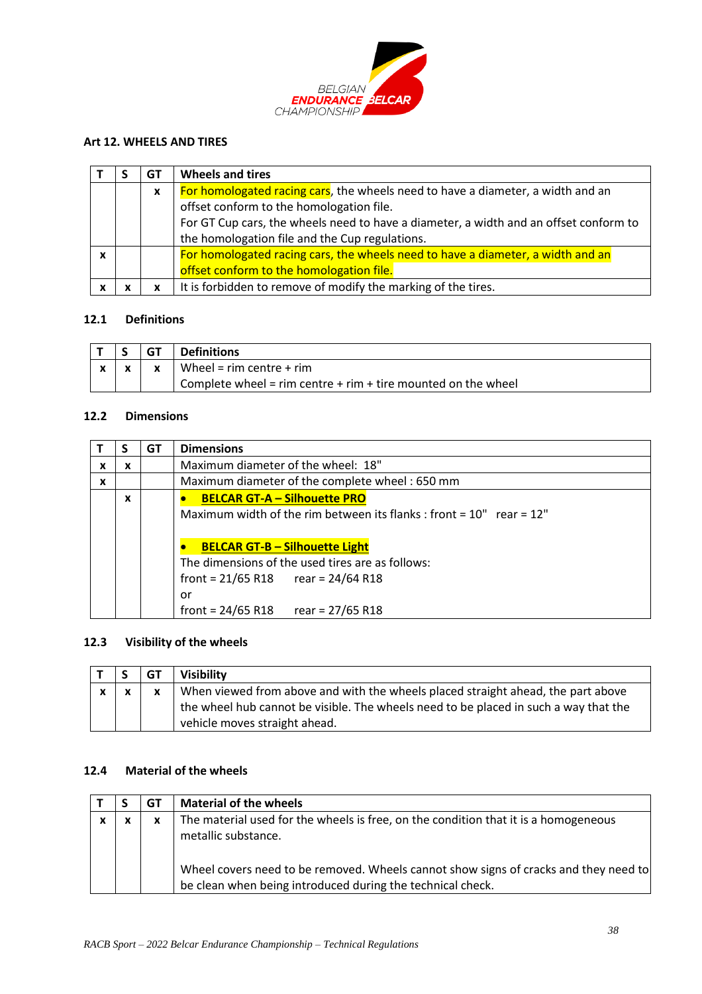

## **Art 12. WHEELS AND TIRES**

|  | GT               | <b>Wheels and tires</b>                                                               |
|--|------------------|---------------------------------------------------------------------------------------|
|  | $\boldsymbol{x}$ | For homologated racing cars, the wheels need to have a diameter, a width and an       |
|  |                  | offset conform to the homologation file.                                              |
|  |                  | For GT Cup cars, the wheels need to have a diameter, a width and an offset conform to |
|  |                  | the homologation file and the Cup regulations.                                        |
|  |                  | For homologated racing cars, the wheels need to have a diameter, a width and an       |
|  |                  | offset conform to the homologation file.                                              |
|  |                  | It is forbidden to remove of modify the marking of the tires.                         |

## **12.1 Definitions**

|  | GT | <b>Definitions</b>                                                |
|--|----|-------------------------------------------------------------------|
|  |    | Wheel = $rim$ centre + $rim$                                      |
|  |    | Complete wheel = $rim$ centre + $rim$ + tire mounted on the wheel |

### **12.2 Dimensions**

|              |   | GT | <b>Dimensions</b>                                                                                                                                                                                            |
|--------------|---|----|--------------------------------------------------------------------------------------------------------------------------------------------------------------------------------------------------------------|
| x            | x |    | Maximum diameter of the wheel: 18"                                                                                                                                                                           |
| $\mathbf{x}$ |   |    | Maximum diameter of the complete wheel: 650 mm                                                                                                                                                               |
|              | x |    | <b>BELCAR GT-A - Silhouette PRO</b><br>Maximum width of the rim between its flanks : front = $10"$ rear = $12"$<br><b>BELCAR GT-B - Silhouette Light</b><br>The dimensions of the used tires are as follows: |
|              |   |    | front = $21/65$ R18 rear = $24/64$ R18<br>or                                                                                                                                                                 |
|              |   |    | front = $24/65$ R18<br>rear = 27/65 R18                                                                                                                                                                      |

## **12.3 Visibility of the wheels**

|  | GT | Visibility                                                                                                                                                                                                |
|--|----|-----------------------------------------------------------------------------------------------------------------------------------------------------------------------------------------------------------|
|  |    | When viewed from above and with the wheels placed straight ahead, the part above<br>the wheel hub cannot be visible. The wheels need to be placed in such a way that the<br>vehicle moves straight ahead. |

# **12.4 Material of the wheels**

|              | GТ | <b>Material of the wheels</b>                                                        |
|--------------|----|--------------------------------------------------------------------------------------|
| $\mathbf{v}$ | X  | The material used for the wheels is free, on the condition that it is a homogeneous  |
|              |    | metallic substance.                                                                  |
|              |    |                                                                                      |
|              |    | Wheel covers need to be removed. Wheels cannot show signs of cracks and they need to |
|              |    | be clean when being introduced during the technical check.                           |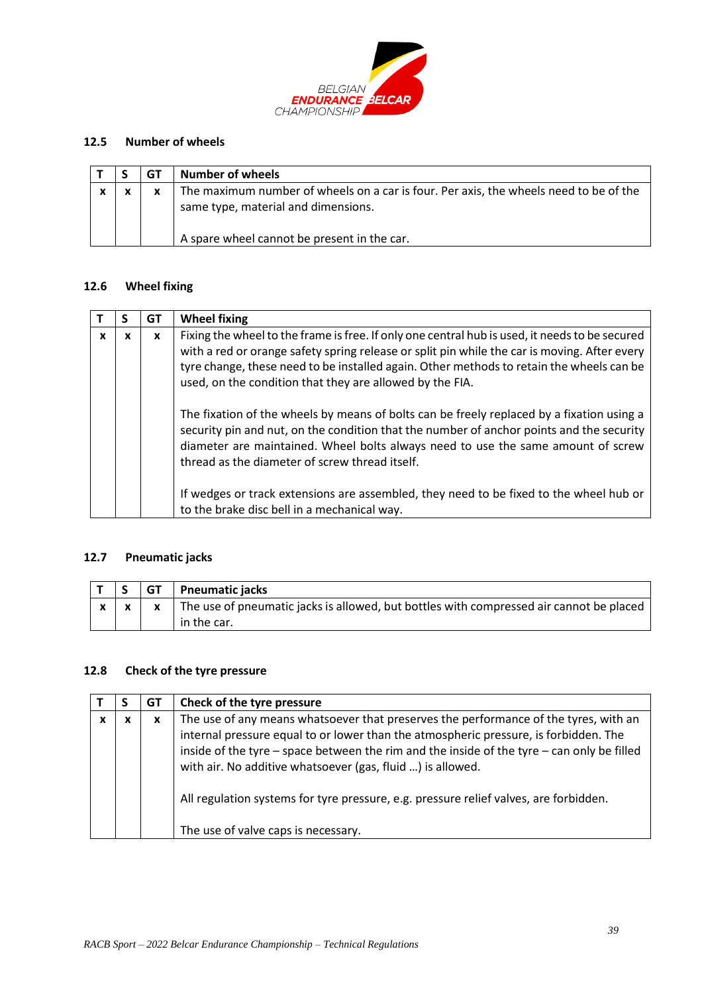

## **12.5 Number of wheels**

|              |   | <b>Number of wheels</b>                                                                                                                                                     |
|--------------|---|-----------------------------------------------------------------------------------------------------------------------------------------------------------------------------|
| $\mathbf{v}$ | x | The maximum number of wheels on a car is four. Per axis, the wheels need to be of the<br>same type, material and dimensions.<br>A spare wheel cannot be present in the car. |

#### **12.6 Wheel fixing**

|   |   | GT | <b>Wheel fixing</b>                                                                                                                                                                                                                                                                                                                                    |
|---|---|----|--------------------------------------------------------------------------------------------------------------------------------------------------------------------------------------------------------------------------------------------------------------------------------------------------------------------------------------------------------|
| X | x | x  | Fixing the wheel to the frame is free. If only one central hub is used, it needs to be secured<br>with a red or orange safety spring release or split pin while the car is moving. After every<br>tyre change, these need to be installed again. Other methods to retain the wheels can be<br>used, on the condition that they are allowed by the FIA. |
|   |   |    | The fixation of the wheels by means of bolts can be freely replaced by a fixation using a<br>security pin and nut, on the condition that the number of anchor points and the security<br>diameter are maintained. Wheel bolts always need to use the same amount of screw<br>thread as the diameter of screw thread itself.                            |
|   |   |    | If wedges or track extensions are assembled, they need to be fixed to the wheel hub or<br>to the brake disc bell in a mechanical way.                                                                                                                                                                                                                  |

# **12.7 Pneumatic jacks**

|  | <b>GT</b> Pneumatic jacks                                                               |
|--|-----------------------------------------------------------------------------------------|
|  | The use of pneumatic jacks is allowed, but bottles with compressed air cannot be placed |
|  | in the car.                                                                             |

### **12.8 Check of the tyre pressure**

|   |   | GT | Check of the tyre pressure                                                                                                                                                                                                                                                                                                                                                                                                        |
|---|---|----|-----------------------------------------------------------------------------------------------------------------------------------------------------------------------------------------------------------------------------------------------------------------------------------------------------------------------------------------------------------------------------------------------------------------------------------|
| X | x | X  | The use of any means whatsoever that preserves the performance of the tyres, with an<br>internal pressure equal to or lower than the atmospheric pressure, is forbidden. The<br>inside of the tyre – space between the rim and the inside of the tyre – can only be filled<br>with air. No additive whatsoever (gas, fluid ) is allowed.<br>All regulation systems for tyre pressure, e.g. pressure relief valves, are forbidden. |
|   |   |    | The use of valve caps is necessary.                                                                                                                                                                                                                                                                                                                                                                                               |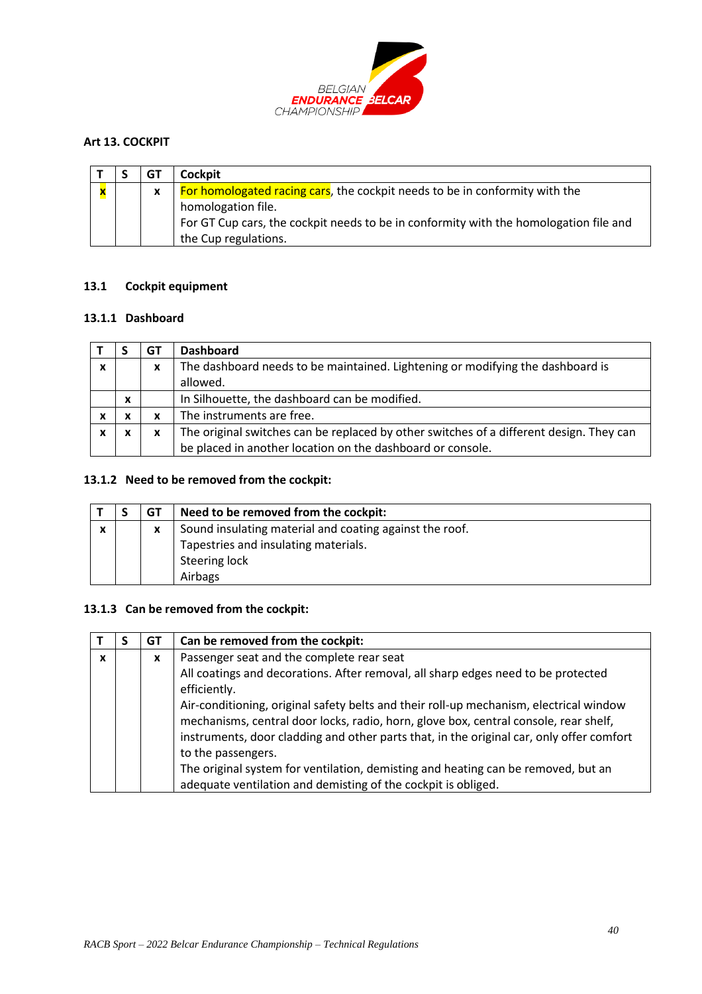

## <span id="page-39-0"></span>**Art 13. COCKPIT**

|   | GT | <b>Cockpit</b>                                                                        |
|---|----|---------------------------------------------------------------------------------------|
| X | X  | For homologated racing cars, the cockpit needs to be in conformity with the           |
|   |    | homologation file.                                                                    |
|   |    | For GT Cup cars, the cockpit needs to be in conformity with the homologation file and |
|   |    | the Cup regulations.                                                                  |

### **13.1 Cockpit equipment**

### **13.1.1 Dashboard**

|                  |   | GT | <b>Dashboard</b>                                                                        |
|------------------|---|----|-----------------------------------------------------------------------------------------|
| $\boldsymbol{x}$ |   | x  | The dashboard needs to be maintained. Lightening or modifying the dashboard is          |
|                  |   |    | allowed.                                                                                |
|                  | X |    | In Silhouette, the dashboard can be modified.                                           |
|                  | x | x  | The instruments are free.                                                               |
| x                | x | x  | The original switches can be replaced by other switches of a different design. They can |
|                  |   |    | be placed in another location on the dashboard or console.                              |

## **13.1.2 Need to be removed from the cockpit:**

|             | GТ | Need to be removed from the cockpit:                    |
|-------------|----|---------------------------------------------------------|
| $\mathbf v$ | x  | Sound insulating material and coating against the roof. |
|             |    | Tapestries and insulating materials.                    |
|             |    | Steering lock                                           |
|             |    | Airbags                                                 |

# **13.1.3 Can be removed from the cockpit:**

|   | GT | Can be removed from the cockpit:                                                         |
|---|----|------------------------------------------------------------------------------------------|
| x | X  | Passenger seat and the complete rear seat                                                |
|   |    | All coatings and decorations. After removal, all sharp edges need to be protected        |
|   |    | efficiently.                                                                             |
|   |    | Air-conditioning, original safety belts and their roll-up mechanism, electrical window   |
|   |    | mechanisms, central door locks, radio, horn, glove box, central console, rear shelf,     |
|   |    | instruments, door cladding and other parts that, in the original car, only offer comfort |
|   |    | to the passengers.                                                                       |
|   |    | The original system for ventilation, demisting and heating can be removed, but an        |
|   |    | adequate ventilation and demisting of the cockpit is obliged.                            |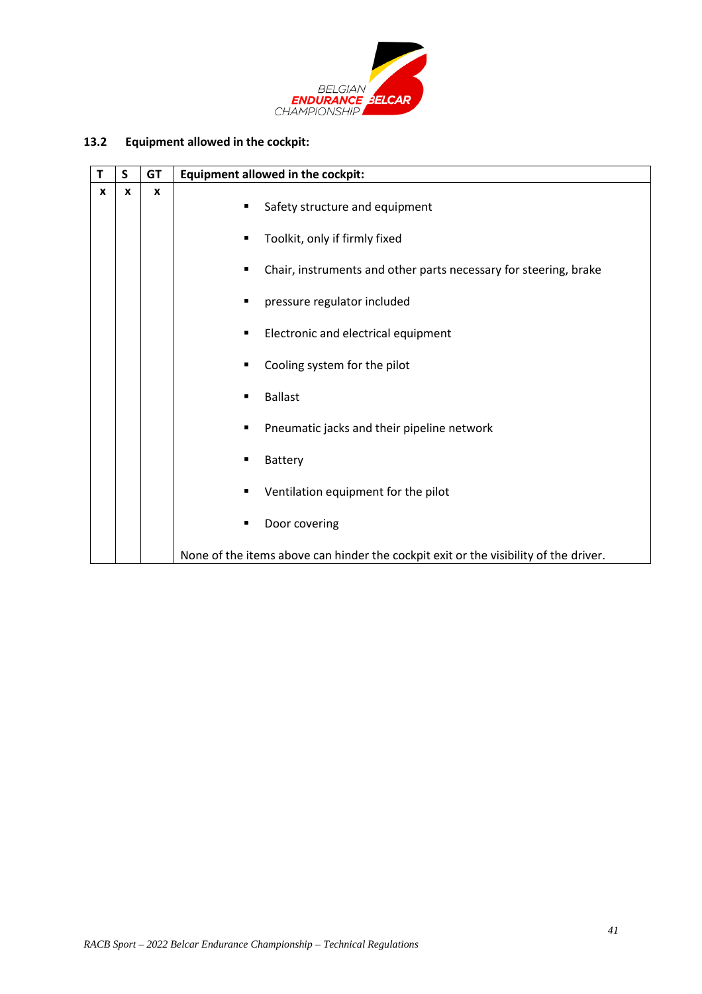

# **13.2 Equipment allowed in the cockpit:**

|              | S | <b>GT</b>        | Equipment allowed in the cockpit:                                                    |
|--------------|---|------------------|--------------------------------------------------------------------------------------|
| $\mathbf{x}$ | X | $\boldsymbol{x}$ | Safety structure and equipment                                                       |
|              |   |                  | Toolkit, only if firmly fixed                                                        |
|              |   |                  | Chair, instruments and other parts necessary for steering, brake<br>п                |
|              |   |                  | pressure regulator included                                                          |
|              |   |                  | Electronic and electrical equipment<br>п                                             |
|              |   |                  | Cooling system for the pilot<br>п                                                    |
|              |   |                  | <b>Ballast</b><br>■                                                                  |
|              |   |                  | Pneumatic jacks and their pipeline network                                           |
|              |   |                  | Battery                                                                              |
|              |   |                  | Ventilation equipment for the pilot<br>п                                             |
|              |   |                  | Door covering                                                                        |
|              |   |                  | None of the items above can hinder the cockpit exit or the visibility of the driver. |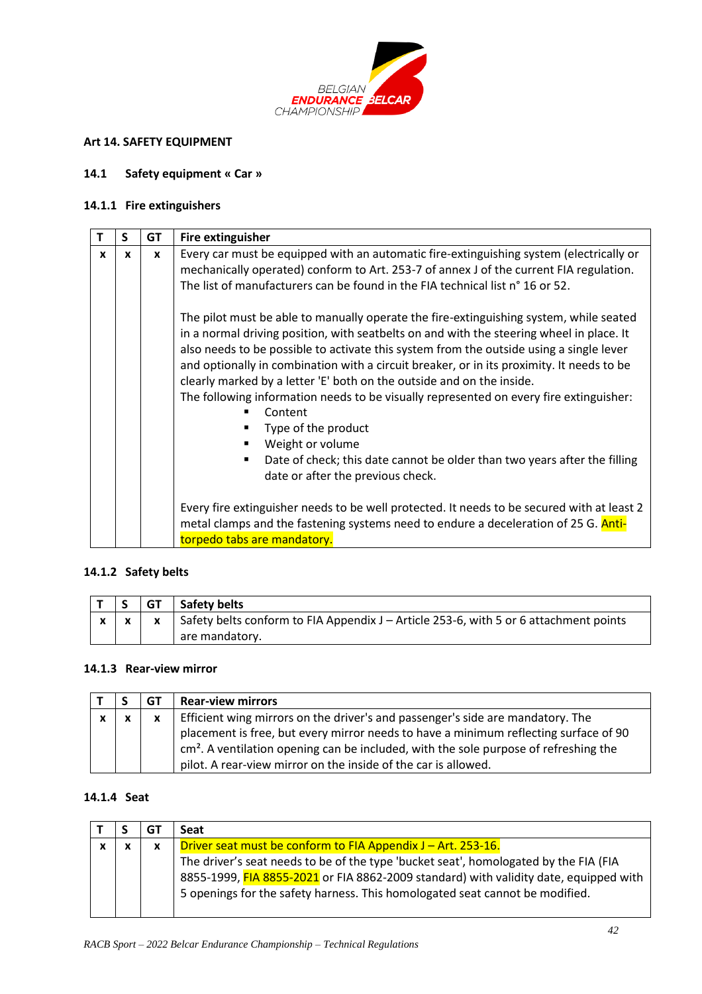

## <span id="page-41-0"></span>**Art 14. SAFETY EQUIPMENT**

#### **14.1 Safety equipment « Car »**

### **14.1.1 Fire extinguishers**

|   | S            | <b>GT</b>    | Fire extinguisher                                                                                                                                                                                                                                                                                                                                                                                                                                                                                                                                                                                                                                                                                                          |
|---|--------------|--------------|----------------------------------------------------------------------------------------------------------------------------------------------------------------------------------------------------------------------------------------------------------------------------------------------------------------------------------------------------------------------------------------------------------------------------------------------------------------------------------------------------------------------------------------------------------------------------------------------------------------------------------------------------------------------------------------------------------------------------|
| x | $\mathbf{x}$ | $\mathbf{x}$ | Every car must be equipped with an automatic fire-extinguishing system (electrically or<br>mechanically operated) conform to Art. 253-7 of annex J of the current FIA regulation.<br>The list of manufacturers can be found in the FIA technical list n° 16 or 52.                                                                                                                                                                                                                                                                                                                                                                                                                                                         |
|   |              |              | The pilot must be able to manually operate the fire-extinguishing system, while seated<br>in a normal driving position, with seatbelts on and with the steering wheel in place. It<br>also needs to be possible to activate this system from the outside using a single lever<br>and optionally in combination with a circuit breaker, or in its proximity. It needs to be<br>clearly marked by a letter 'E' both on the outside and on the inside.<br>The following information needs to be visually represented on every fire extinguisher:<br>Content<br>Type of the product<br>Weight or volume<br>٠<br>Date of check; this date cannot be older than two years after the filling<br>date or after the previous check. |
|   |              |              | Every fire extinguisher needs to be well protected. It needs to be secured with at least 2<br>metal clamps and the fastening systems need to endure a deceleration of 25 G. Anti-<br>torpedo tabs are mandatory.                                                                                                                                                                                                                                                                                                                                                                                                                                                                                                           |

## **14.1.2 Safety belts**

|  | GT   Safety belts                                                                                       |
|--|---------------------------------------------------------------------------------------------------------|
|  | $x \mid x \mid x$ Safety belts conform to FIA Appendix J – Article 253-6, with 5 or 6 attachment points |
|  | are mandatory.                                                                                          |

# **14.1.3 Rear-view mirror**

|              |              | GT           | <b>Rear-view mirrors</b>                                                                                                                                                                                                                                                                                                           |
|--------------|--------------|--------------|------------------------------------------------------------------------------------------------------------------------------------------------------------------------------------------------------------------------------------------------------------------------------------------------------------------------------------|
| $\mathbf{x}$ | $\mathbf{x}$ | $\mathbf{x}$ | Efficient wing mirrors on the driver's and passenger's side are mandatory. The<br>placement is free, but every mirror needs to have a minimum reflecting surface of 90<br>$cm2$ . A ventilation opening can be included, with the sole purpose of refreshing the<br>pilot. A rear-view mirror on the inside of the car is allowed. |

# **14.1.4 Seat**

|              | G٦ | Seat                                                                                                                                                                                                                                                          |
|--------------|----|---------------------------------------------------------------------------------------------------------------------------------------------------------------------------------------------------------------------------------------------------------------|
| $\checkmark$ | x  | Driver seat must be conform to FIA Appendix J – Art. 253-16.                                                                                                                                                                                                  |
|              |    | The driver's seat needs to be of the type 'bucket seat', homologated by the FIA (FIA<br>8855-1999, FIA 8855-2021 or FIA 8862-2009 standard) with validity date, equipped with<br>5 openings for the safety harness. This homologated seat cannot be modified. |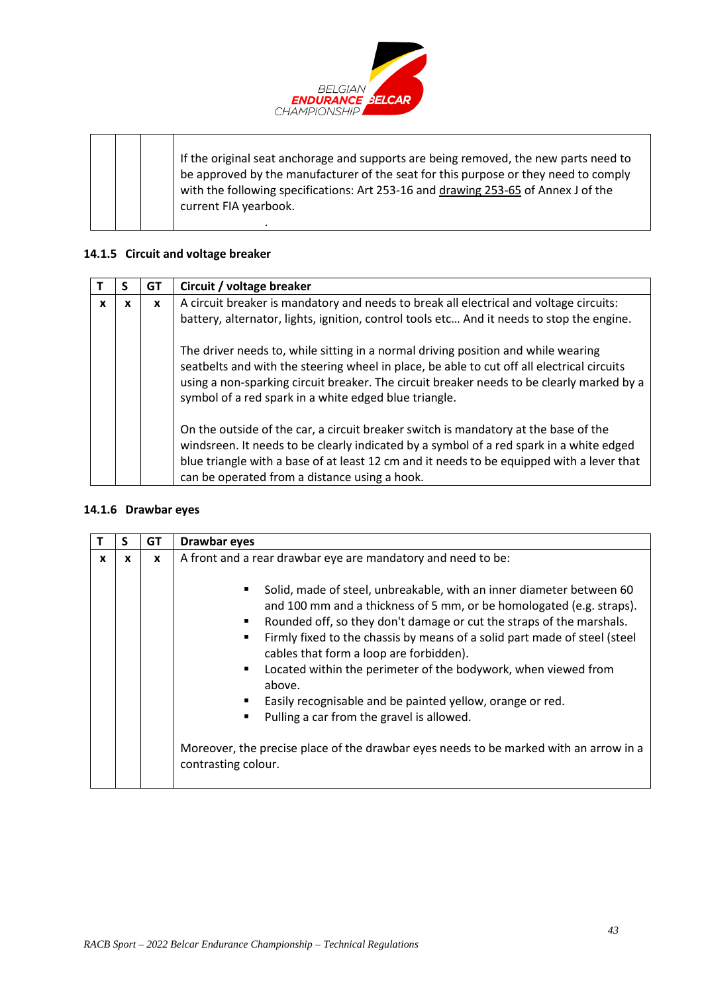

If the original seat anchorage and supports are being removed, the new parts need to be approved by the manufacturer of the seat for this purpose or they need to comply with the following specifications: Art 253-16 and drawing 253-65 of Annex J of the current FIA yearbook. .

### **14.1.5 Circuit and voltage breaker**

|   |   | GT | Circuit / voltage breaker                                                                                                                                                                                                                                                                                                             |
|---|---|----|---------------------------------------------------------------------------------------------------------------------------------------------------------------------------------------------------------------------------------------------------------------------------------------------------------------------------------------|
| X | x | x  | A circuit breaker is mandatory and needs to break all electrical and voltage circuits:                                                                                                                                                                                                                                                |
|   |   |    | battery, alternator, lights, ignition, control tools etc And it needs to stop the engine.                                                                                                                                                                                                                                             |
|   |   |    | The driver needs to, while sitting in a normal driving position and while wearing<br>seatbelts and with the steering wheel in place, be able to cut off all electrical circuits<br>using a non-sparking circuit breaker. The circuit breaker needs to be clearly marked by a<br>symbol of a red spark in a white edged blue triangle. |
|   |   |    | On the outside of the car, a circuit breaker switch is mandatory at the base of the<br>windsreen. It needs to be clearly indicated by a symbol of a red spark in a white edged<br>blue triangle with a base of at least 12 cm and it needs to be equipped with a lever that<br>can be operated from a distance using a hook.          |

#### **14.1.6 Drawbar eyes**

|   | S | GТ | Drawbar eyes                                                                                                                                                                                                                                                                                                                                                                                                                                                                                                                                                                                                                                       |
|---|---|----|----------------------------------------------------------------------------------------------------------------------------------------------------------------------------------------------------------------------------------------------------------------------------------------------------------------------------------------------------------------------------------------------------------------------------------------------------------------------------------------------------------------------------------------------------------------------------------------------------------------------------------------------------|
| X | X | X  | A front and a rear drawbar eye are mandatory and need to be:                                                                                                                                                                                                                                                                                                                                                                                                                                                                                                                                                                                       |
|   |   |    | Solid, made of steel, unbreakable, with an inner diameter between 60<br>and 100 mm and a thickness of 5 mm, or be homologated (e.g. straps).<br>Rounded off, so they don't damage or cut the straps of the marshals.<br>Firmly fixed to the chassis by means of a solid part made of steel (steel<br>cables that form a loop are forbidden).<br>Located within the perimeter of the bodywork, when viewed from<br>above.<br>Easily recognisable and be painted yellow, orange or red.<br>Pulling a car from the gravel is allowed.<br>Moreover, the precise place of the drawbar eyes needs to be marked with an arrow in a<br>contrasting colour. |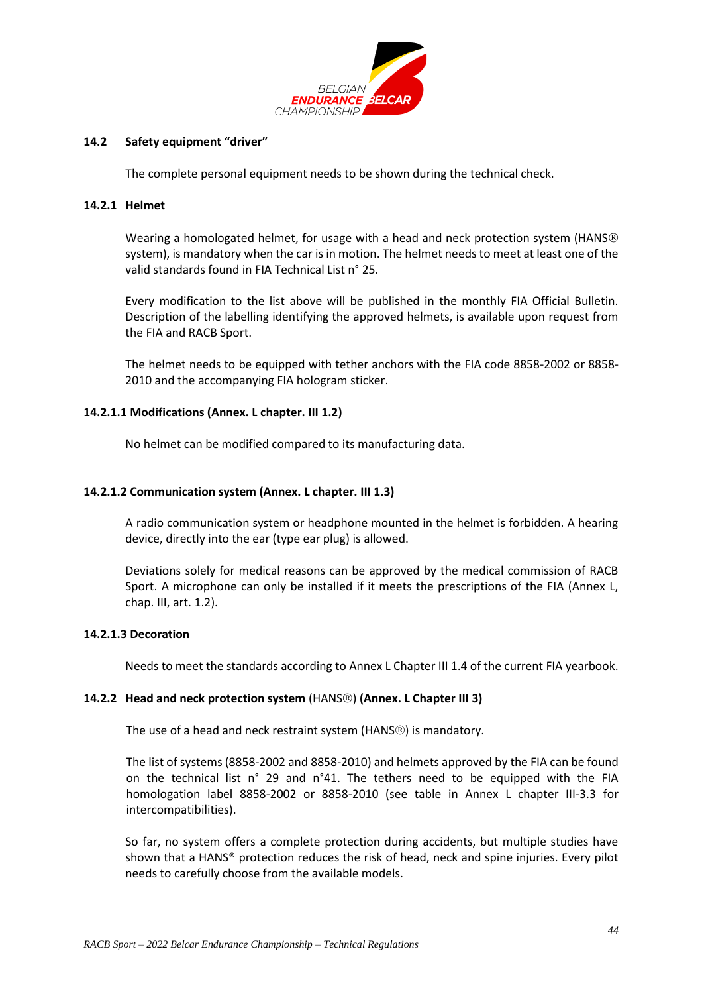

#### **14.2 Safety equipment "driver"**

The complete personal equipment needs to be shown during the technical check.

#### **14.2.1 Helmet**

Wearing a homologated helmet, for usage with a head and neck protection system (HANS®) system), is mandatory when the car is in motion. The helmet needs to meet at least one of the valid standards found in FIA Technical List n° 25.

Every modification to the list above will be published in the monthly FIA Official Bulletin. Description of the labelling identifying the approved helmets, is available upon request from the FIA and RACB Sport.

The helmet needs to be equipped with tether anchors with the FIA code 8858-2002 or 8858- 2010 and the accompanying FIA hologram sticker.

#### **14.2.1.1 Modifications (Annex. L chapter. III 1.2)**

No helmet can be modified compared to its manufacturing data.

#### **14.2.1.2 Communication system (Annex. L chapter. III 1.3)**

A radio communication system or headphone mounted in the helmet is forbidden. A hearing device, directly into the ear (type ear plug) is allowed.

Deviations solely for medical reasons can be approved by the medical commission of RACB Sport. A microphone can only be installed if it meets the prescriptions of the FIA (Annex L, chap. III, art. 1.2).

#### **14.2.1.3 Decoration**

Needs to meet the standards according to Annex L Chapter III 1.4 of the current FIA yearbook.

#### **14.2.2** Head and neck protection system (HANS<sup>®</sup>) (Annex. L Chapter III 3)

The use of a head and neck restraint system (HANS®) is mandatory.

The list of systems (8858-2002 and 8858-2010) and helmets approved by the FIA can be found on the technical list n° 29 and n°41. The tethers need to be equipped with the FIA homologation label 8858-2002 or 8858-2010 (see table in Annex L chapter III-3.3 for intercompatibilities).

So far, no system offers a complete protection during accidents, but multiple studies have shown that a HANS® protection reduces the risk of head, neck and spine injuries. Every pilot needs to carefully choose from the available models.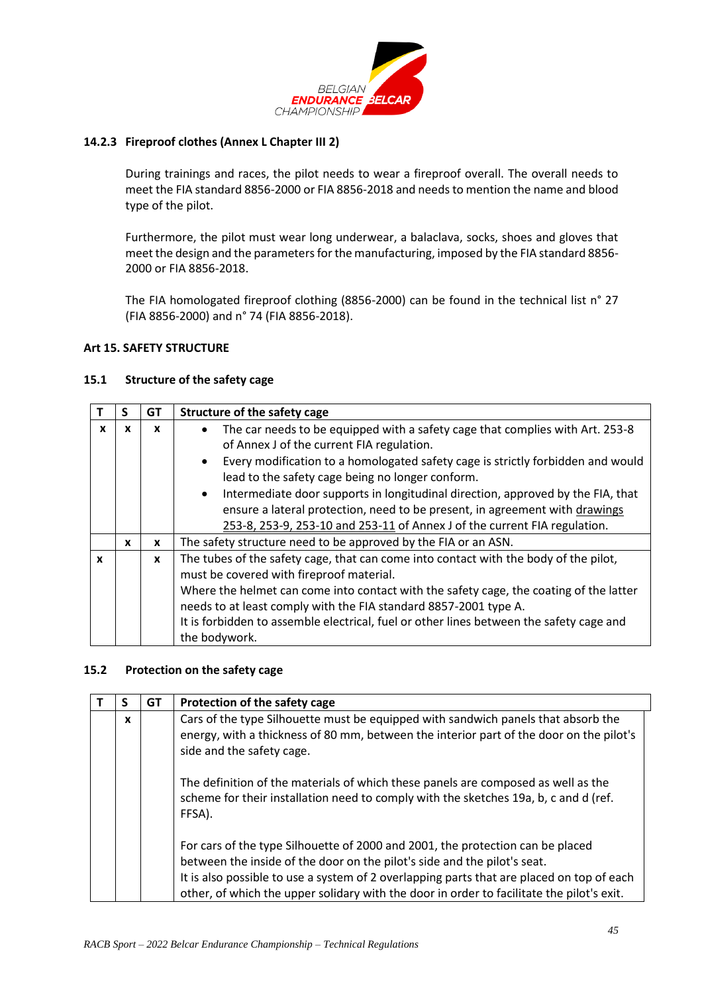

### **14.2.3 Fireproof clothes (Annex L Chapter III 2)**

During trainings and races, the pilot needs to wear a fireproof overall. The overall needs to meet the FIA standard 8856-2000 or FIA 8856-2018 and needs to mention the name and blood type of the pilot.

Furthermore, the pilot must wear long underwear, a balaclava, socks, shoes and gloves that meet the design and the parameters for the manufacturing, imposed by the FIA standard 8856- 2000 or FIA 8856-2018.

The FIA homologated fireproof clothing (8856-2000) can be found in the technical list n° 27 (FIA 8856-2000) and n° 74 (FIA 8856-2018).

### <span id="page-44-0"></span>**Art 15. SAFETY STRUCTURE**

### **15.1 Structure of the safety cage**

|              | s            | GT           | Structure of the safety cage                                                                                                                     |
|--------------|--------------|--------------|--------------------------------------------------------------------------------------------------------------------------------------------------|
| x            | x            | x            | The car needs to be equipped with a safety cage that complies with Art. 253-8<br>$\bullet$<br>of Annex J of the current FIA regulation.          |
|              |              |              | Every modification to a homologated safety cage is strictly forbidden and would<br>$\bullet$<br>lead to the safety cage being no longer conform. |
|              |              |              | Intermediate door supports in longitudinal direction, approved by the FIA, that<br>$\bullet$                                                     |
|              |              |              | ensure a lateral protection, need to be present, in agreement with drawings                                                                      |
|              |              |              | 253-8, 253-9, 253-10 and 253-11 of Annex J of the current FIA regulation.                                                                        |
|              | $\mathbf{x}$ | X            | The safety structure need to be approved by the FIA or an ASN.                                                                                   |
| $\mathbf{x}$ |              | $\mathbf{x}$ | The tubes of the safety cage, that can come into contact with the body of the pilot,                                                             |
|              |              |              | must be covered with fireproof material.                                                                                                         |
|              |              |              | Where the helmet can come into contact with the safety cage, the coating of the latter                                                           |
|              |              |              | needs to at least comply with the FIA standard 8857-2001 type A.                                                                                 |
|              |              |              | It is forbidden to assemble electrical, fuel or other lines between the safety cage and                                                          |
|              |              |              | the bodywork.                                                                                                                                    |

### **15.2 Protection on the safety cage**

| C | GТ | Protection of the safety cage                                                                                                                                                                                                                                                                                                                        |
|---|----|------------------------------------------------------------------------------------------------------------------------------------------------------------------------------------------------------------------------------------------------------------------------------------------------------------------------------------------------------|
| X |    | Cars of the type Silhouette must be equipped with sandwich panels that absorb the<br>energy, with a thickness of 80 mm, between the interior part of the door on the pilot's<br>side and the safety cage.                                                                                                                                            |
|   |    | The definition of the materials of which these panels are composed as well as the<br>scheme for their installation need to comply with the sketches 19a, b, c and d (ref.<br>FFSA).                                                                                                                                                                  |
|   |    | For cars of the type Silhouette of 2000 and 2001, the protection can be placed<br>between the inside of the door on the pilot's side and the pilot's seat.<br>It is also possible to use a system of 2 overlapping parts that are placed on top of each<br>other, of which the upper solidary with the door in order to facilitate the pilot's exit. |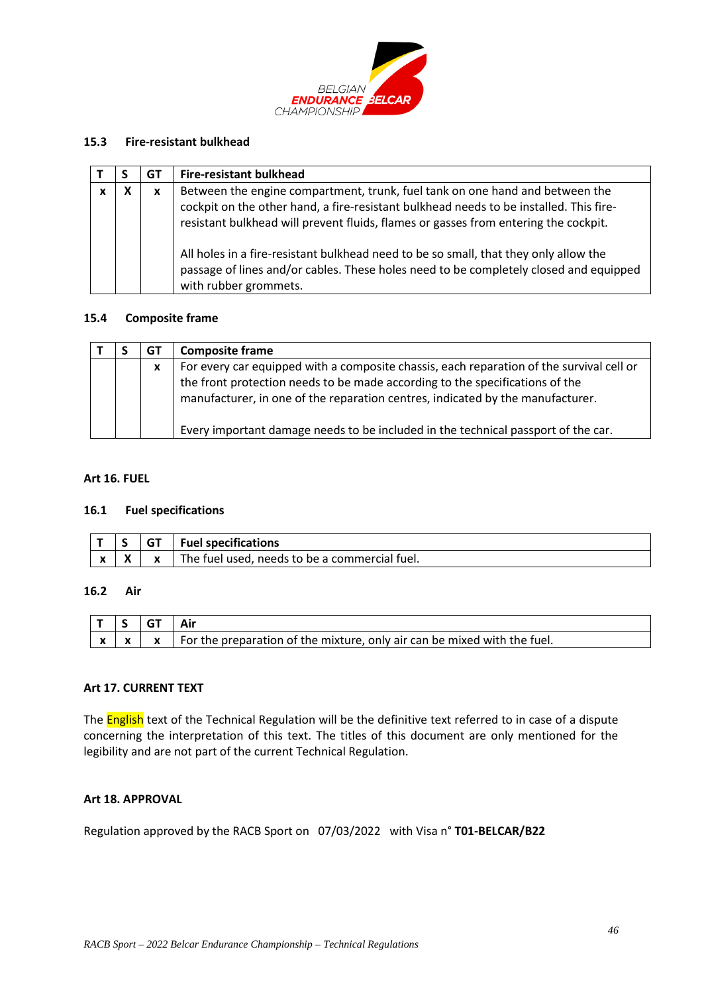

#### **15.3 Fire-resistant bulkhead**

|   | GT | <b>Fire-resistant bulkhead</b>                                                                                                                                                                                                                                                                                                                                                                                                                 |
|---|----|------------------------------------------------------------------------------------------------------------------------------------------------------------------------------------------------------------------------------------------------------------------------------------------------------------------------------------------------------------------------------------------------------------------------------------------------|
| x | x  | Between the engine compartment, trunk, fuel tank on one hand and between the<br>cockpit on the other hand, a fire-resistant bulkhead needs to be installed. This fire-<br>resistant bulkhead will prevent fluids, flames or gasses from entering the cockpit.<br>All holes in a fire-resistant bulkhead need to be so small, that they only allow the<br>passage of lines and/or cables. These holes need to be completely closed and equipped |
|   |    | with rubber grommets.                                                                                                                                                                                                                                                                                                                                                                                                                          |

#### **15.4 Composite frame**

|  | G٦ | <b>Composite frame</b>                                                                                                                                                                                                                                     |
|--|----|------------------------------------------------------------------------------------------------------------------------------------------------------------------------------------------------------------------------------------------------------------|
|  | X  | For every car equipped with a composite chassis, each reparation of the survival cell or<br>the front protection needs to be made according to the specifications of the<br>manufacturer, in one of the reparation centres, indicated by the manufacturer. |
|  |    | Every important damage needs to be included in the technical passport of the car.                                                                                                                                                                          |

#### <span id="page-45-0"></span>**Art 16. FUEL**

#### **16.1 Fuel specifications**

|                            | $\overline{\phantom{0}}$ | GТ           | <b>Fuel specifications</b>                       |
|----------------------------|--------------------------|--------------|--------------------------------------------------|
| $\boldsymbol{\mathcal{L}}$ | v                        | $\mathbf{v}$ | The fuel used,<br>needs to be a commercial fuel. |

### **16.2 Air**

| $\mathbf{v}$ |  | For the preparation of the mixture, only air can be mixed with the fuel. |
|--------------|--|--------------------------------------------------------------------------|

#### <span id="page-45-1"></span>**Art 17. CURRENT TEXT**

The **English** text of the Technical Regulation will be the definitive text referred to in case of a dispute concerning the interpretation of this text. The titles of this document are only mentioned for the legibility and are not part of the current Technical Regulation.

### <span id="page-45-2"></span>**Art 18. APPROVAL**

Regulation approved by the RACB Sport on 07/03/2022 with Visa n° **T01-BELCAR/B22**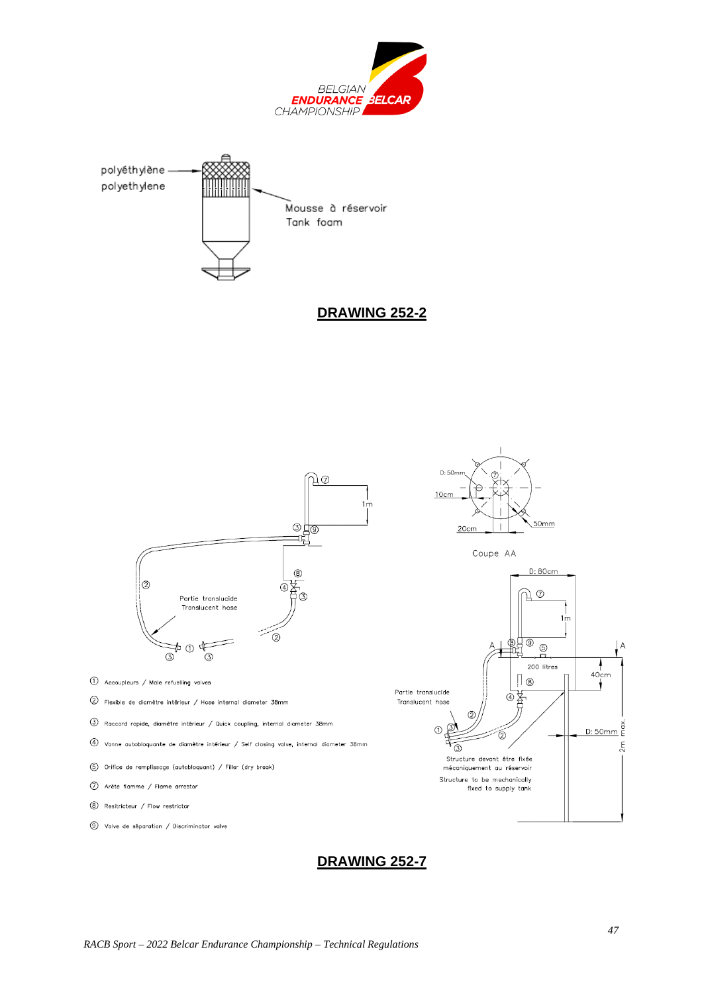



**DRAWING 252-2**



# **DRAWING 252-7**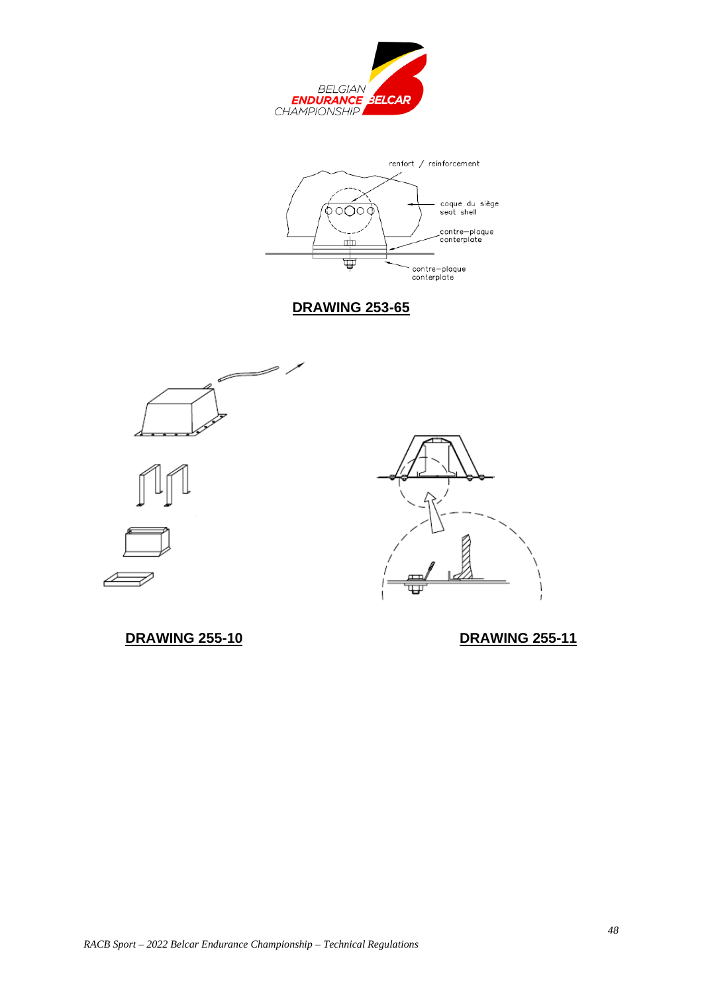



**DRAWING 253-65**







**DRAWING 255-10 DRAWING 255-11**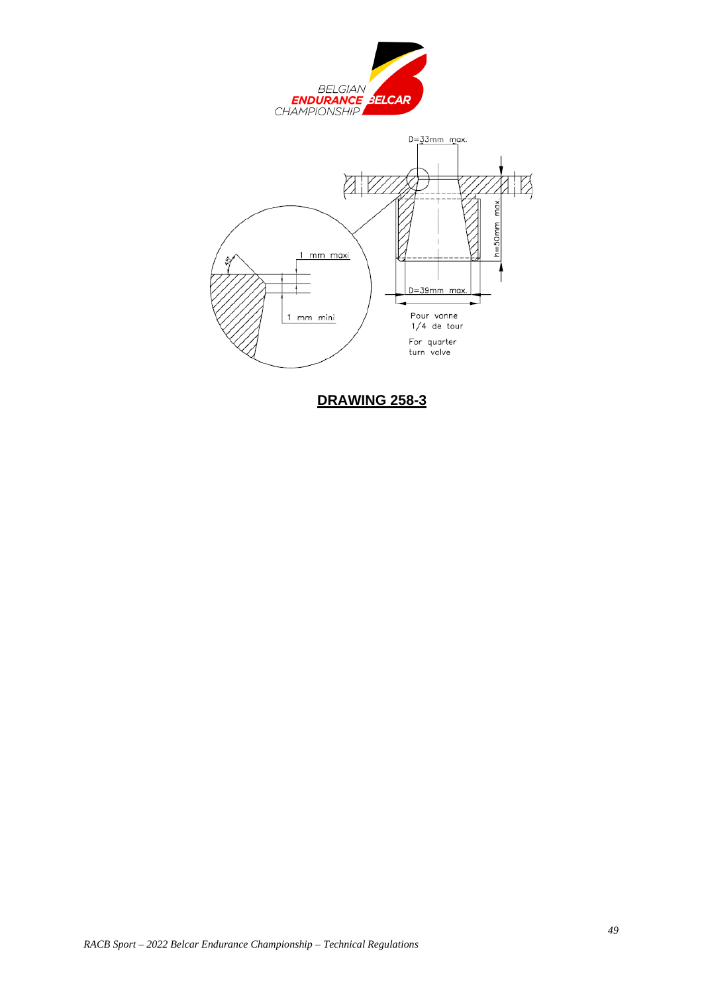



**DRAWING 258-3**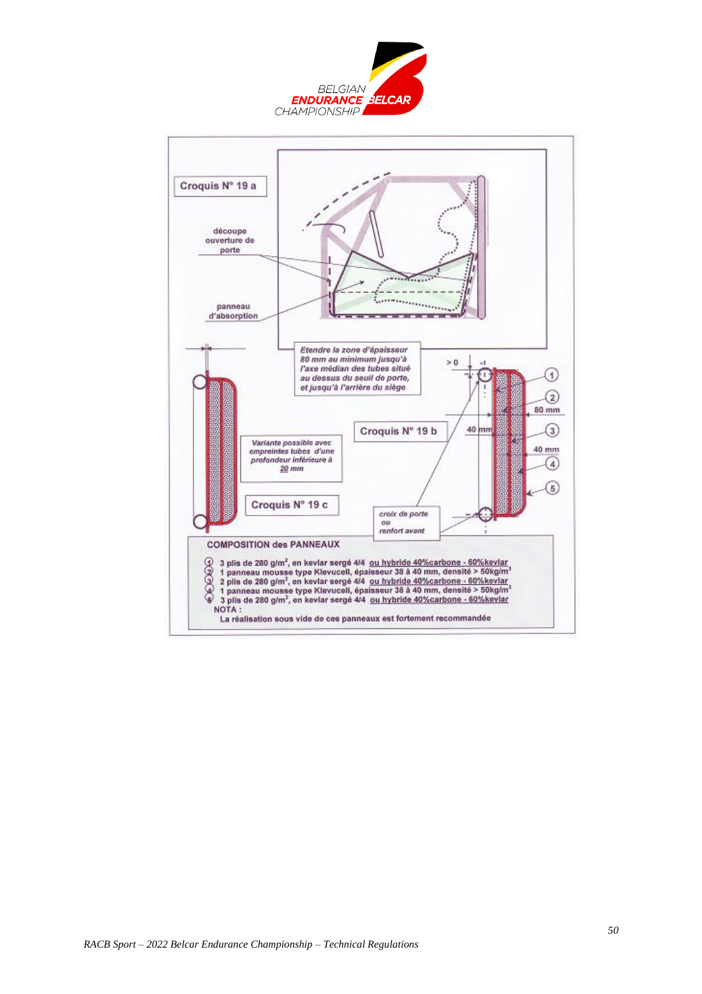